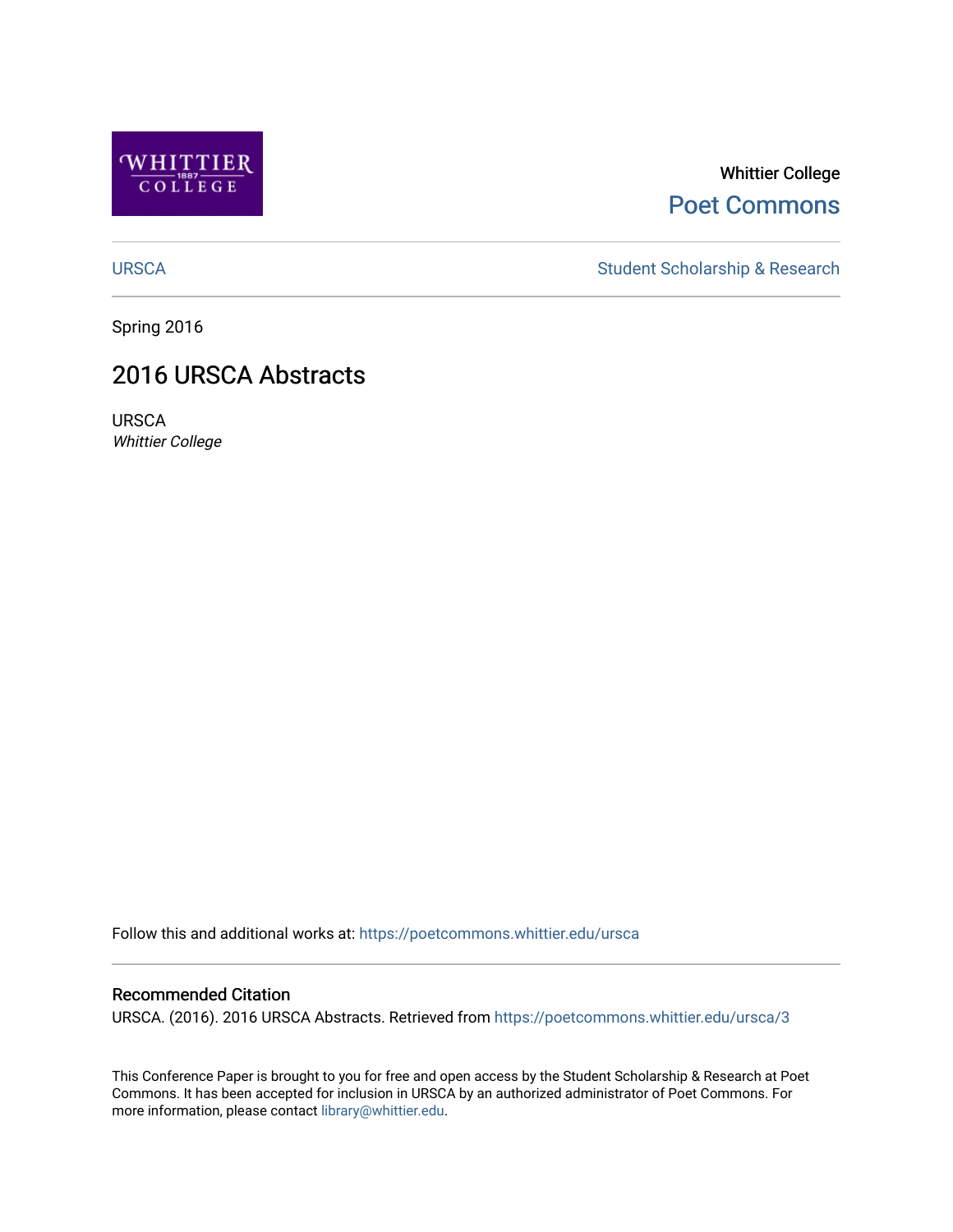

### Whittier College [Poet Commons](https://poetcommons.whittier.edu/)

[URSCA](https://poetcommons.whittier.edu/ursca) Student Scholarship & Research

Spring 2016

### 2016 URSCA Abstracts

URSCA Whittier College

Follow this and additional works at: [https://poetcommons.whittier.edu/ursca](https://poetcommons.whittier.edu/ursca?utm_source=poetcommons.whittier.edu%2Fursca%2F3&utm_medium=PDF&utm_campaign=PDFCoverPages) 

#### Recommended Citation

URSCA. (2016). 2016 URSCA Abstracts. Retrieved from [https://poetcommons.whittier.edu/ursca/3](https://poetcommons.whittier.edu/ursca/3?utm_source=poetcommons.whittier.edu%2Fursca%2F3&utm_medium=PDF&utm_campaign=PDFCoverPages) 

This Conference Paper is brought to you for free and open access by the Student Scholarship & Research at Poet Commons. It has been accepted for inclusion in URSCA by an authorized administrator of Poet Commons. For more information, please contact [library@whittier.edu.](mailto:library@whittier.edu)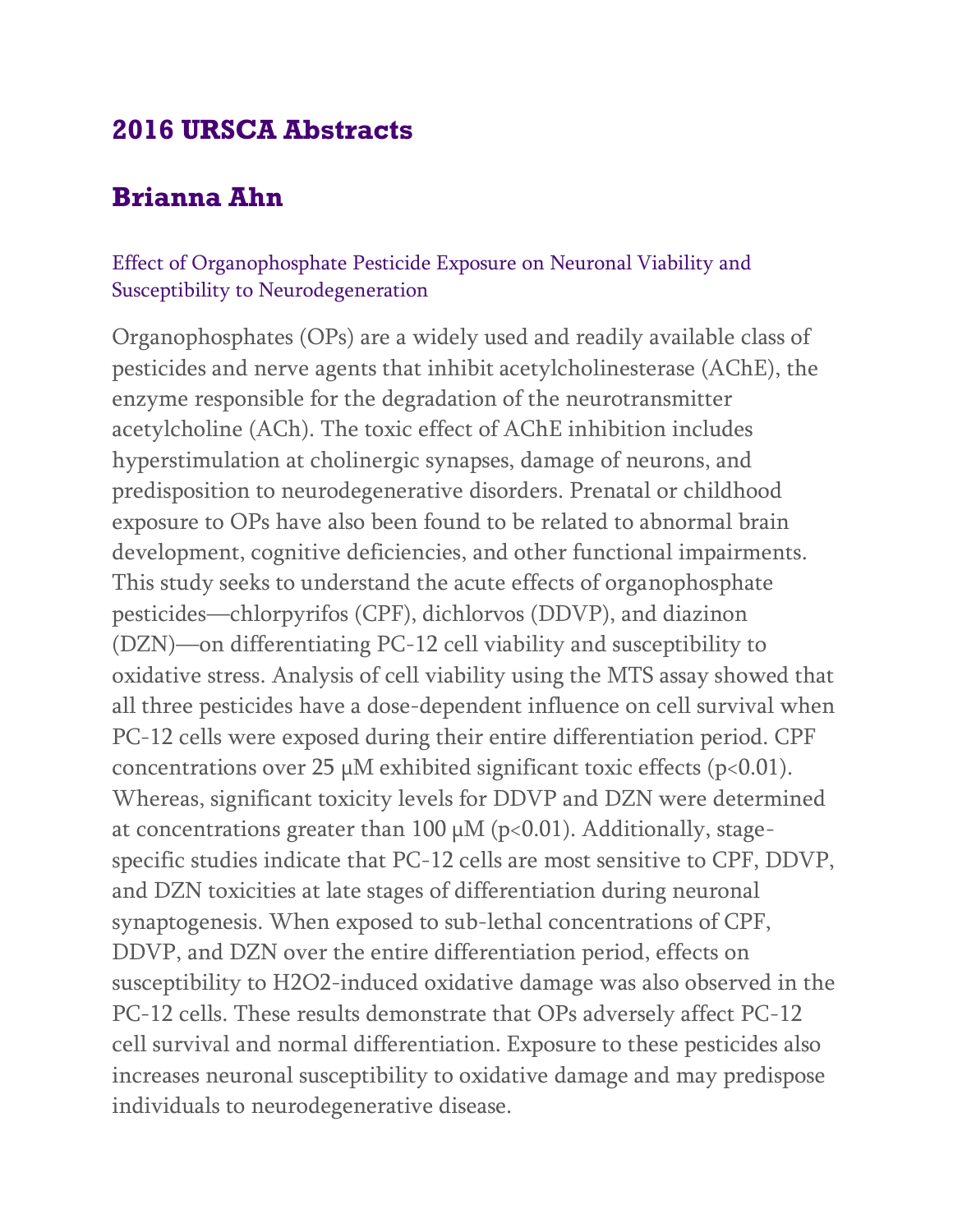# **2016 URSCA Abstracts**

# **Brianna Ahn**

### Effect of Organophosphate Pesticide Exposure on Neuronal Viability and Susceptibility to Neurodegeneration

Organophosphates (OPs) are a widely used and readily available class of pesticides and nerve agents that inhibit acetylcholinesterase (AChE), the enzyme responsible for the degradation of the neurotransmitter acetylcholine (ACh). The toxic effect of AChE inhibition includes hyperstimulation at cholinergic synapses, damage of neurons, and predisposition to neurodegenerative disorders. Prenatal or childhood exposure to OPs have also been found to be related to abnormal brain development, cognitive deficiencies, and other functional impairments. This study seeks to understand the acute effects of organophosphate pesticides—chlorpyrifos (CPF), dichlorvos (DDVP), and diazinon (DZN)—on differentiating PC-12 cell viability and susceptibility to oxidative stress. Analysis of cell viability using the MTS assay showed that all three pesticides have a dose-dependent influence on cell survival when PC-12 cells were exposed during their entire differentiation period. CPF concentrations over 25  $\mu$ M exhibited significant toxic effects (p<0.01). Whereas, significant toxicity levels for DDVP and DZN were determined at concentrations greater than 100  $\mu$ M (p<0.01). Additionally, stagespecific studies indicate that PC-12 cells are most sensitive to CPF, DDVP, and DZN toxicities at late stages of differentiation during neuronal synaptogenesis. When exposed to sub-lethal concentrations of CPF, DDVP, and DZN over the entire differentiation period, effects on susceptibility to H2O2-induced oxidative damage was also observed in the PC-12 cells. These results demonstrate that OPs adversely affect PC-12 cell survival and normal differentiation. Exposure to these pesticides also increases neuronal susceptibility to oxidative damage and may predispose individuals to neurodegenerative disease.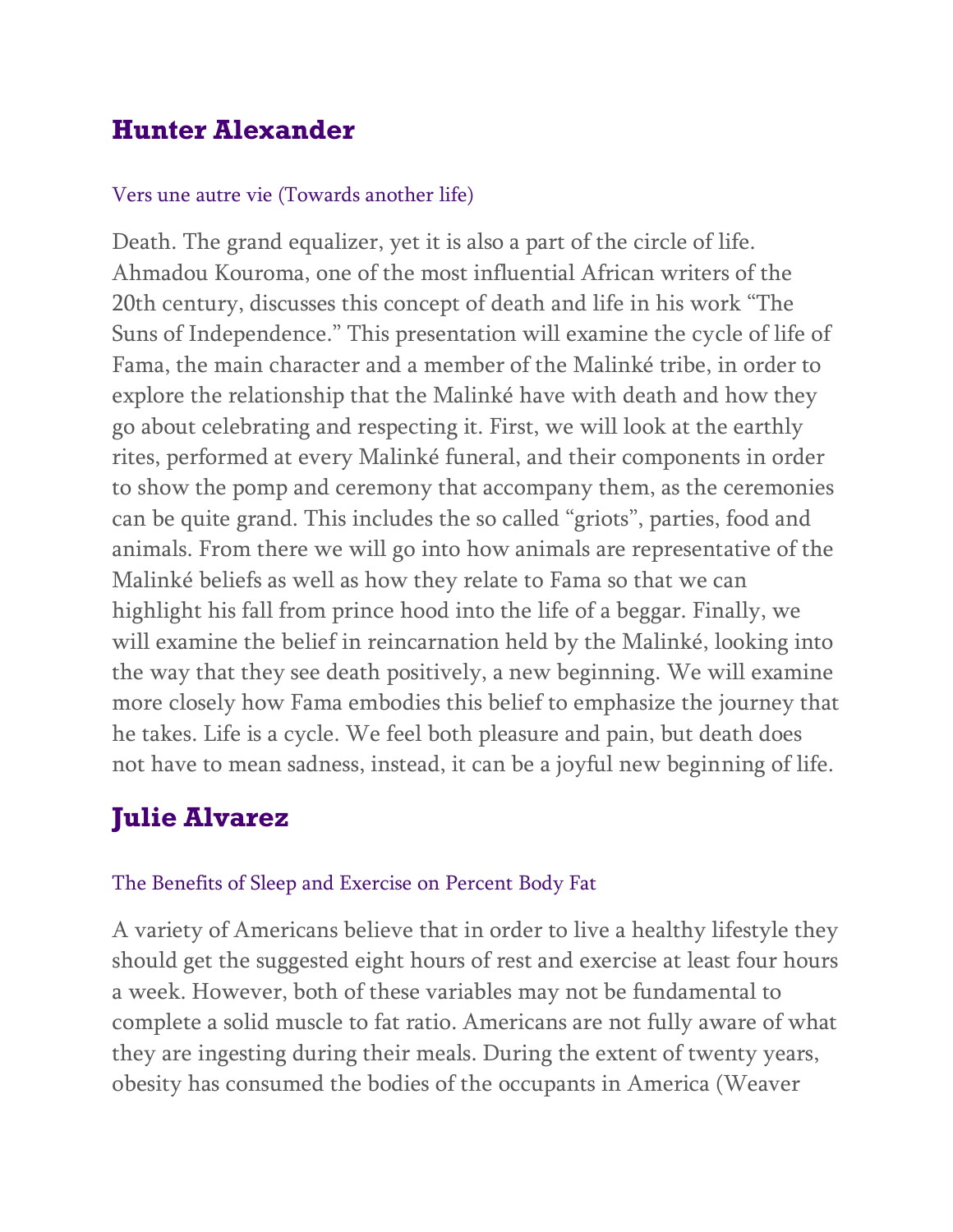# **Hunter Alexander**

### Vers une autre vie (Towards another life)

Death. The grand equalizer, yet it is also a part of the circle of life. Ahmadou Kouroma, one of the most influential African writers of the 20th century, discusses this concept of death and life in his work "The Suns of Independence." This presentation will examine the cycle of life of Fama, the main character and a member of the Malinké tribe, in order to explore the relationship that the Malinké have with death and how they go about celebrating and respecting it. First, we will look at the earthly rites, performed at every Malinké funeral, and their components in order to show the pomp and ceremony that accompany them, as the ceremonies can be quite grand. This includes the so called "griots", parties, food and animals. From there we will go into how animals are representative of the Malinké beliefs as well as how they relate to Fama so that we can highlight his fall from prince hood into the life of a beggar. Finally, we will examine the belief in reincarnation held by the Malinké, looking into the way that they see death positively, a new beginning. We will examine more closely how Fama embodies this belief to emphasize the journey that he takes. Life is a cycle. We feel both pleasure and pain, but death does not have to mean sadness, instead, it can be a joyful new beginning of life.

# **Julie Alvarez**

#### The Benefits of Sleep and Exercise on Percent Body Fat

A variety of Americans believe that in order to live a healthy lifestyle they should get the suggested eight hours of rest and exercise at least four hours a week. However, both of these variables may not be fundamental to complete a solid muscle to fat ratio. Americans are not fully aware of what they are ingesting during their meals. During the extent of twenty years, obesity has consumed the bodies of the occupants in America (Weaver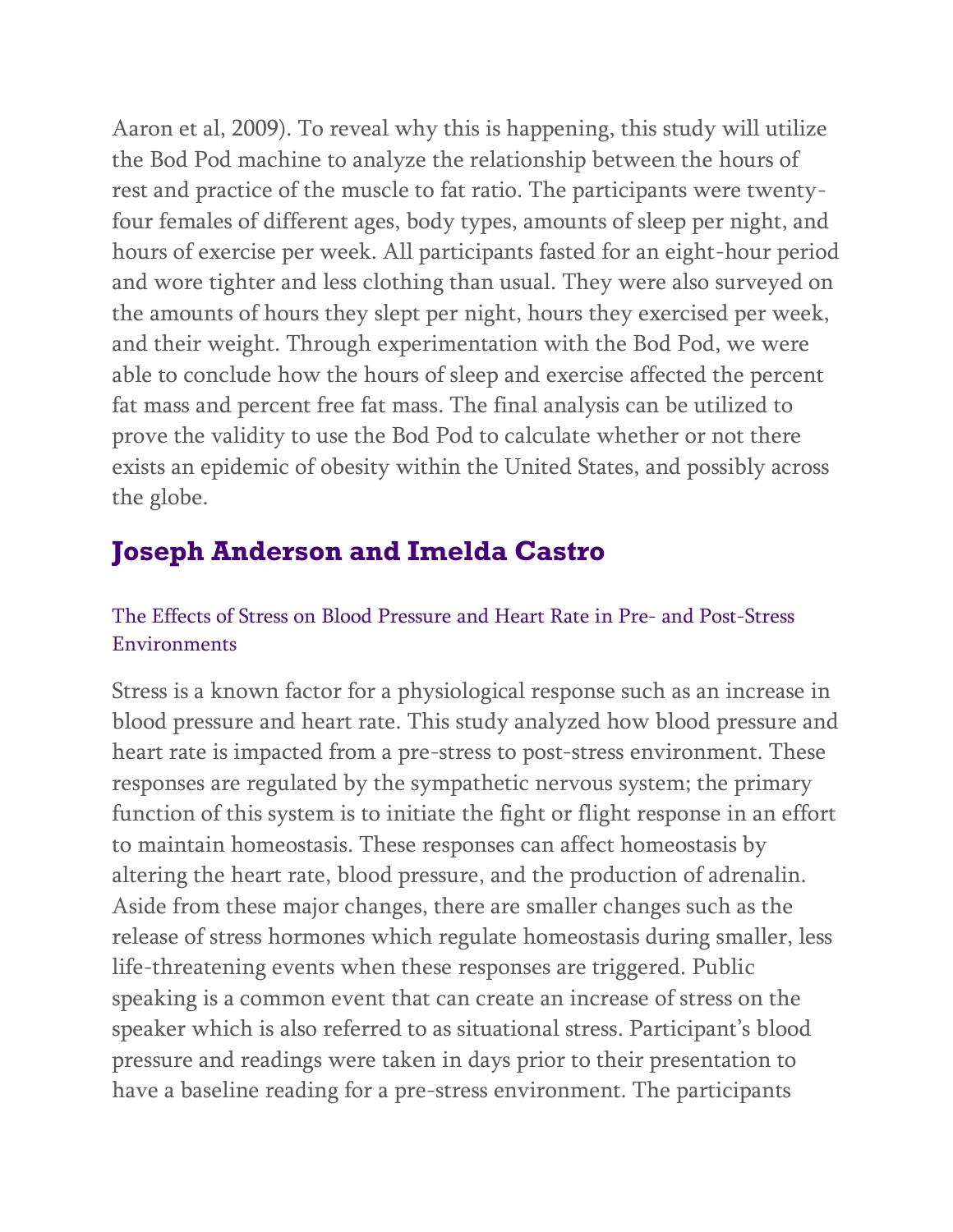Aaron et al, 2009). To reveal why this is happening, this study will utilize the Bod Pod machine to analyze the relationship between the hours of rest and practice of the muscle to fat ratio. The participants were twentyfour females of different ages, body types, amounts of sleep per night, and hours of exercise per week. All participants fasted for an eight-hour period and wore tighter and less clothing than usual. They were also surveyed on the amounts of hours they slept per night, hours they exercised per week, and their weight. Through experimentation with the Bod Pod, we were able to conclude how the hours of sleep and exercise affected the percent fat mass and percent free fat mass. The final analysis can be utilized to prove the validity to use the Bod Pod to calculate whether or not there exists an epidemic of obesity within the United States, and possibly across the globe.

# **Joseph Anderson and Imelda Castro**

### The Effects of Stress on Blood Pressure and Heart Rate in Pre- and Post-Stress Environments

Stress is a known factor for a physiological response such as an increase in blood pressure and heart rate. This study analyzed how blood pressure and heart rate is impacted from a pre-stress to post-stress environment. These responses are regulated by the sympathetic nervous system; the primary function of this system is to initiate the fight or flight response in an effort to maintain homeostasis. These responses can affect homeostasis by altering the heart rate, blood pressure, and the production of adrenalin. Aside from these major changes, there are smaller changes such as the release of stress hormones which regulate homeostasis during smaller, less life-threatening events when these responses are triggered. Public speaking is a common event that can create an increase of stress on the speaker which is also referred to as situational stress. Participant's blood pressure and readings were taken in days prior to their presentation to have a baseline reading for a pre-stress environment. The participants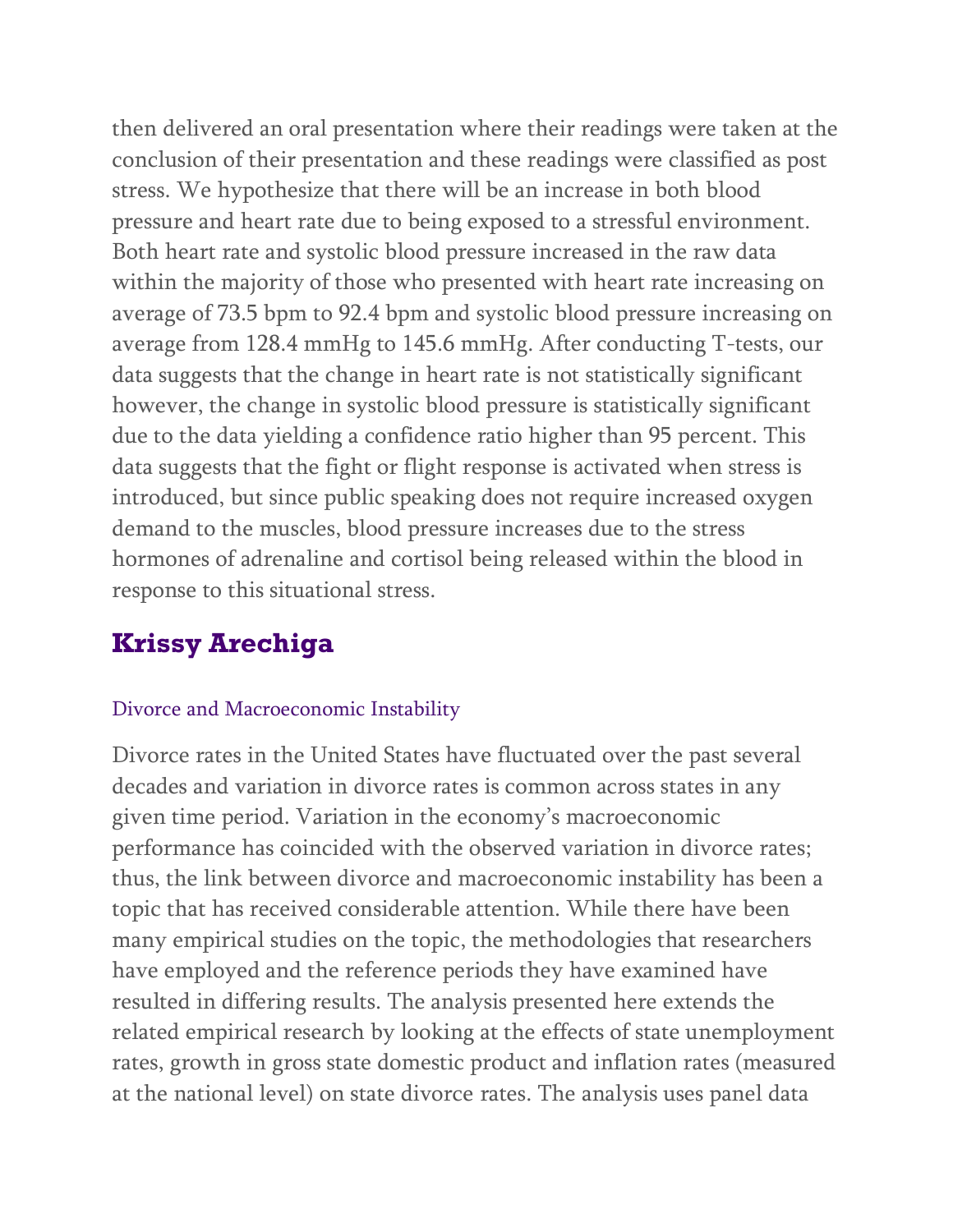then delivered an oral presentation where their readings were taken at the conclusion of their presentation and these readings were classified as post stress. We hypothesize that there will be an increase in both blood pressure and heart rate due to being exposed to a stressful environment. Both heart rate and systolic blood pressure increased in the raw data within the majority of those who presented with heart rate increasing on average of 73.5 bpm to 92.4 bpm and systolic blood pressure increasing on average from 128.4 mmHg to 145.6 mmHg. After conducting T-tests, our data suggests that the change in heart rate is not statistically significant however, the change in systolic blood pressure is statistically significant due to the data yielding a confidence ratio higher than 95 percent. This data suggests that the fight or flight response is activated when stress is introduced, but since public speaking does not require increased oxygen demand to the muscles, blood pressure increases due to the stress hormones of adrenaline and cortisol being released within the blood in response to this situational stress.

# **Krissy Arechiga**

#### Divorce and Macroeconomic Instability

Divorce rates in the United States have fluctuated over the past several decades and variation in divorce rates is common across states in any given time period. Variation in the economy's macroeconomic performance has coincided with the observed variation in divorce rates; thus, the link between divorce and macroeconomic instability has been a topic that has received considerable attention. While there have been many empirical studies on the topic, the methodologies that researchers have employed and the reference periods they have examined have resulted in differing results. The analysis presented here extends the related empirical research by looking at the effects of state unemployment rates, growth in gross state domestic product and inflation rates (measured at the national level) on state divorce rates. The analysis uses panel data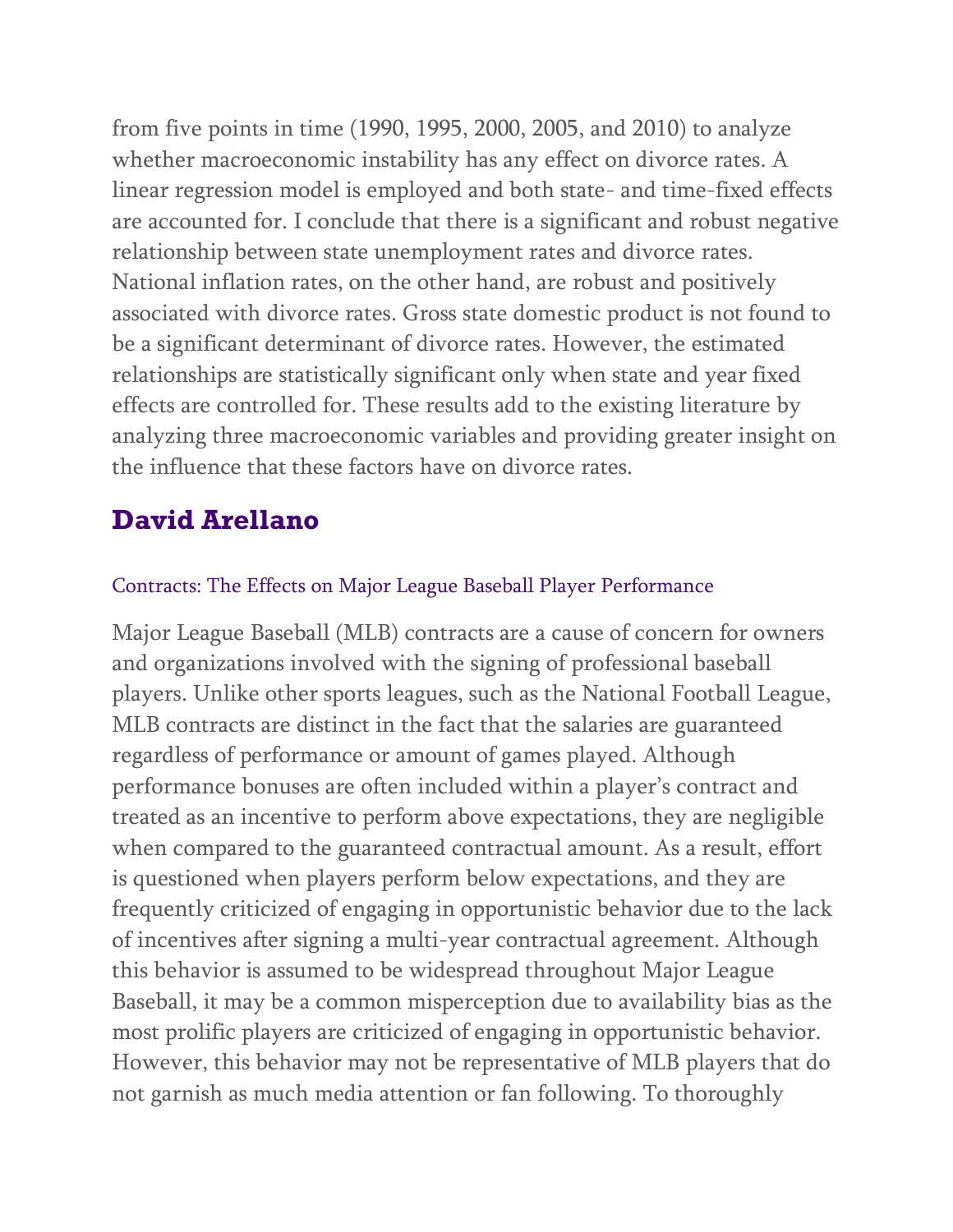from five points in time (1990, 1995, 2000, 2005, and 2010) to analyze whether macroeconomic instability has any effect on divorce rates. A linear regression model is employed and both state- and time-fixed effects are accounted for. I conclude that there is a significant and robust negative relationship between state unemployment rates and divorce rates. National inflation rates, on the other hand, are robust and positively associated with divorce rates. Gross state domestic product is not found to be a significant determinant of divorce rates. However, the estimated relationships are statistically significant only when state and year fixed effects are controlled for. These results add to the existing literature by analyzing three macroeconomic variables and providing greater insight on the influence that these factors have on divorce rates.

# **David Arellano**

### Contracts: The Effects on Major League Baseball Player Performance

Major League Baseball (MLB) contracts are a cause of concern for owners and organizations involved with the signing of professional baseball players. Unlike other sports leagues, such as the National Football League, MLB contracts are distinct in the fact that the salaries are guaranteed regardless of performance or amount of games played. Although performance bonuses are often included within a player's contract and treated as an incentive to perform above expectations, they are negligible when compared to the guaranteed contractual amount. As a result, effort is questioned when players perform below expectations, and they are frequently criticized of engaging in opportunistic behavior due to the lack of incentives after signing a multi-year contractual agreement. Although this behavior is assumed to be widespread throughout Major League Baseball, it may be a common misperception due to availability bias as the most prolific players are criticized of engaging in opportunistic behavior. However, this behavior may not be representative of MLB players that do not garnish as much media attention or fan following. To thoroughly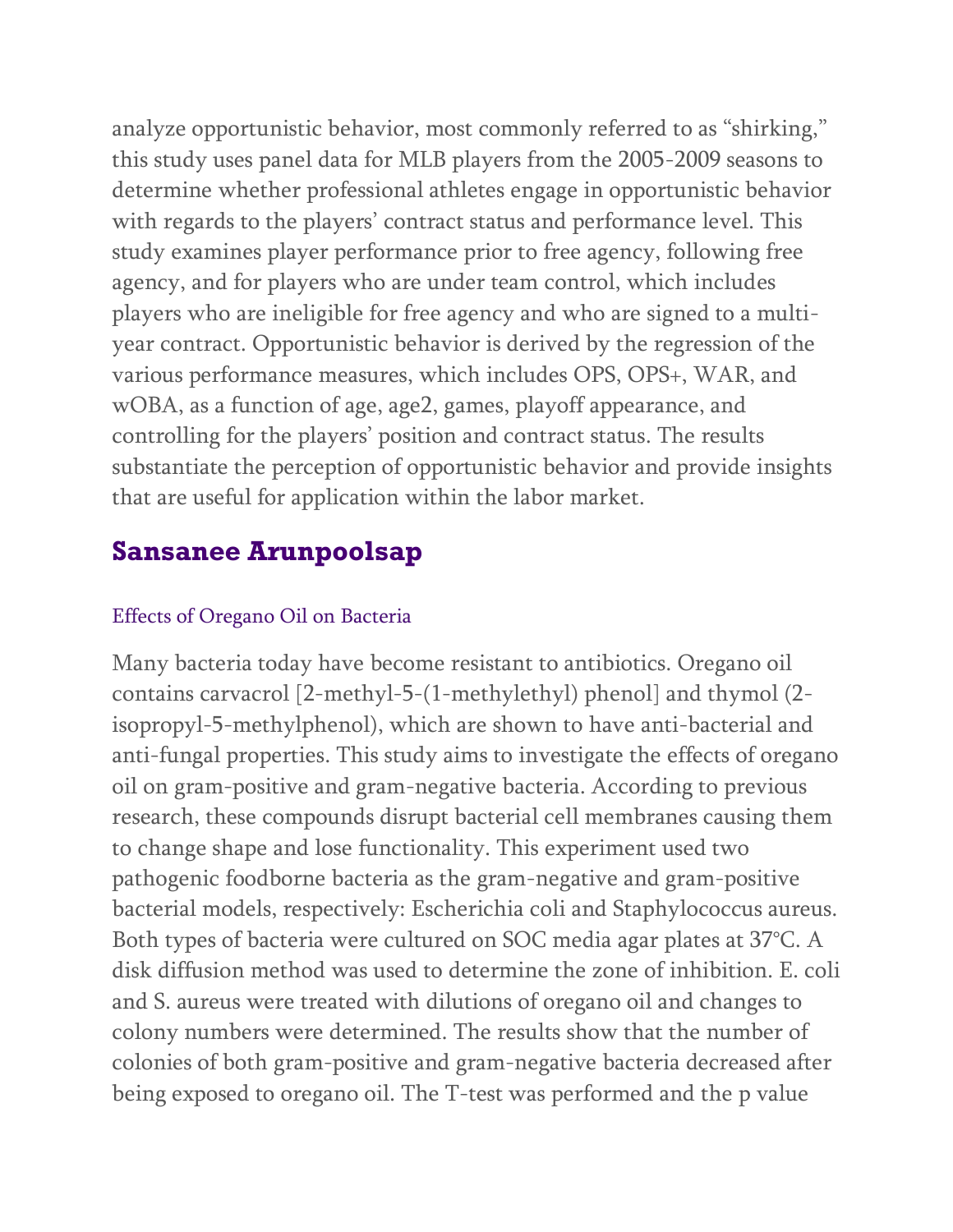analyze opportunistic behavior, most commonly referred to as "shirking," this study uses panel data for MLB players from the 2005-2009 seasons to determine whether professional athletes engage in opportunistic behavior with regards to the players' contract status and performance level. This study examines player performance prior to free agency, following free agency, and for players who are under team control, which includes players who are ineligible for free agency and who are signed to a multiyear contract. Opportunistic behavior is derived by the regression of the various performance measures, which includes OPS, OPS+, WAR, and wOBA, as a function of age, age2, games, playoff appearance, and controlling for the players' position and contract status. The results substantiate the perception of opportunistic behavior and provide insights that are useful for application within the labor market.

## **Sansanee Arunpoolsap**

#### Effects of Oregano Oil on Bacteria

Many bacteria today have become resistant to antibiotics. Oregano oil contains carvacrol [2-methyl-5-(1-methylethyl) phenol] and thymol (2 isopropyl-5-methylphenol), which are shown to have anti-bacterial and anti-fungal properties. This study aims to investigate the effects of oregano oil on gram-positive and gram-negative bacteria. According to previous research, these compounds disrupt bacterial cell membranes causing them to change shape and lose functionality. This experiment used two pathogenic foodborne bacteria as the gram-negative and gram-positive bacterial models, respectively: Escherichia coli and Staphylococcus aureus. Both types of bacteria were cultured on SOC media agar plates at 37°C. A disk diffusion method was used to determine the zone of inhibition. E. coli and S. aureus were treated with dilutions of oregano oil and changes to colony numbers were determined. The results show that the number of colonies of both gram-positive and gram-negative bacteria decreased after being exposed to oregano oil. The T-test was performed and the p value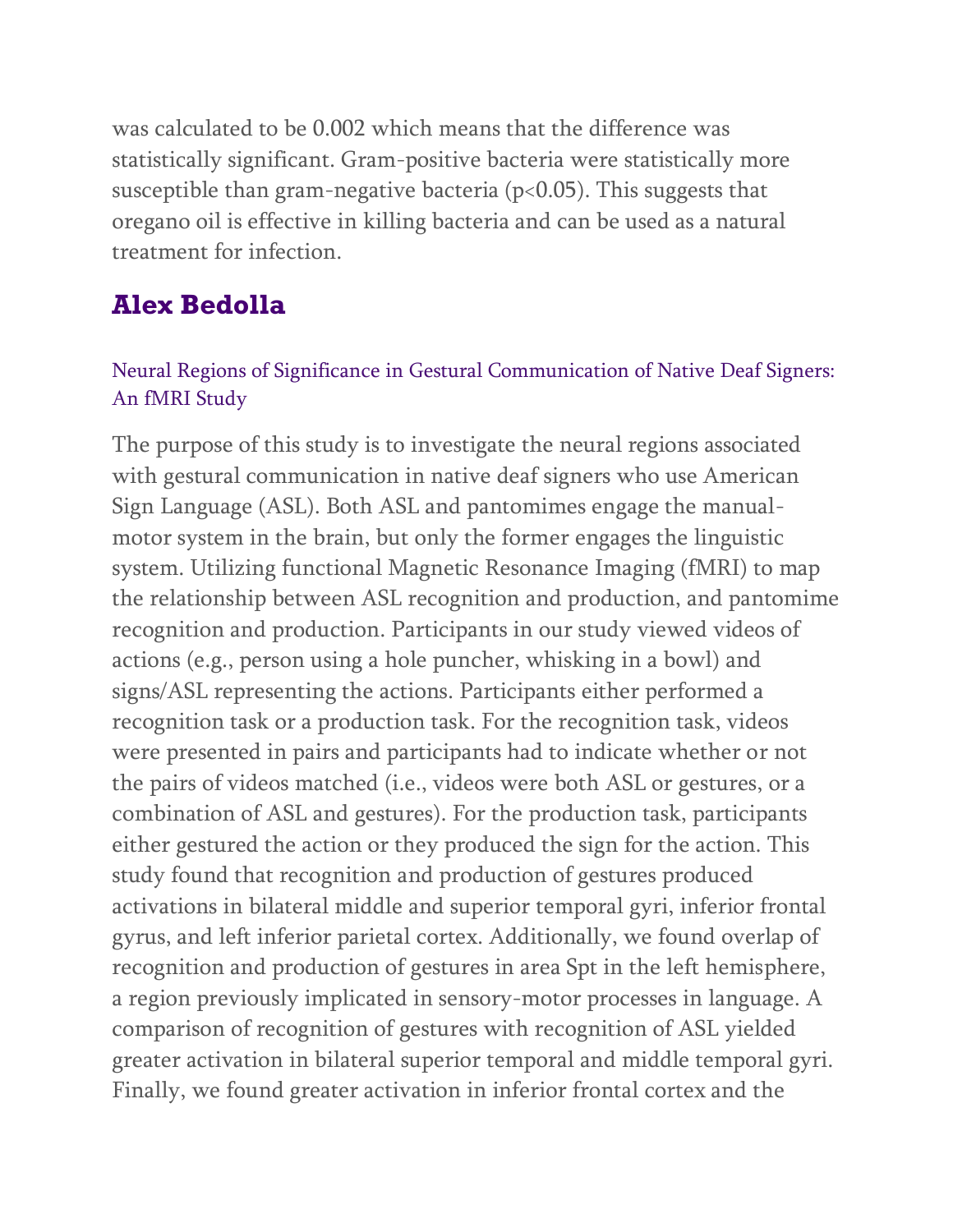was calculated to be 0.002 which means that the difference was statistically significant. Gram-positive bacteria were statistically more susceptible than gram-negative bacteria ( $p<0.05$ ). This suggests that oregano oil is effective in killing bacteria and can be used as a natural treatment for infection.

## **Alex Bedolla**

### Neural Regions of Significance in Gestural Communication of Native Deaf Signers: An fMRI Study

The purpose of this study is to investigate the neural regions associated with gestural communication in native deaf signers who use American Sign Language (ASL). Both ASL and pantomimes engage the manualmotor system in the brain, but only the former engages the linguistic system. Utilizing functional Magnetic Resonance Imaging (fMRI) to map the relationship between ASL recognition and production, and pantomime recognition and production. Participants in our study viewed videos of actions (e.g., person using a hole puncher, whisking in a bowl) and signs/ASL representing the actions. Participants either performed a recognition task or a production task. For the recognition task, videos were presented in pairs and participants had to indicate whether or not the pairs of videos matched (i.e., videos were both ASL or gestures, or a combination of ASL and gestures). For the production task, participants either gestured the action or they produced the sign for the action. This study found that recognition and production of gestures produced activations in bilateral middle and superior temporal gyri, inferior frontal gyrus, and left inferior parietal cortex. Additionally, we found overlap of recognition and production of gestures in area Spt in the left hemisphere, a region previously implicated in sensory-motor processes in language. A comparison of recognition of gestures with recognition of ASL yielded greater activation in bilateral superior temporal and middle temporal gyri. Finally, we found greater activation in inferior frontal cortex and the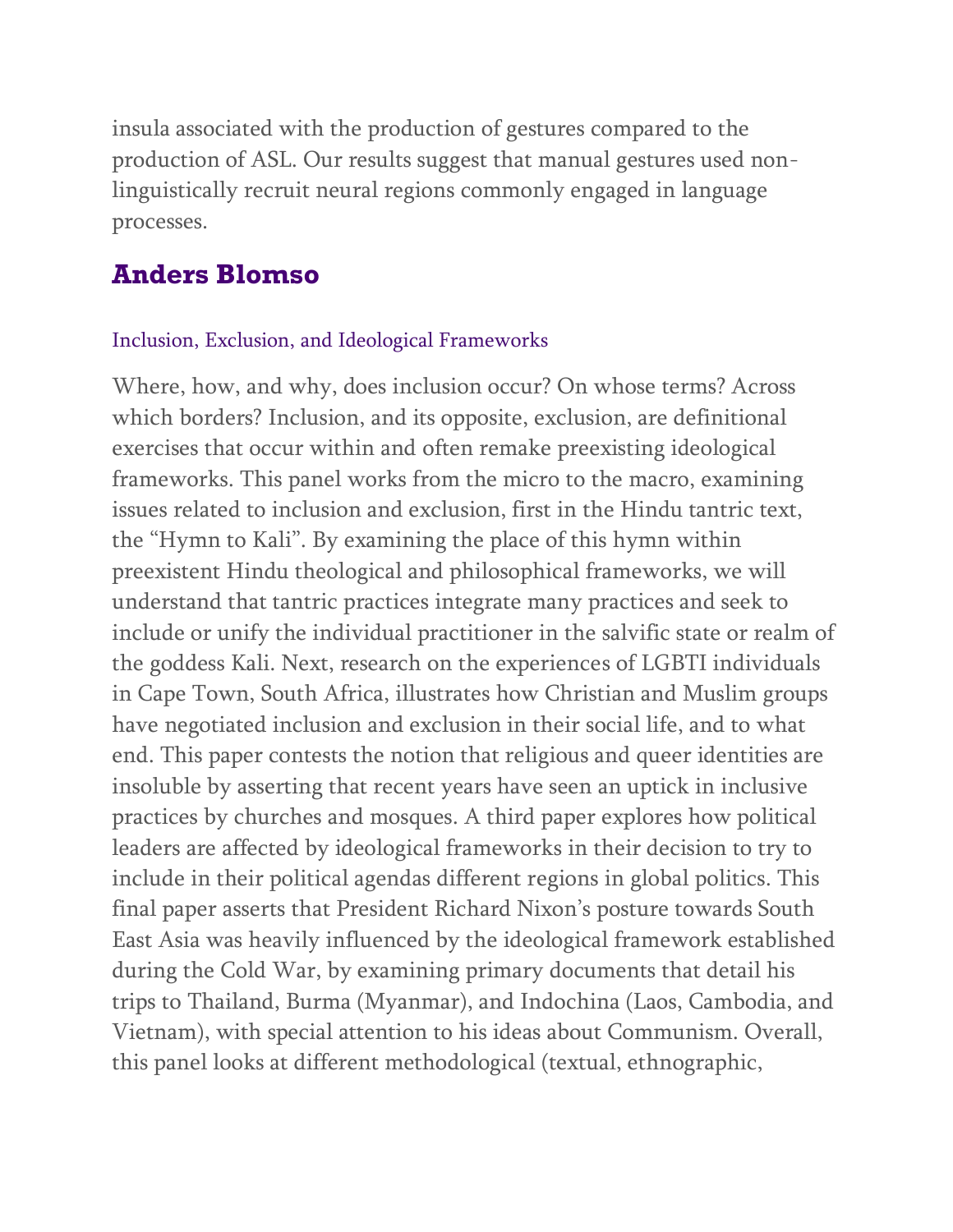insula associated with the production of gestures compared to the production of ASL. Our results suggest that manual gestures used nonlinguistically recruit neural regions commonly engaged in language processes.

### **Anders Blomso**

#### Inclusion, Exclusion, and Ideological Frameworks

Where, how, and why, does inclusion occur? On whose terms? Across which borders? Inclusion, and its opposite, exclusion, are definitional exercises that occur within and often remake preexisting ideological frameworks. This panel works from the micro to the macro, examining issues related to inclusion and exclusion, first in the Hindu tantric text, the "Hymn to Kali". By examining the place of this hymn within preexistent Hindu theological and philosophical frameworks, we will understand that tantric practices integrate many practices and seek to include or unify the individual practitioner in the salvific state or realm of the goddess Kali. Next, research on the experiences of LGBTI individuals in Cape Town, South Africa, illustrates how Christian and Muslim groups have negotiated inclusion and exclusion in their social life, and to what end. This paper contests the notion that religious and queer identities are insoluble by asserting that recent years have seen an uptick in inclusive practices by churches and mosques. A third paper explores how political leaders are affected by ideological frameworks in their decision to try to include in their political agendas different regions in global politics. This final paper asserts that President Richard Nixon's posture towards South East Asia was heavily influenced by the ideological framework established during the Cold War, by examining primary documents that detail his trips to Thailand, Burma (Myanmar), and Indochina (Laos, Cambodia, and Vietnam), with special attention to his ideas about Communism. Overall, this panel looks at different methodological (textual, ethnographic,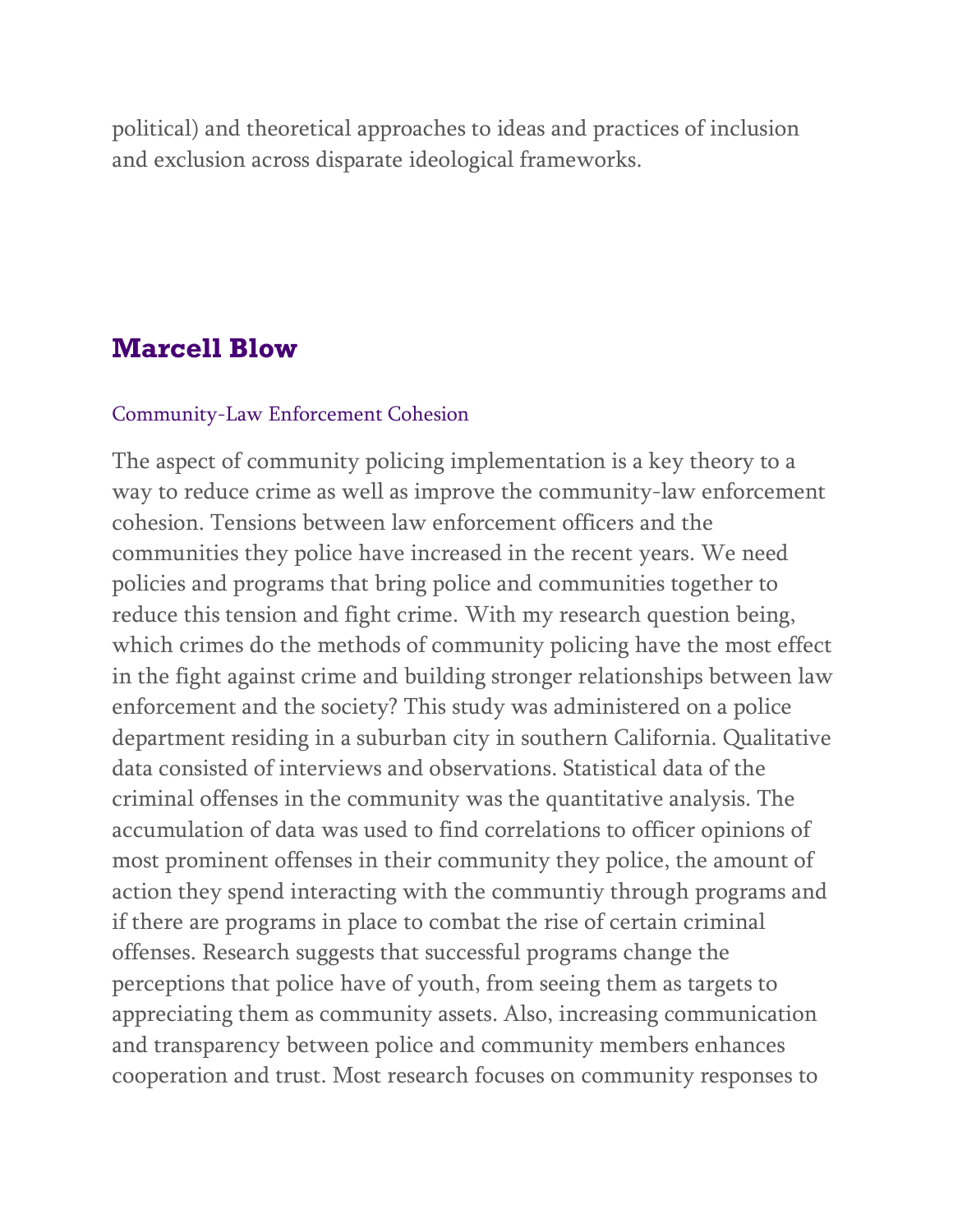political) and theoretical approaches to ideas and practices of inclusion and exclusion across disparate ideological frameworks.

### **Marcell Blow**

#### Community-Law Enforcement Cohesion

The aspect of community policing implementation is a key theory to a way to reduce crime as well as improve the community-law enforcement cohesion. Tensions between law enforcement officers and the communities they police have increased in the recent years. We need policies and programs that bring police and communities together to reduce this tension and fight crime. With my research question being, which crimes do the methods of community policing have the most effect in the fight against crime and building stronger relationships between law enforcement and the society? This study was administered on a police department residing in a suburban city in southern California. Qualitative data consisted of interviews and observations. Statistical data of the criminal offenses in the community was the quantitative analysis. The accumulation of data was used to find correlations to officer opinions of most prominent offenses in their community they police, the amount of action they spend interacting with the communtiy through programs and if there are programs in place to combat the rise of certain criminal offenses. Research suggests that successful programs change the perceptions that police have of youth, from seeing them as targets to appreciating them as community assets. Also, increasing communication and transparency between police and community members enhances cooperation and trust. Most research focuses on community responses to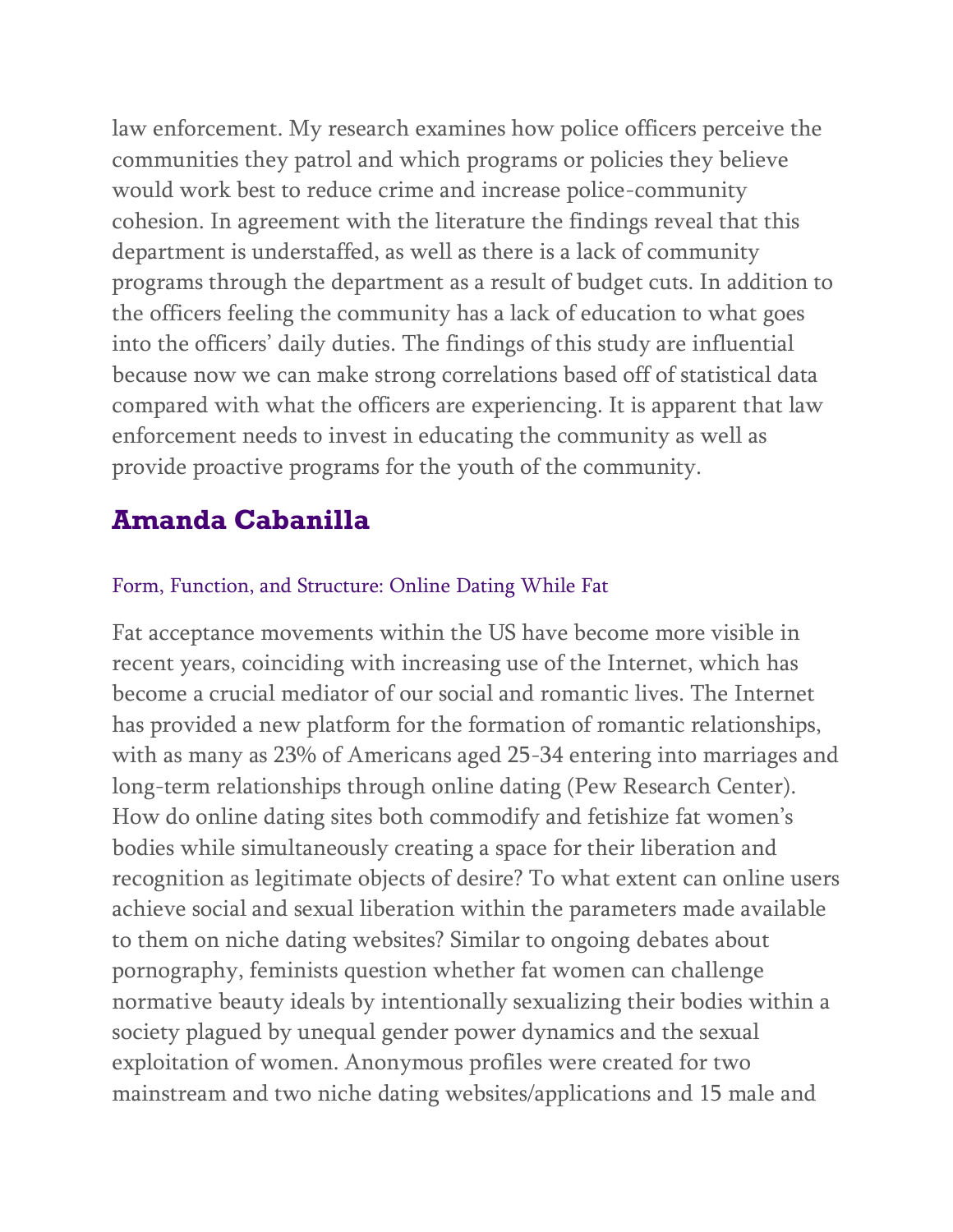law enforcement. My research examines how police officers perceive the communities they patrol and which programs or policies they believe would work best to reduce crime and increase police-community cohesion. In agreement with the literature the findings reveal that this department is understaffed, as well as there is a lack of community programs through the department as a result of budget cuts. In addition to the officers feeling the community has a lack of education to what goes into the officers' daily duties. The findings of this study are influential because now we can make strong correlations based off of statistical data compared with what the officers are experiencing. It is apparent that law enforcement needs to invest in educating the community as well as provide proactive programs for the youth of the community.

## **Amanda Cabanilla**

### Form, Function, and Structure: Online Dating While Fat

Fat acceptance movements within the US have become more visible in recent years, coinciding with increasing use of the Internet, which has become a crucial mediator of our social and romantic lives. The Internet has provided a new platform for the formation of romantic relationships, with as many as 23% of Americans aged 25-34 entering into marriages and long-term relationships through online dating (Pew Research Center). How do online dating sites both commodify and fetishize fat women's bodies while simultaneously creating a space for their liberation and recognition as legitimate objects of desire? To what extent can online users achieve social and sexual liberation within the parameters made available to them on niche dating websites? Similar to ongoing debates about pornography, feminists question whether fat women can challenge normative beauty ideals by intentionally sexualizing their bodies within a society plagued by unequal gender power dynamics and the sexual exploitation of women. Anonymous profiles were created for two mainstream and two niche dating websites/applications and 15 male and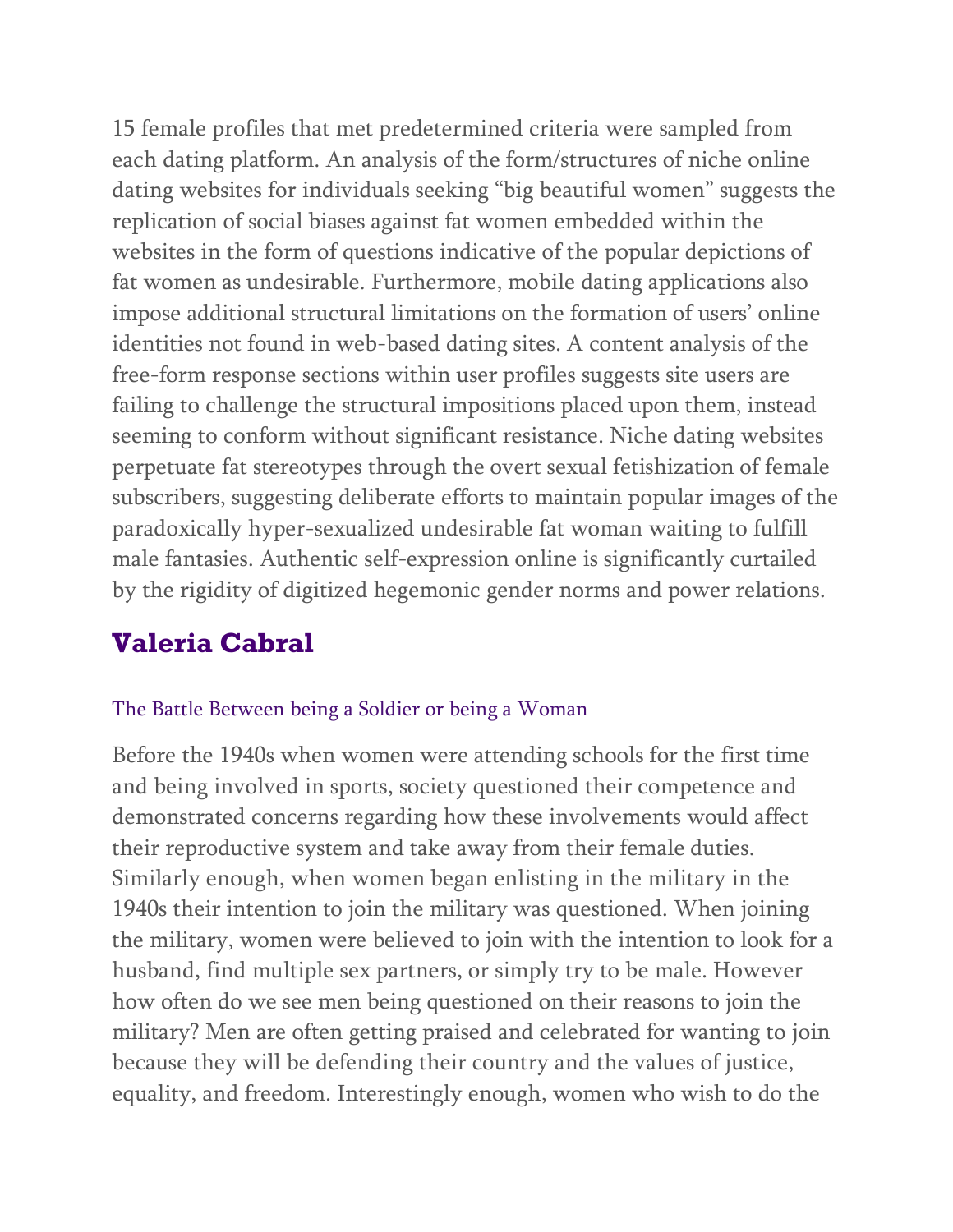15 female profiles that met predetermined criteria were sampled from each dating platform. An analysis of the form/structures of niche online dating websites for individuals seeking "big beautiful women" suggests the replication of social biases against fat women embedded within the websites in the form of questions indicative of the popular depictions of fat women as undesirable. Furthermore, mobile dating applications also impose additional structural limitations on the formation of users' online identities not found in web-based dating sites. A content analysis of the free-form response sections within user profiles suggests site users are failing to challenge the structural impositions placed upon them, instead seeming to conform without significant resistance. Niche dating websites perpetuate fat stereotypes through the overt sexual fetishization of female subscribers, suggesting deliberate efforts to maintain popular images of the paradoxically hyper-sexualized undesirable fat woman waiting to fulfill male fantasies. Authentic self-expression online is significantly curtailed by the rigidity of digitized hegemonic gender norms and power relations.

# **Valeria Cabral**

#### The Battle Between being a Soldier or being a Woman

Before the 1940s when women were attending schools for the first time and being involved in sports, society questioned their competence and demonstrated concerns regarding how these involvements would affect their reproductive system and take away from their female duties. Similarly enough, when women began enlisting in the military in the 1940s their intention to join the military was questioned. When joining the military, women were believed to join with the intention to look for a husband, find multiple sex partners, or simply try to be male. However how often do we see men being questioned on their reasons to join the military? Men are often getting praised and celebrated for wanting to join because they will be defending their country and the values of justice, equality, and freedom. Interestingly enough, women who wish to do the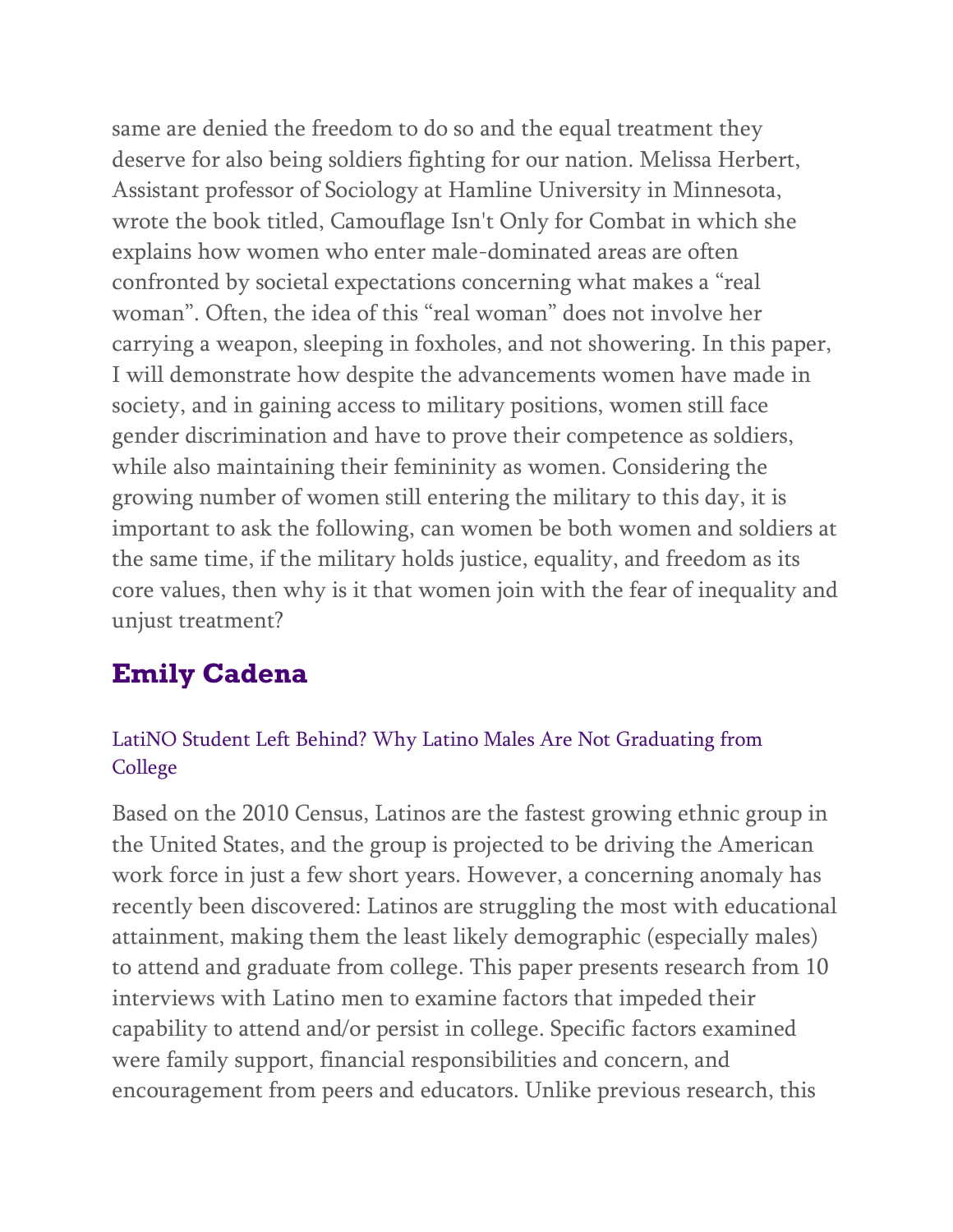same are denied the freedom to do so and the equal treatment they deserve for also being soldiers fighting for our nation. Melissa Herbert, Assistant professor of Sociology at Hamline University in Minnesota, wrote the book titled, Camouflage Isn't Only for Combat in which she explains how women who enter male-dominated areas are often confronted by societal expectations concerning what makes a "real woman". Often, the idea of this "real woman" does not involve her carrying a weapon, sleeping in foxholes, and not showering. In this paper, I will demonstrate how despite the advancements women have made in society, and in gaining access to military positions, women still face gender discrimination and have to prove their competence as soldiers, while also maintaining their femininity as women. Considering the growing number of women still entering the military to this day, it is important to ask the following, can women be both women and soldiers at the same time, if the military holds justice, equality, and freedom as its core values, then why is it that women join with the fear of inequality and unjust treatment?

# **Emily Cadena**

### LatiNO Student Left Behind? Why Latino Males Are Not Graduating from College

Based on the 2010 Census, Latinos are the fastest growing ethnic group in the United States, and the group is projected to be driving the American work force in just a few short years. However, a concerning anomaly has recently been discovered: Latinos are struggling the most with educational attainment, making them the least likely demographic (especially males) to attend and graduate from college. This paper presents research from 10 interviews with Latino men to examine factors that impeded their capability to attend and/or persist in college. Specific factors examined were family support, financial responsibilities and concern, and encouragement from peers and educators. Unlike previous research, this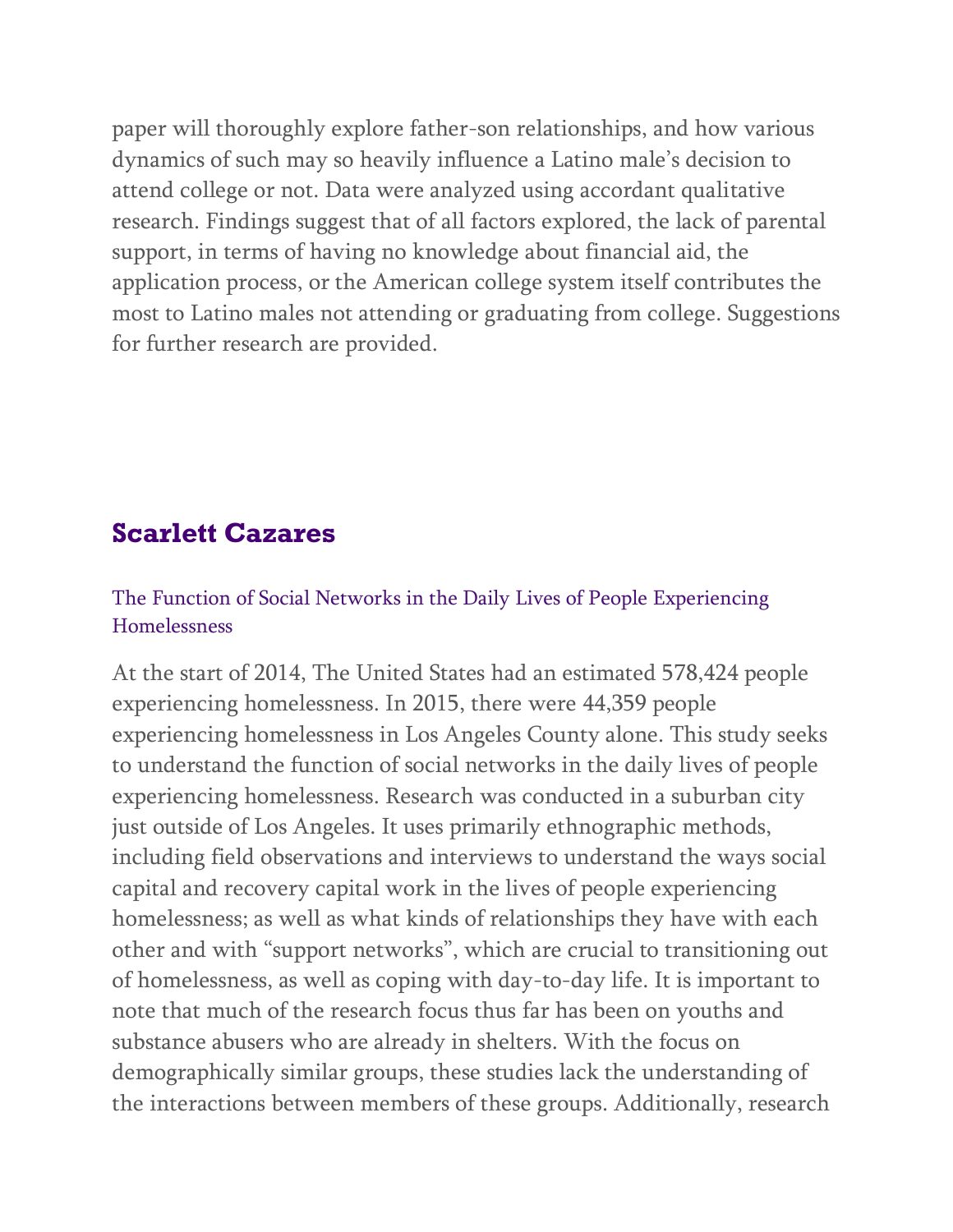paper will thoroughly explore father-son relationships, and how various dynamics of such may so heavily influence a Latino male's decision to attend college or not. Data were analyzed using accordant qualitative research. Findings suggest that of all factors explored, the lack of parental support, in terms of having no knowledge about financial aid, the application process, or the American college system itself contributes the most to Latino males not attending or graduating from college. Suggestions for further research are provided.

## **Scarlett Cazares**

### The Function of Social Networks in the Daily Lives of People Experiencing Homelessness

At the start of 2014, The United States had an estimated 578,424 people experiencing homelessness. In 2015, there were 44,359 people experiencing homelessness in Los Angeles County alone. This study seeks to understand the function of social networks in the daily lives of people experiencing homelessness. Research was conducted in a suburban city just outside of Los Angeles. It uses primarily ethnographic methods, including field observations and interviews to understand the ways social capital and recovery capital work in the lives of people experiencing homelessness; as well as what kinds of relationships they have with each other and with "support networks", which are crucial to transitioning out of homelessness, as well as coping with day-to-day life. It is important to note that much of the research focus thus far has been on youths and substance abusers who are already in shelters. With the focus on demographically similar groups, these studies lack the understanding of the interactions between members of these groups. Additionally, research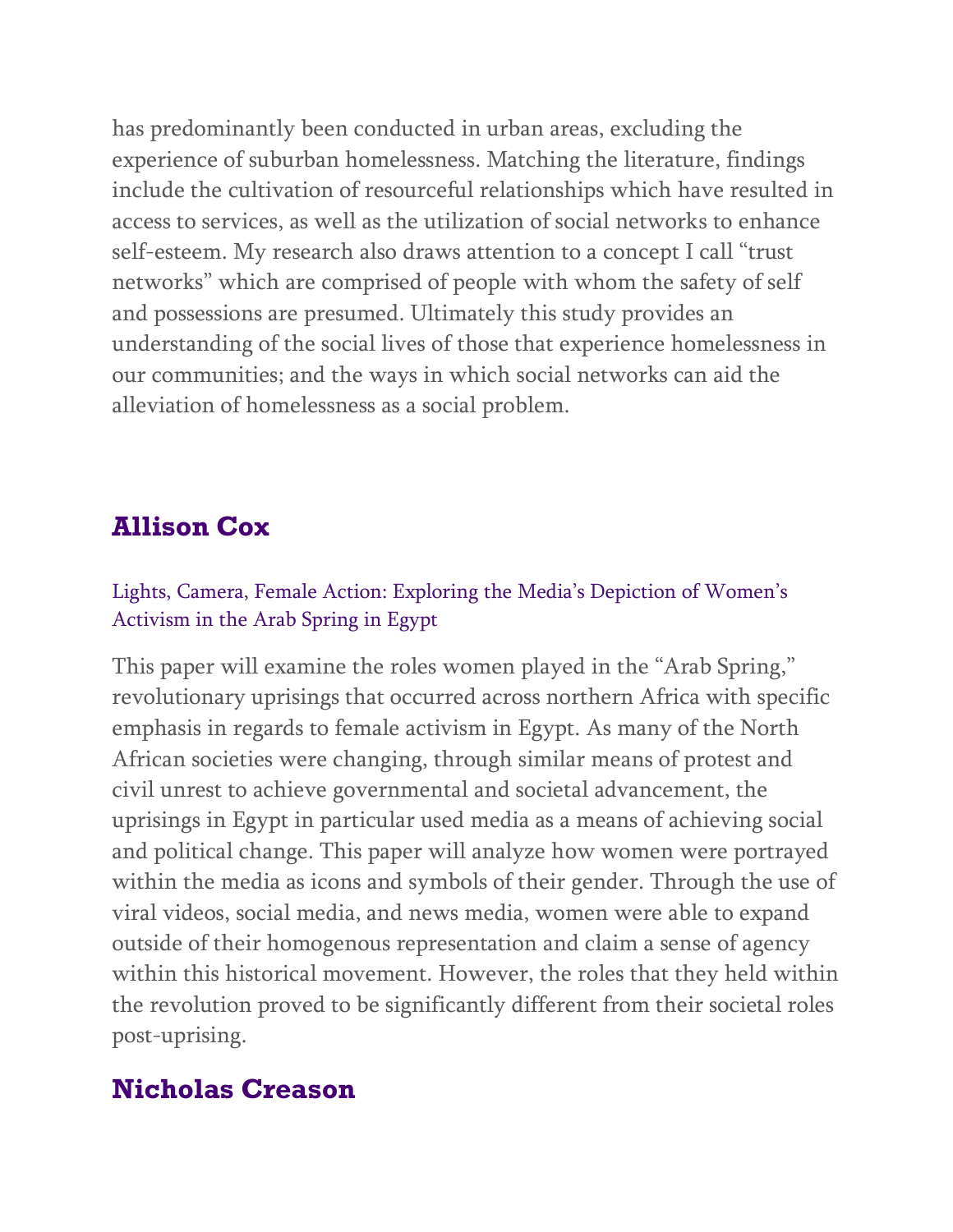has predominantly been conducted in urban areas, excluding the experience of suburban homelessness. Matching the literature, findings include the cultivation of resourceful relationships which have resulted in access to services, as well as the utilization of social networks to enhance self-esteem. My research also draws attention to a concept I call "trust networks" which are comprised of people with whom the safety of self and possessions are presumed. Ultimately this study provides an understanding of the social lives of those that experience homelessness in our communities; and the ways in which social networks can aid the alleviation of homelessness as a social problem.

# **Allison Cox**

### Lights, Camera, Female Action: Exploring the Media's Depiction of Women's Activism in the Arab Spring in Egypt

This paper will examine the roles women played in the "Arab Spring," revolutionary uprisings that occurred across northern Africa with specific emphasis in regards to female activism in Egypt. As many of the North African societies were changing, through similar means of protest and civil unrest to achieve governmental and societal advancement, the uprisings in Egypt in particular used media as a means of achieving social and political change. This paper will analyze how women were portrayed within the media as icons and symbols of their gender. Through the use of viral videos, social media, and news media, women were able to expand outside of their homogenous representation and claim a sense of agency within this historical movement. However, the roles that they held within the revolution proved to be significantly different from their societal roles post-uprising.

# **Nicholas Creason**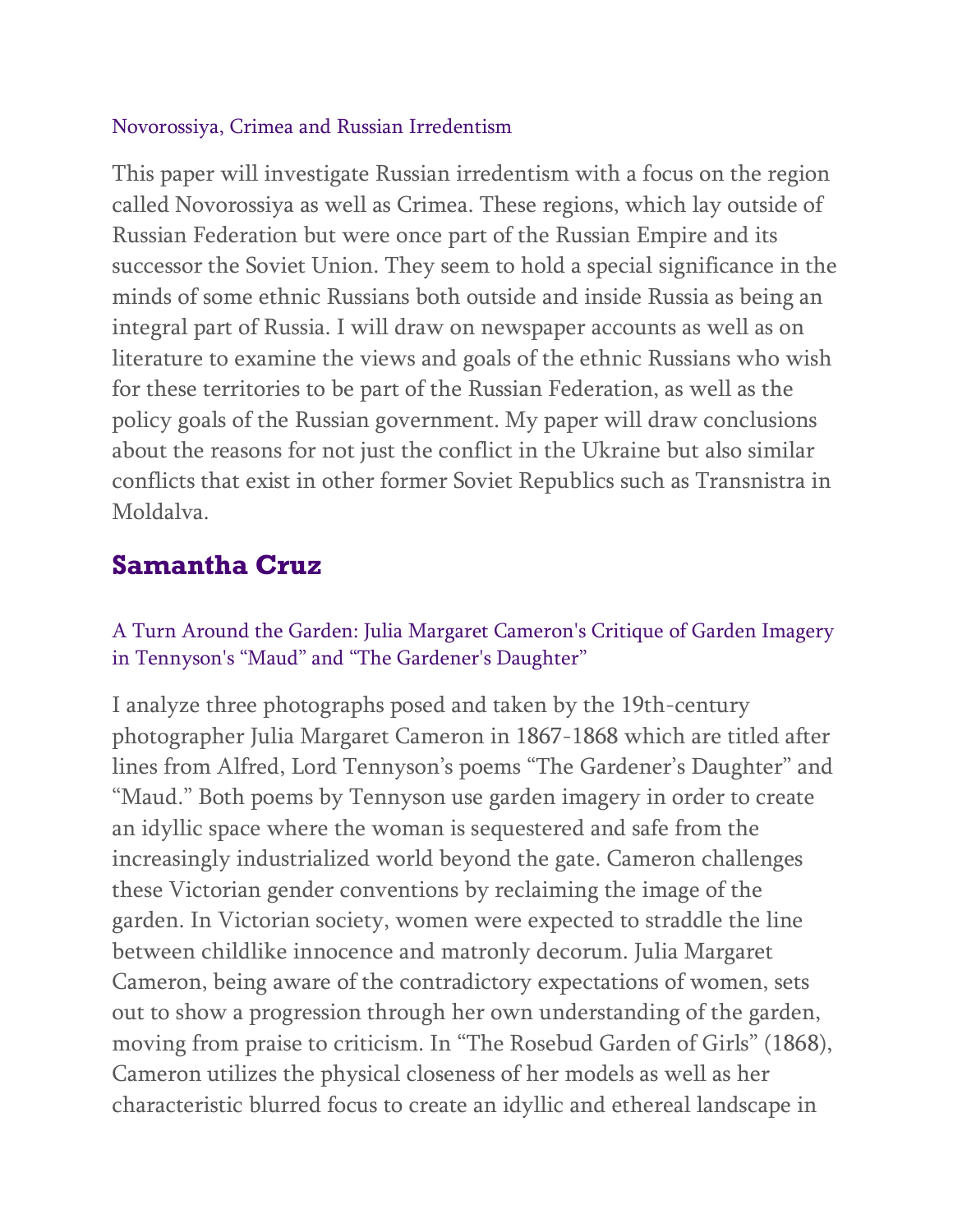#### Novorossiya, Crimea and Russian Irredentism

This paper will investigate Russian irredentism with a focus on the region called Novorossiya as well as Crimea. These regions, which lay outside of Russian Federation but were once part of the Russian Empire and its successor the Soviet Union. They seem to hold a special significance in the minds of some ethnic Russians both outside and inside Russia as being an integral part of Russia. I will draw on newspaper accounts as well as on literature to examine the views and goals of the ethnic Russians who wish for these territories to be part of the Russian Federation, as well as the policy goals of the Russian government. My paper will draw conclusions about the reasons for not just the conflict in the Ukraine but also similar conflicts that exist in other former Soviet Republics such as Transnistra in Moldalva.

# **Samantha Cruz**

### A Turn Around the Garden: Julia Margaret Cameron's Critique of Garden Imagery in Tennyson's "Maud" and "The Gardener's Daughter"

I analyze three photographs posed and taken by the 19th-century photographer Julia Margaret Cameron in 1867-1868 which are titled after lines from Alfred, Lord Tennyson's poems "The Gardener's Daughter" and "Maud." Both poems by Tennyson use garden imagery in order to create an idyllic space where the woman is sequestered and safe from the increasingly industrialized world beyond the gate. Cameron challenges these Victorian gender conventions by reclaiming the image of the garden. In Victorian society, women were expected to straddle the line between childlike innocence and matronly decorum. Julia Margaret Cameron, being aware of the contradictory expectations of women, sets out to show a progression through her own understanding of the garden, moving from praise to criticism. In "The Rosebud Garden of Girls" (1868), Cameron utilizes the physical closeness of her models as well as her characteristic blurred focus to create an idyllic and ethereal landscape in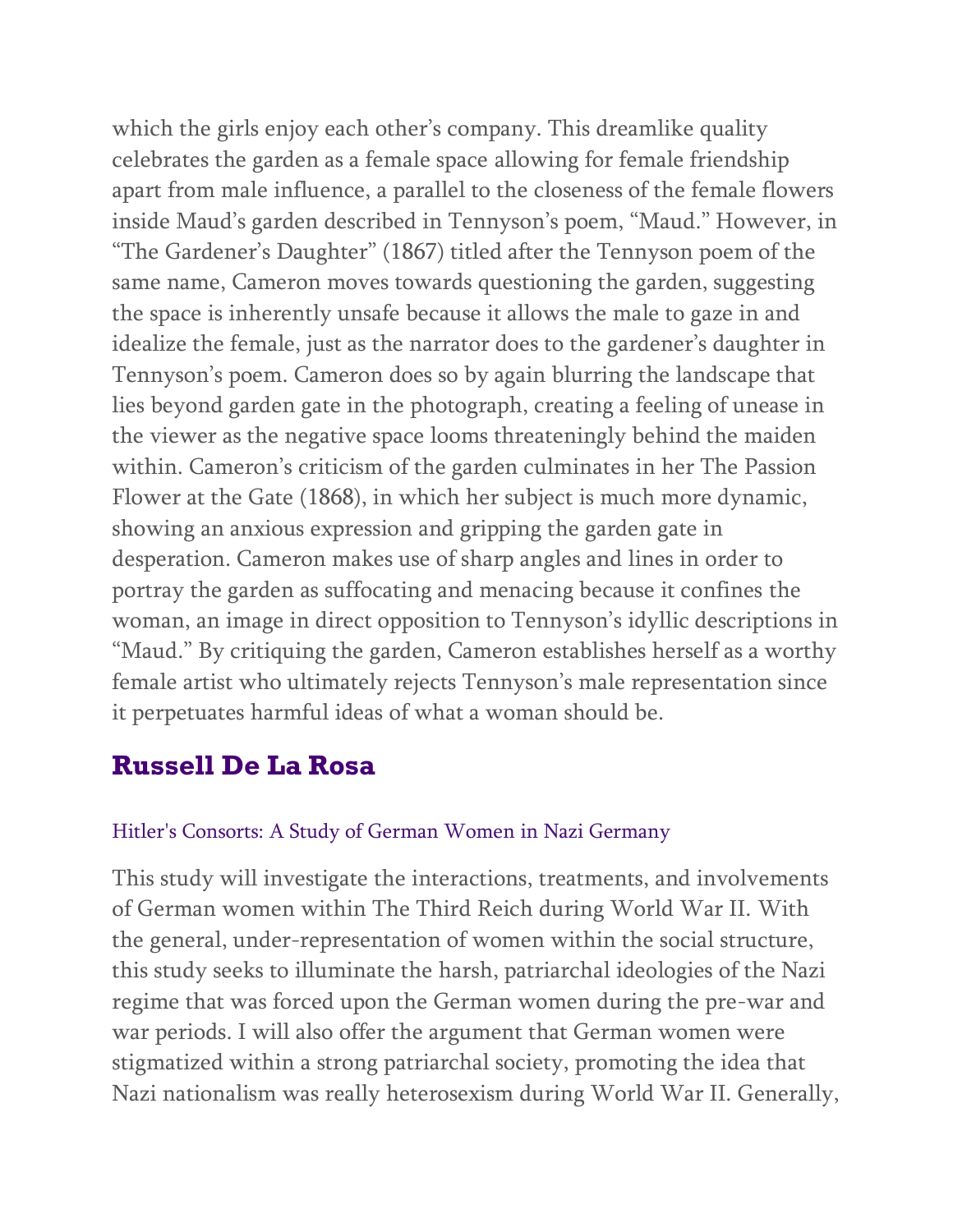which the girls enjoy each other's company. This dreamlike quality celebrates the garden as a female space allowing for female friendship apart from male influence, a parallel to the closeness of the female flowers inside Maud's garden described in Tennyson's poem, "Maud." However, in "The Gardener's Daughter" (1867) titled after the Tennyson poem of the same name, Cameron moves towards questioning the garden, suggesting the space is inherently unsafe because it allows the male to gaze in and idealize the female, just as the narrator does to the gardener's daughter in Tennyson's poem. Cameron does so by again blurring the landscape that lies beyond garden gate in the photograph, creating a feeling of unease in the viewer as the negative space looms threateningly behind the maiden within. Cameron's criticism of the garden culminates in her The Passion Flower at the Gate (1868), in which her subject is much more dynamic, showing an anxious expression and gripping the garden gate in desperation. Cameron makes use of sharp angles and lines in order to portray the garden as suffocating and menacing because it confines the woman, an image in direct opposition to Tennyson's idyllic descriptions in "Maud." By critiquing the garden, Cameron establishes herself as a worthy female artist who ultimately rejects Tennyson's male representation since it perpetuates harmful ideas of what a woman should be.

# **Russell De La Rosa**

#### Hitler's Consorts: A Study of German Women in Nazi Germany

This study will investigate the interactions, treatments, and involvements of German women within The Third Reich during World War II. With the general, under-representation of women within the social structure, this study seeks to illuminate the harsh, patriarchal ideologies of the Nazi regime that was forced upon the German women during the pre-war and war periods. I will also offer the argument that German women were stigmatized within a strong patriarchal society, promoting the idea that Nazi nationalism was really heterosexism during World War II. Generally,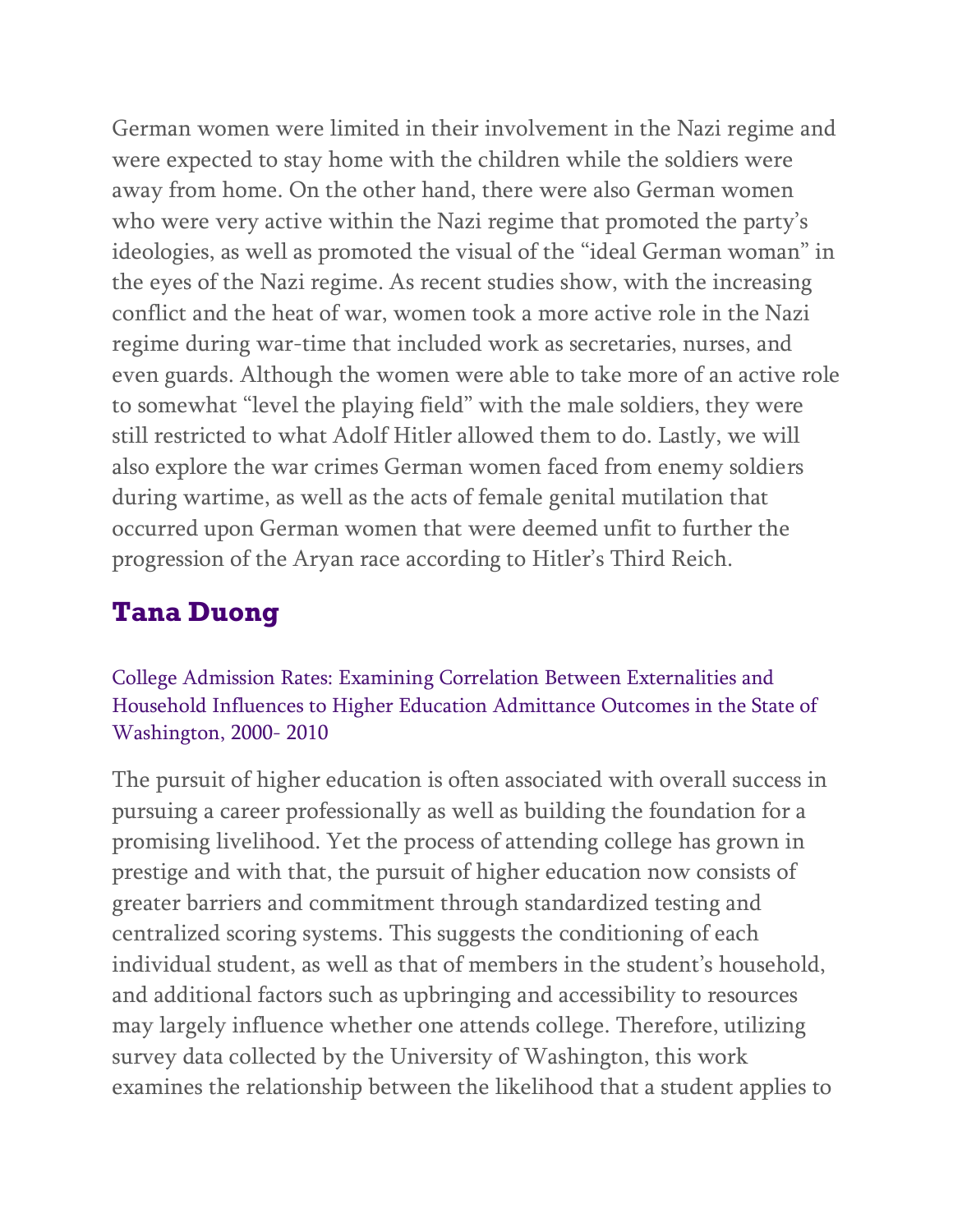German women were limited in their involvement in the Nazi regime and were expected to stay home with the children while the soldiers were away from home. On the other hand, there were also German women who were very active within the Nazi regime that promoted the party's ideologies, as well as promoted the visual of the "ideal German woman" in the eyes of the Nazi regime. As recent studies show, with the increasing conflict and the heat of war, women took a more active role in the Nazi regime during war-time that included work as secretaries, nurses, and even guards. Although the women were able to take more of an active role to somewhat "level the playing field" with the male soldiers, they were still restricted to what Adolf Hitler allowed them to do. Lastly, we will also explore the war crimes German women faced from enemy soldiers during wartime, as well as the acts of female genital mutilation that occurred upon German women that were deemed unfit to further the progression of the Aryan race according to Hitler's Third Reich.

# **Tana Duong**

College Admission Rates: Examining Correlation Between Externalities and Household Influences to Higher Education Admittance Outcomes in the State of Washington, 2000- 2010

The pursuit of higher education is often associated with overall success in pursuing a career professionally as well as building the foundation for a promising livelihood. Yet the process of attending college has grown in prestige and with that, the pursuit of higher education now consists of greater barriers and commitment through standardized testing and centralized scoring systems. This suggests the conditioning of each individual student, as well as that of members in the student's household, and additional factors such as upbringing and accessibility to resources may largely influence whether one attends college. Therefore, utilizing survey data collected by the University of Washington, this work examines the relationship between the likelihood that a student applies to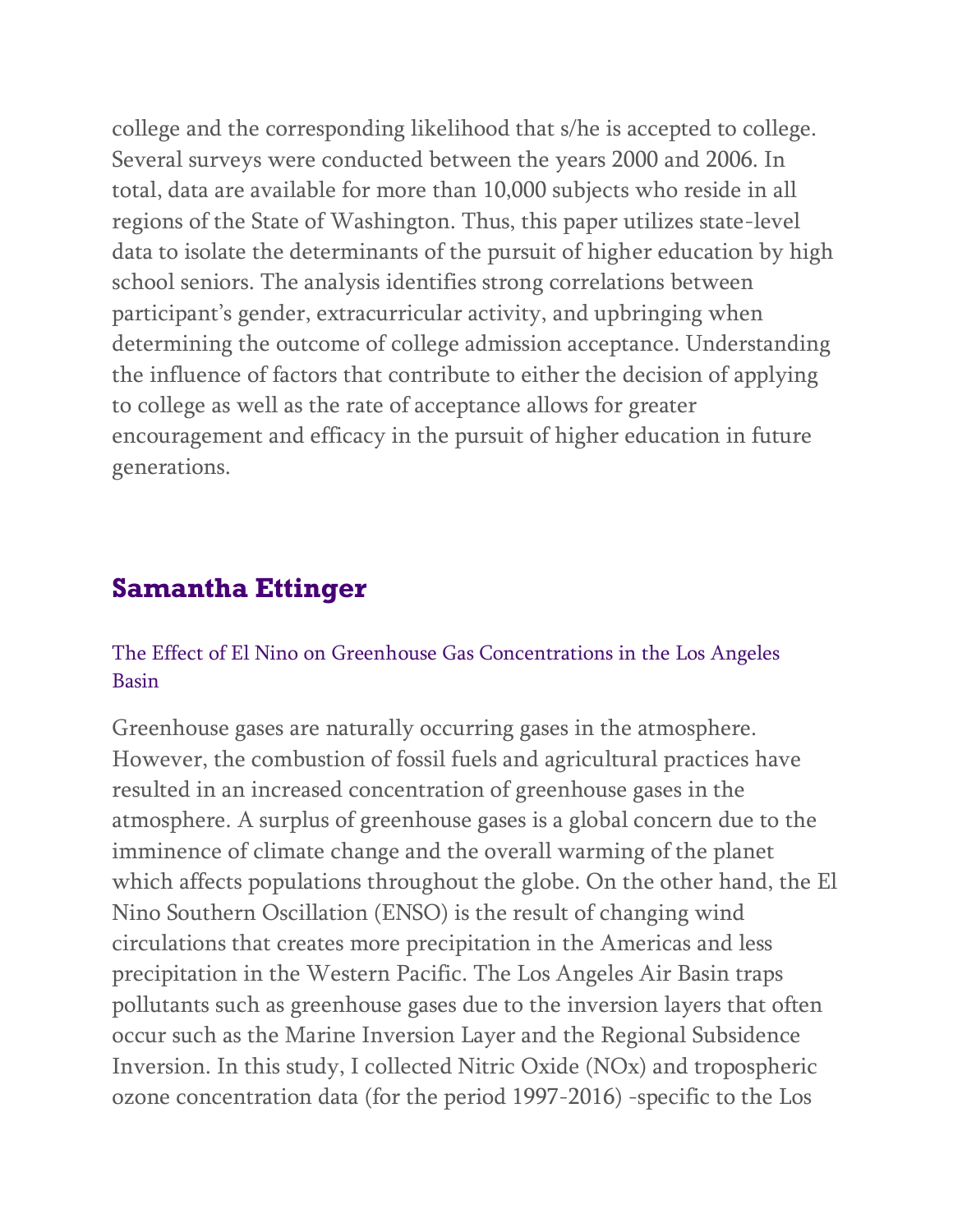college and the corresponding likelihood that s/he is accepted to college. Several surveys were conducted between the years 2000 and 2006. In total, data are available for more than 10,000 subjects who reside in all regions of the State of Washington. Thus, this paper utilizes state-level data to isolate the determinants of the pursuit of higher education by high school seniors. The analysis identifies strong correlations between participant's gender, extracurricular activity, and upbringing when determining the outcome of college admission acceptance. Understanding the influence of factors that contribute to either the decision of applying to college as well as the rate of acceptance allows for greater encouragement and efficacy in the pursuit of higher education in future generations.

### **Samantha Ettinger**

### The Effect of El Nino on Greenhouse Gas Concentrations in the Los Angeles Basin

Greenhouse gases are naturally occurring gases in the atmosphere. However, the combustion of fossil fuels and agricultural practices have resulted in an increased concentration of greenhouse gases in the atmosphere. A surplus of greenhouse gases is a global concern due to the imminence of climate change and the overall warming of the planet which affects populations throughout the globe. On the other hand, the El Nino Southern Oscillation (ENSO) is the result of changing wind circulations that creates more precipitation in the Americas and less precipitation in the Western Pacific. The Los Angeles Air Basin traps pollutants such as greenhouse gases due to the inversion layers that often occur such as the Marine Inversion Layer and the Regional Subsidence Inversion. In this study, I collected Nitric Oxide (NOx) and tropospheric ozone concentration data (for the period 1997-2016) -specific to the Los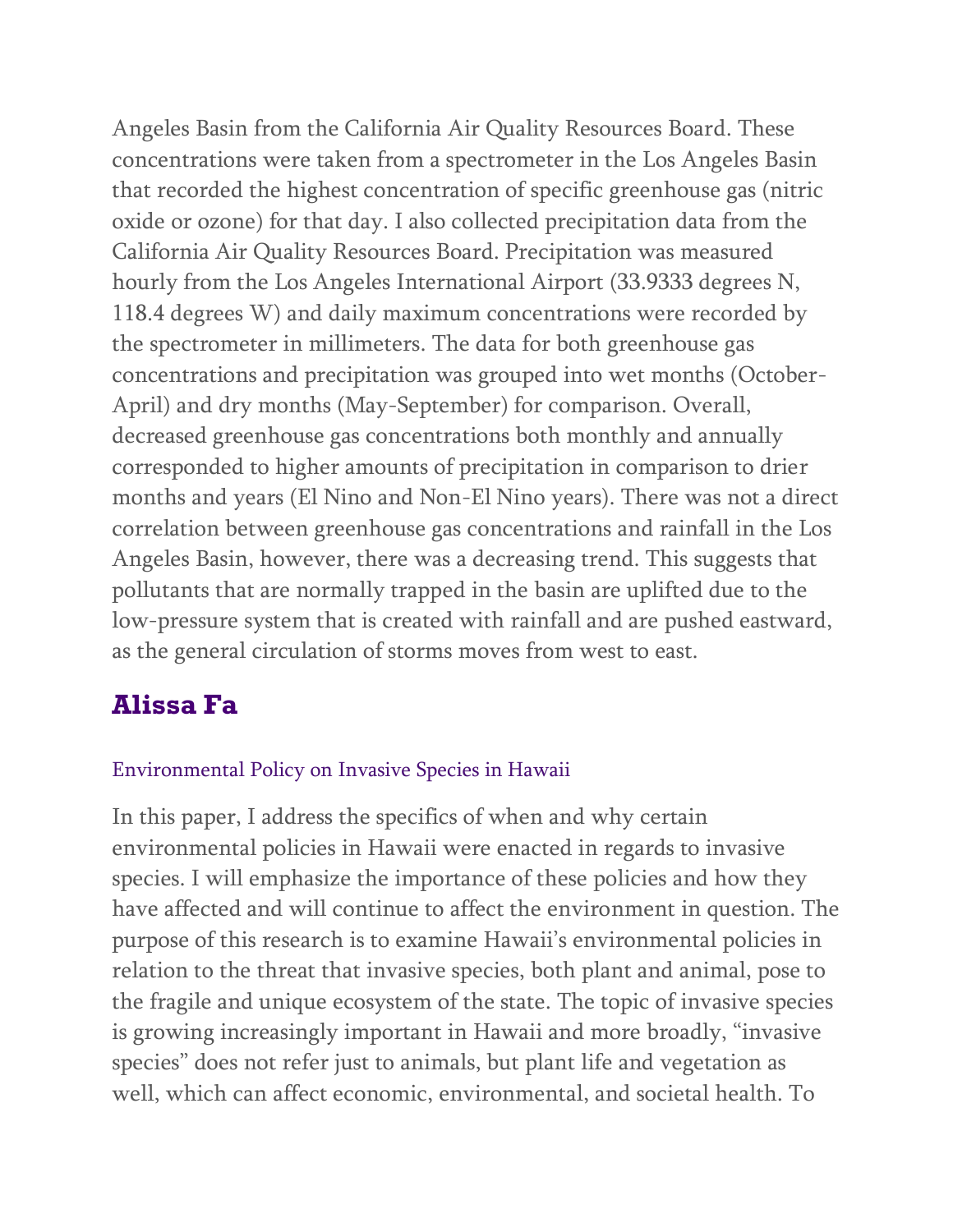Angeles Basin from the California Air Quality Resources Board. These concentrations were taken from a spectrometer in the Los Angeles Basin that recorded the highest concentration of specific greenhouse gas (nitric oxide or ozone) for that day. I also collected precipitation data from the California Air Quality Resources Board. Precipitation was measured hourly from the Los Angeles International Airport (33.9333 degrees N, 118.4 degrees W) and daily maximum concentrations were recorded by the spectrometer in millimeters. The data for both greenhouse gas concentrations and precipitation was grouped into wet months (October-April) and dry months (May-September) for comparison. Overall, decreased greenhouse gas concentrations both monthly and annually corresponded to higher amounts of precipitation in comparison to drier months and years (El Nino and Non-El Nino years). There was not a direct correlation between greenhouse gas concentrations and rainfall in the Los Angeles Basin, however, there was a decreasing trend. This suggests that pollutants that are normally trapped in the basin are uplifted due to the low-pressure system that is created with rainfall and are pushed eastward, as the general circulation of storms moves from west to east.

### **Alissa Fa**

#### Environmental Policy on Invasive Species in Hawaii

In this paper, I address the specifics of when and why certain environmental policies in Hawaii were enacted in regards to invasive species. I will emphasize the importance of these policies and how they have affected and will continue to affect the environment in question. The purpose of this research is to examine Hawaii's environmental policies in relation to the threat that invasive species, both plant and animal, pose to the fragile and unique ecosystem of the state. The topic of invasive species is growing increasingly important in Hawaii and more broadly, "invasive species" does not refer just to animals, but plant life and vegetation as well, which can affect economic, environmental, and societal health. To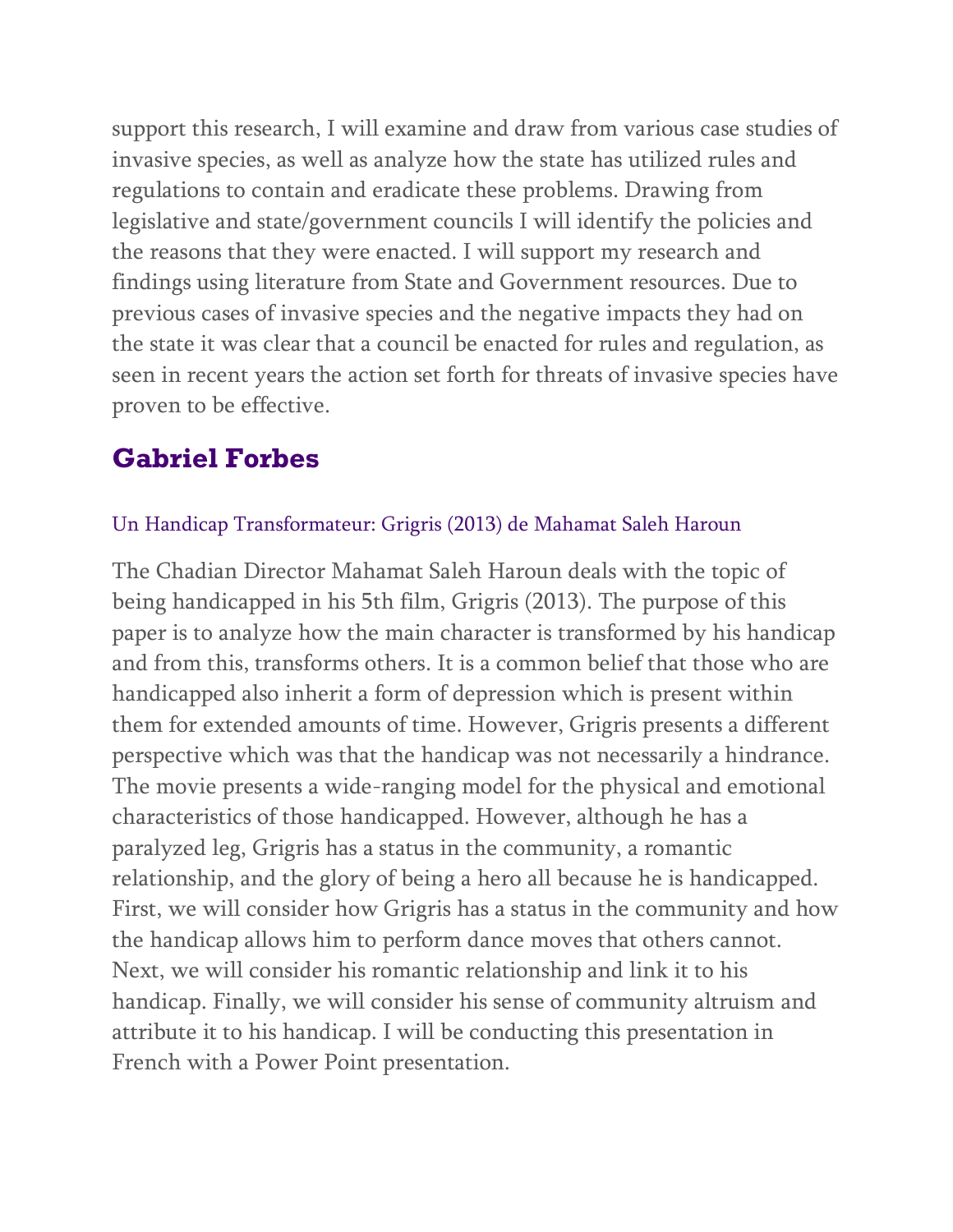support this research, I will examine and draw from various case studies of invasive species, as well as analyze how the state has utilized rules and regulations to contain and eradicate these problems. Drawing from legislative and state/government councils I will identify the policies and the reasons that they were enacted. I will support my research and findings using literature from State and Government resources. Due to previous cases of invasive species and the negative impacts they had on the state it was clear that a council be enacted for rules and regulation, as seen in recent years the action set forth for threats of invasive species have proven to be effective.

# **Gabriel Forbes**

### Un Handicap Transformateur: Grigris (2013) de Mahamat Saleh Haroun

The Chadian Director Mahamat Saleh Haroun deals with the topic of being handicapped in his 5th film, Grigris (2013). The purpose of this paper is to analyze how the main character is transformed by his handicap and from this, transforms others. It is a common belief that those who are handicapped also inherit a form of depression which is present within them for extended amounts of time. However, Grigris presents a different perspective which was that the handicap was not necessarily a hindrance. The movie presents a wide-ranging model for the physical and emotional characteristics of those handicapped. However, although he has a paralyzed leg, Grigris has a status in the community, a romantic relationship, and the glory of being a hero all because he is handicapped. First, we will consider how Grigris has a status in the community and how the handicap allows him to perform dance moves that others cannot. Next, we will consider his romantic relationship and link it to his handicap. Finally, we will consider his sense of community altruism and attribute it to his handicap. I will be conducting this presentation in French with a Power Point presentation.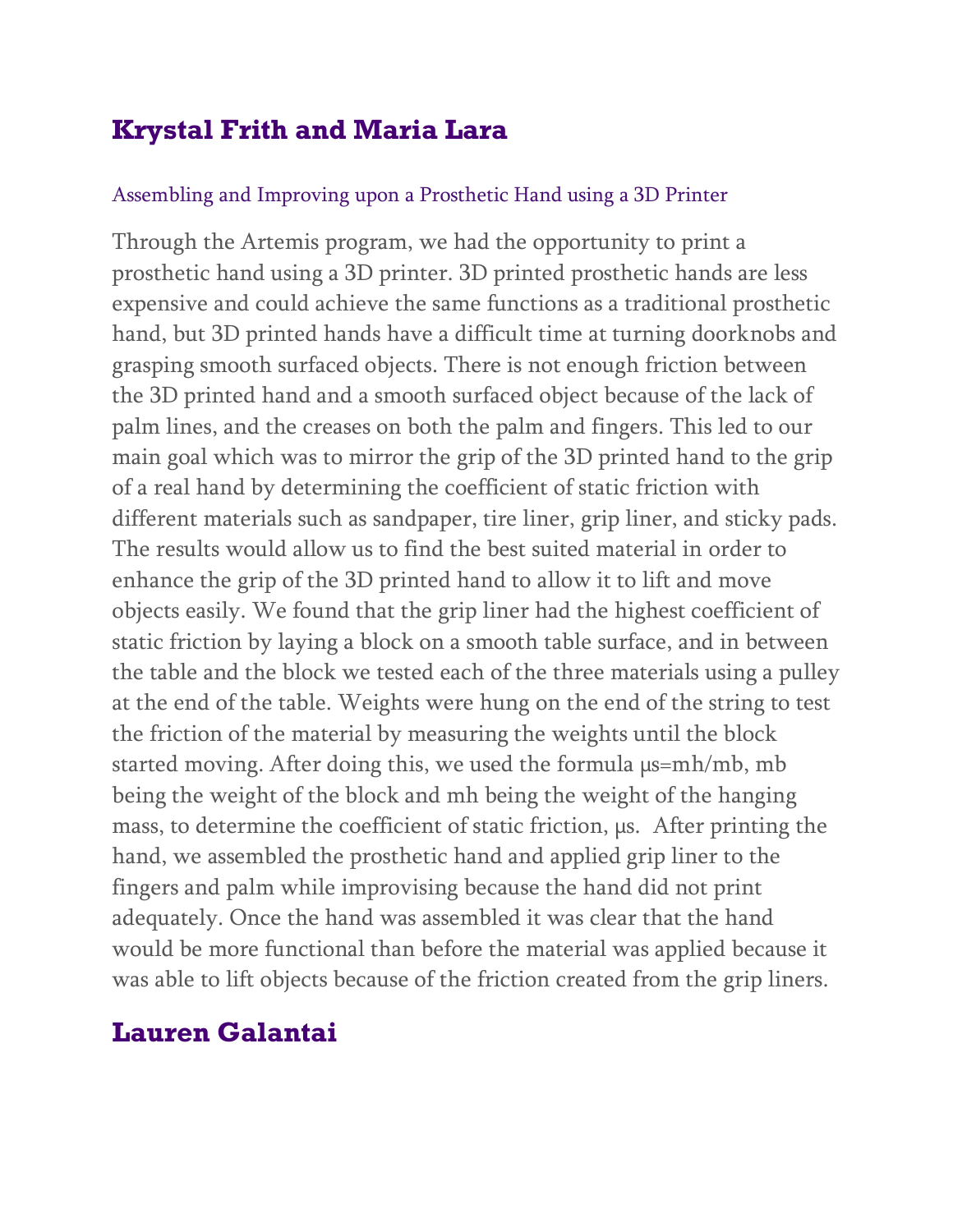# **Krystal Frith and Maria Lara**

#### Assembling and Improving upon a Prosthetic Hand using a 3D Printer

Through the Artemis program, we had the opportunity to print a prosthetic hand using a 3D printer. 3D printed prosthetic hands are less expensive and could achieve the same functions as a traditional prosthetic hand, but 3D printed hands have a difficult time at turning doorknobs and grasping smooth surfaced objects. There is not enough friction between the 3D printed hand and a smooth surfaced object because of the lack of palm lines, and the creases on both the palm and fingers. This led to our main goal which was to mirror the grip of the 3D printed hand to the grip of a real hand by determining the coefficient of static friction with different materials such as sandpaper, tire liner, grip liner, and sticky pads. The results would allow us to find the best suited material in order to enhance the grip of the 3D printed hand to allow it to lift and move objects easily. We found that the grip liner had the highest coefficient of static friction by laying a block on a smooth table surface, and in between the table and the block we tested each of the three materials using a pulley at the end of the table. Weights were hung on the end of the string to test the friction of the material by measuring the weights until the block started moving. After doing this, we used the formula  $\mu$ s=mh/mb, mb being the weight of the block and mh being the weight of the hanging mass, to determine the coefficient of static friction,  $\mu$ s. After printing the hand, we assembled the prosthetic hand and applied grip liner to the fingers and palm while improvising because the hand did not print adequately. Once the hand was assembled it was clear that the hand would be more functional than before the material was applied because it was able to lift objects because of the friction created from the grip liners.

### **Lauren Galantai**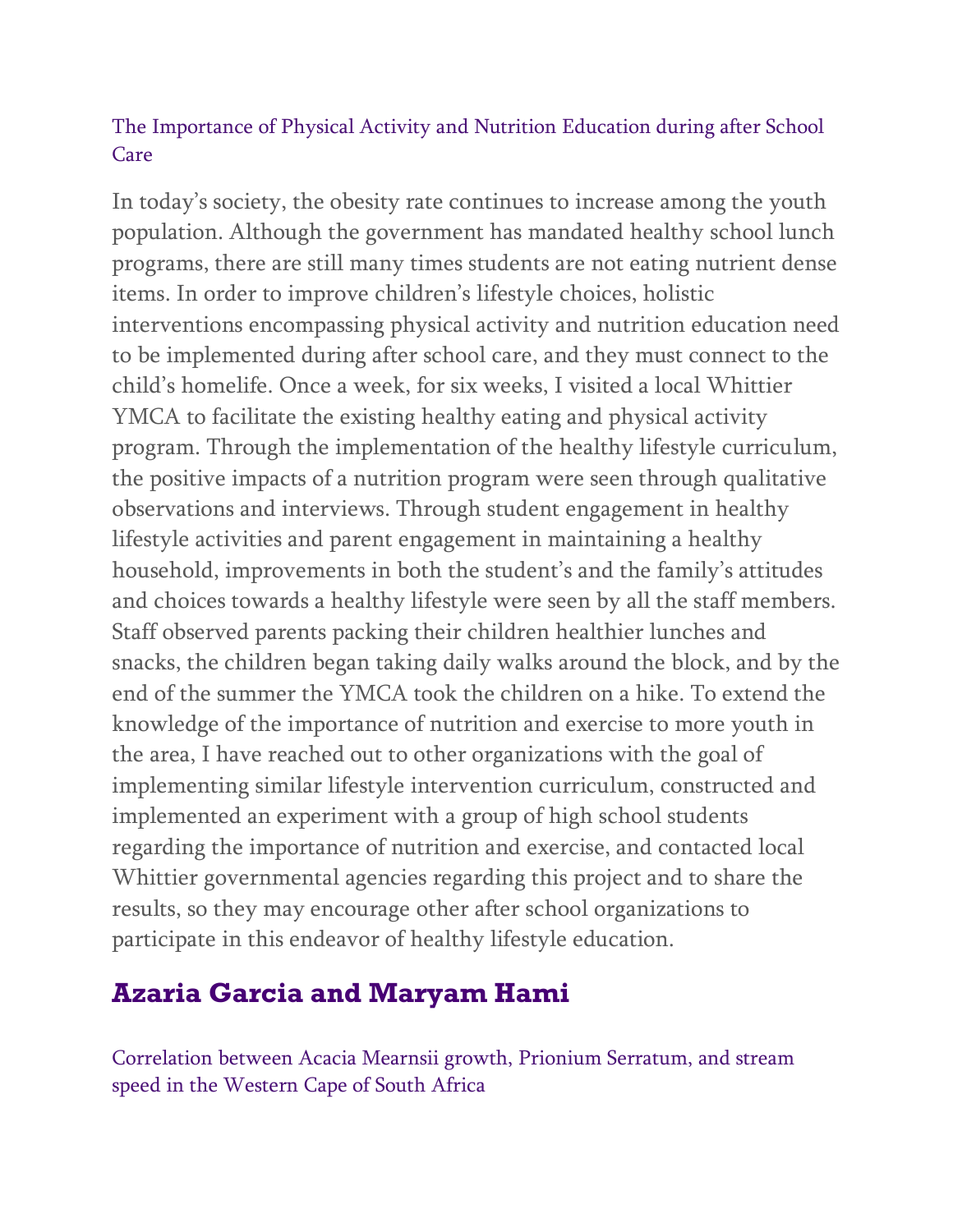### The Importance of Physical Activity and Nutrition Education during after School Care

In today's society, the obesity rate continues to increase among the youth population. Although the government has mandated healthy school lunch programs, there are still many times students are not eating nutrient dense items. In order to improve children's lifestyle choices, holistic interventions encompassing physical activity and nutrition education need to be implemented during after school care, and they must connect to the child's homelife. Once a week, for six weeks, I visited a local Whittier YMCA to facilitate the existing healthy eating and physical activity program. Through the implementation of the healthy lifestyle curriculum, the positive impacts of a nutrition program were seen through qualitative observations and interviews. Through student engagement in healthy lifestyle activities and parent engagement in maintaining a healthy household, improvements in both the student's and the family's attitudes and choices towards a healthy lifestyle were seen by all the staff members. Staff observed parents packing their children healthier lunches and snacks, the children began taking daily walks around the block, and by the end of the summer the YMCA took the children on a hike. To extend the knowledge of the importance of nutrition and exercise to more youth in the area, I have reached out to other organizations with the goal of implementing similar lifestyle intervention curriculum, constructed and implemented an experiment with a group of high school students regarding the importance of nutrition and exercise, and contacted local Whittier governmental agencies regarding this project and to share the results, so they may encourage other after school organizations to participate in this endeavor of healthy lifestyle education.

# **Azaria Garcia and Maryam Hami**

Correlation between Acacia Mearnsii growth, Prionium Serratum, and stream speed in the Western Cape of South Africa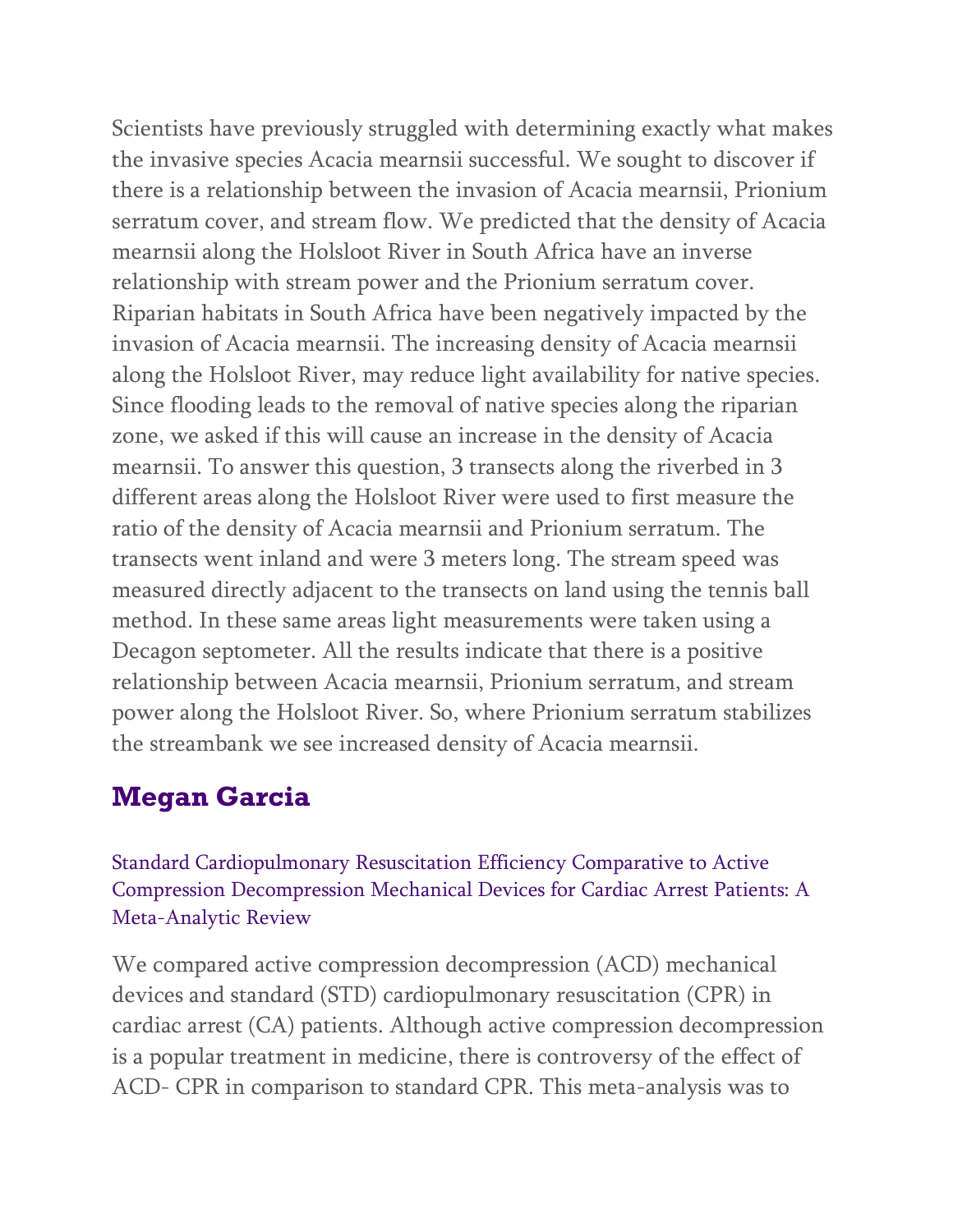Scientists have previously struggled with determining exactly what makes the invasive species Acacia mearnsii successful. We sought to discover if there is a relationship between the invasion of Acacia mearnsii, Prionium serratum cover, and stream flow. We predicted that the density of Acacia mearnsii along the Holsloot River in South Africa have an inverse relationship with stream power and the Prionium serratum cover. Riparian habitats in South Africa have been negatively impacted by the invasion of Acacia mearnsii. The increasing density of Acacia mearnsii along the Holsloot River, may reduce light availability for native species. Since flooding leads to the removal of native species along the riparian zone, we asked if this will cause an increase in the density of Acacia mearnsii. To answer this question, 3 transects along the riverbed in 3 different areas along the Holsloot River were used to first measure the ratio of the density of Acacia mearnsii and Prionium serratum. The transects went inland and were 3 meters long. The stream speed was measured directly adjacent to the transects on land using the tennis ball method. In these same areas light measurements were taken using a Decagon septometer. All the results indicate that there is a positive relationship between Acacia mearnsii, Prionium serratum, and stream power along the Holsloot River. So, where Prionium serratum stabilizes the streambank we see increased density of Acacia mearnsii.

# **Megan Garcia**

Standard Cardiopulmonary Resuscitation Efficiency Comparative to Active Compression Decompression Mechanical Devices for Cardiac Arrest Patients: A Meta-Analytic Review

We compared active compression decompression (ACD) mechanical devices and standard (STD) cardiopulmonary resuscitation (CPR) in cardiac arrest (CA) patients. Although active compression decompression is a popular treatment in medicine, there is controversy of the effect of ACD- CPR in comparison to standard CPR. This meta-analysis was to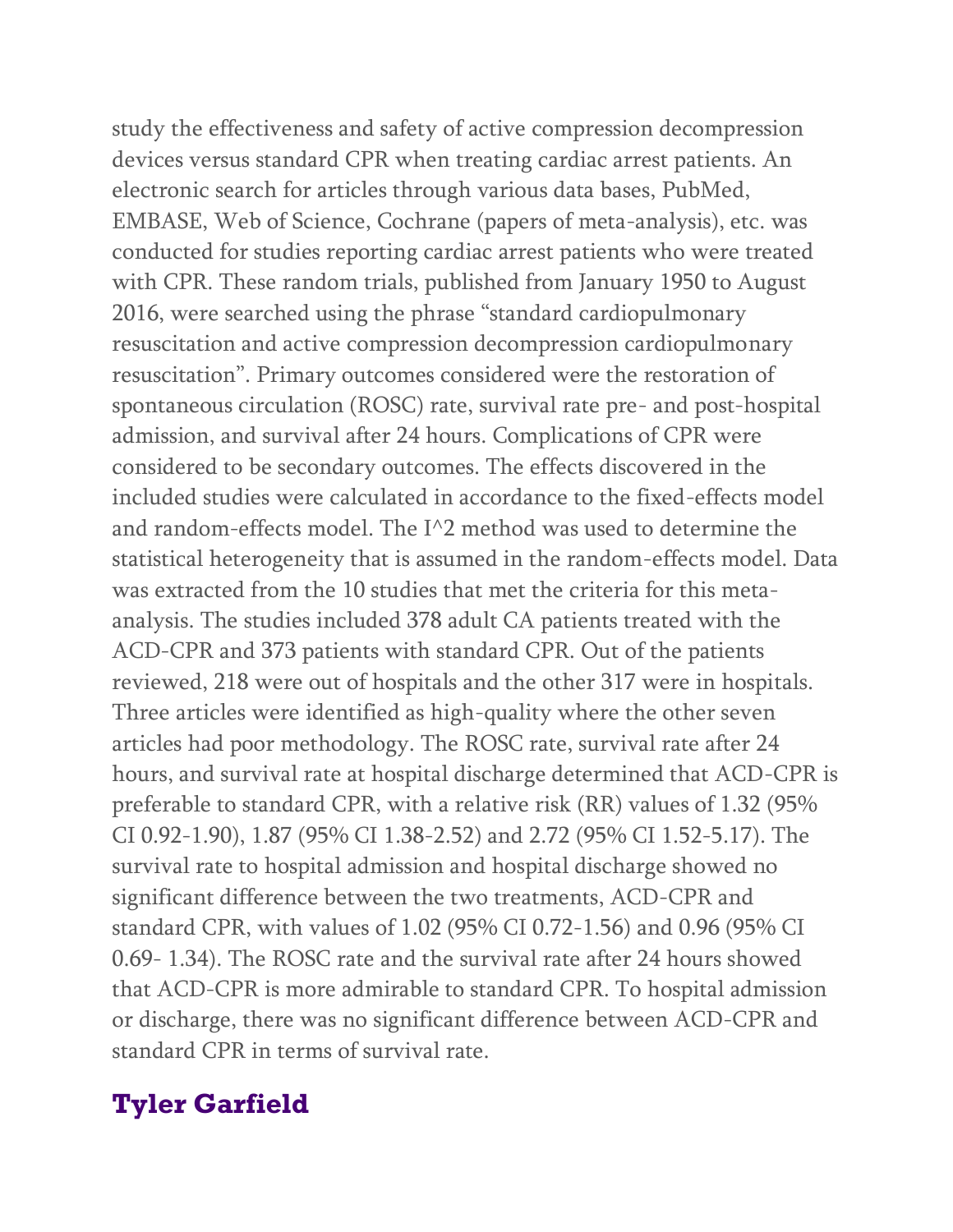study the effectiveness and safety of active compression decompression devices versus standard CPR when treating cardiac arrest patients. An electronic search for articles through various data bases, PubMed, EMBASE, Web of Science, Cochrane (papers of meta-analysis), etc. was conducted for studies reporting cardiac arrest patients who were treated with CPR. These random trials, published from January 1950 to August 2016, were searched using the phrase "standard cardiopulmonary resuscitation and active compression decompression cardiopulmonary resuscitation". Primary outcomes considered were the restoration of spontaneous circulation (ROSC) rate, survival rate pre- and post-hospital admission, and survival after 24 hours. Complications of CPR were considered to be secondary outcomes. The effects discovered in the included studies were calculated in accordance to the fixed-effects model and random-effects model. The  $I^{\wedge}2$  method was used to determine the statistical heterogeneity that is assumed in the random-effects model. Data was extracted from the 10 studies that met the criteria for this metaanalysis. The studies included 378 adult CA patients treated with the ACD-CPR and 373 patients with standard CPR. Out of the patients reviewed, 218 were out of hospitals and the other 317 were in hospitals. Three articles were identified as high-quality where the other seven articles had poor methodology. The ROSC rate, survival rate after 24 hours, and survival rate at hospital discharge determined that ACD-CPR is preferable to standard CPR, with a relative risk (RR) values of 1.32 (95% CI 0.92-1.90), 1.87 (95% CI 1.38-2.52) and 2.72 (95% CI 1.52-5.17). The survival rate to hospital admission and hospital discharge showed no significant difference between the two treatments, ACD-CPR and standard CPR, with values of 1.02 (95% CI 0.72-1.56) and 0.96 (95% CI 0.69- 1.34). The ROSC rate and the survival rate after 24 hours showed that ACD-CPR is more admirable to standard CPR. To hospital admission or discharge, there was no significant difference between ACD-CPR and standard CPR in terms of survival rate.

### **Tyler Garfield**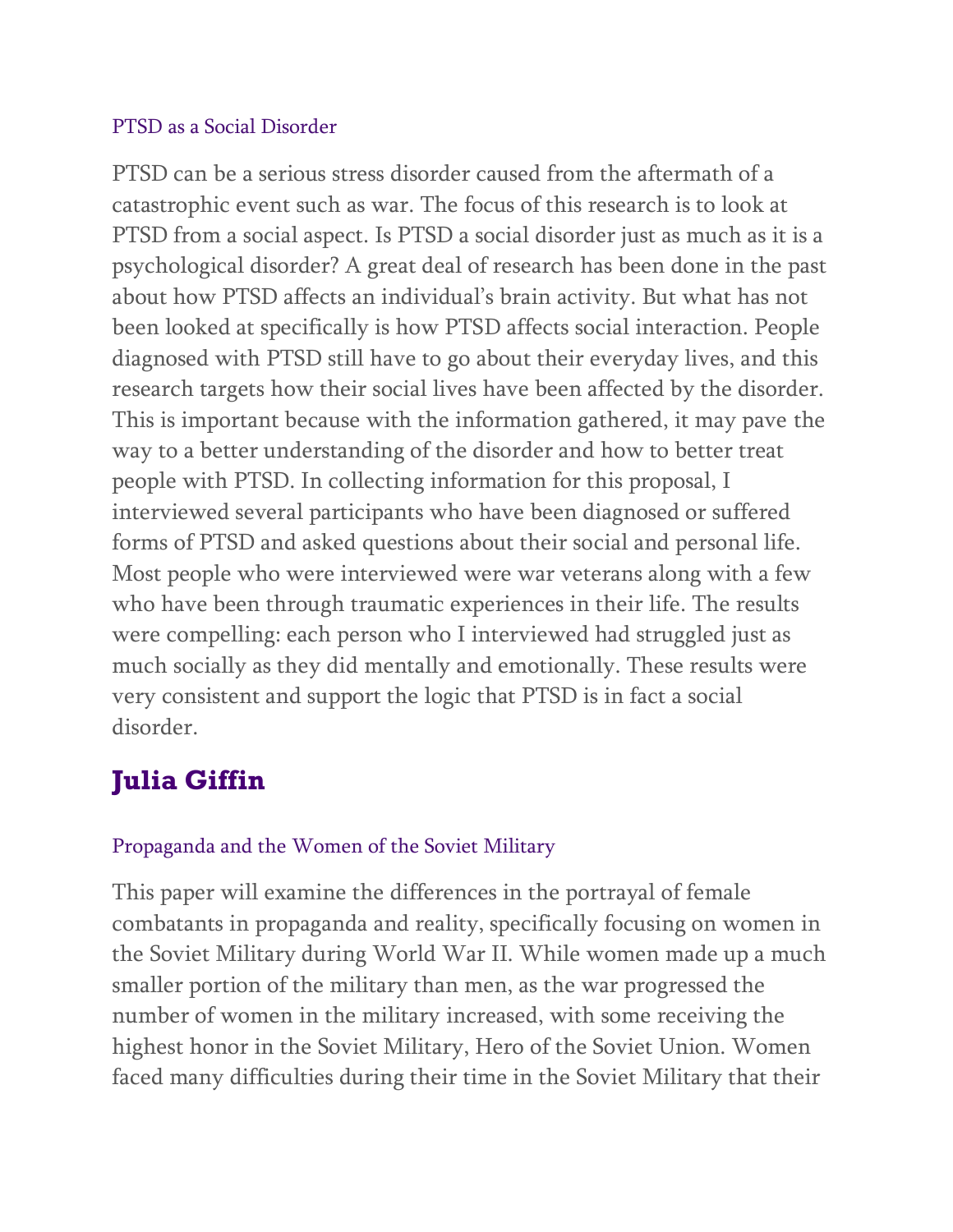#### PTSD as a Social Disorder

PTSD can be a serious stress disorder caused from the aftermath of a catastrophic event such as war. The focus of this research is to look at PTSD from a social aspect. Is PTSD a social disorder just as much as it is a psychological disorder? A great deal of research has been done in the past about how PTSD affects an individual's brain activity. But what has not been looked at specifically is how PTSD affects social interaction. People diagnosed with PTSD still have to go about their everyday lives, and this research targets how their social lives have been affected by the disorder. This is important because with the information gathered, it may pave the way to a better understanding of the disorder and how to better treat people with PTSD. In collecting information for this proposal, I interviewed several participants who have been diagnosed or suffered forms of PTSD and asked questions about their social and personal life. Most people who were interviewed were war veterans along with a few who have been through traumatic experiences in their life. The results were compelling: each person who I interviewed had struggled just as much socially as they did mentally and emotionally. These results were very consistent and support the logic that PTSD is in fact a social disorder.

# **Julia Giffin**

### Propaganda and the Women of the Soviet Military

This paper will examine the differences in the portrayal of female combatants in propaganda and reality, specifically focusing on women in the Soviet Military during World War II. While women made up a much smaller portion of the military than men, as the war progressed the number of women in the military increased, with some receiving the highest honor in the Soviet Military, Hero of the Soviet Union. Women faced many difficulties during their time in the Soviet Military that their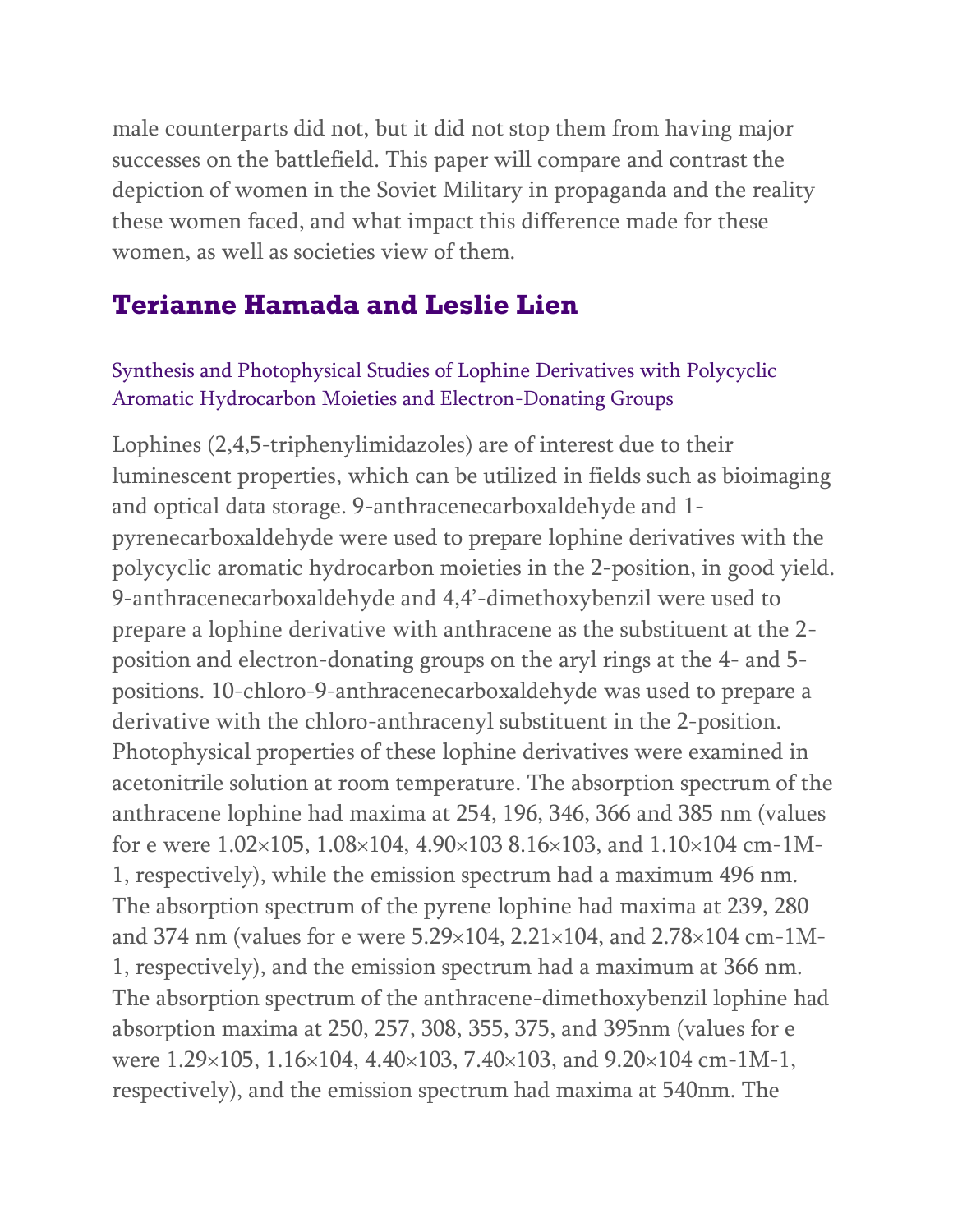male counterparts did not, but it did not stop them from having major successes on the battlefield. This paper will compare and contrast the depiction of women in the Soviet Military in propaganda and the reality these women faced, and what impact this difference made for these women, as well as societies view of them.

## **Terianne Hamada and Leslie Lien**

### Synthesis and Photophysical Studies of Lophine Derivatives with Polycyclic Aromatic Hydrocarbon Moieties and Electron-Donating Groups

Lophines (2,4,5-triphenylimidazoles) are of interest due to their luminescent properties, which can be utilized in fields such as bioimaging and optical data storage. 9-anthracenecarboxaldehyde and 1 pyrenecarboxaldehyde were used to prepare lophine derivatives with the polycyclic aromatic hydrocarbon moieties in the 2-position, in good yield. 9-anthracenecarboxaldehyde and 4,4'-dimethoxybenzil were used to prepare a lophine derivative with anthracene as the substituent at the 2 position and electron-donating groups on the aryl rings at the 4- and 5 positions. 10-chloro-9-anthracenecarboxaldehyde was used to prepare a derivative with the chloro-anthracenyl substituent in the 2-position. Photophysical properties of these lophine derivatives were examined in acetonitrile solution at room temperature. The absorption spectrum of the anthracene lophine had maxima at 254, 196, 346, 366 and 385 nm (values for e were 1.02×105, 1.08×104, 4.90×103 8.16×103, and 1.10×104 cm-1M-1, respectively), while the emission spectrum had a maximum 496 nm. The absorption spectrum of the pyrene lophine had maxima at 239, 280 and 374 nm (values for e were 5.29×104, 2.21×104, and 2.78×104 cm-1M-1, respectively), and the emission spectrum had a maximum at 366 nm. The absorption spectrum of the anthracene-dimethoxybenzil lophine had absorption maxima at 250, 257, 308, 355, 375, and 395nm (values for e were 1.29×105, 1.16×104, 4.40×103, 7.40×103, and 9.20×104 cm-1M-1, respectively), and the emission spectrum had maxima at 540nm. The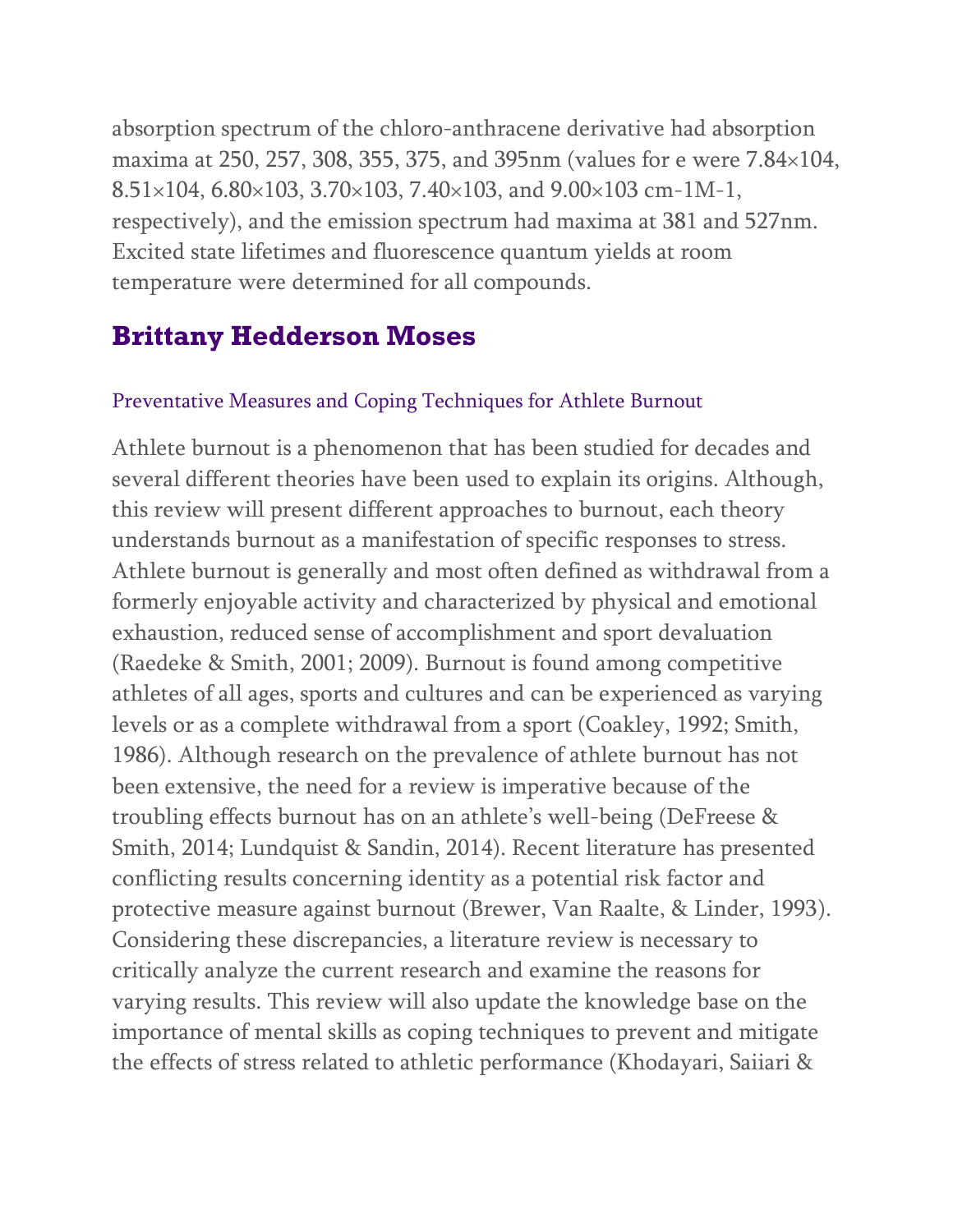absorption spectrum of the chloro-anthracene derivative had absorption maxima at 250, 257, 308, 355, 375, and 395nm (values for e were 7.84×104, 8.51×104, 6.80×103, 3.70×103, 7.40×103, and 9.00×103 cm-1M-1, respectively), and the emission spectrum had maxima at 381 and 527nm. Excited state lifetimes and fluorescence quantum yields at room temperature were determined for all compounds.

### **Brittany Hedderson Moses**

#### Preventative Measures and Coping Techniques for Athlete Burnout

Athlete burnout is a phenomenon that has been studied for decades and several different theories have been used to explain its origins. Although, this review will present different approaches to burnout, each theory understands burnout as a manifestation of specific responses to stress. Athlete burnout is generally and most often defined as withdrawal from a formerly enjoyable activity and characterized by physical and emotional exhaustion, reduced sense of accomplishment and sport devaluation (Raedeke & Smith, 2001; 2009). Burnout is found among competitive athletes of all ages, sports and cultures and can be experienced as varying levels or as a complete withdrawal from a sport (Coakley, 1992; Smith, 1986). Although research on the prevalence of athlete burnout has not been extensive, the need for a review is imperative because of the troubling effects burnout has on an athlete's well-being (DeFreese & Smith, 2014; Lundquist & Sandin, 2014). Recent literature has presented conflicting results concerning identity as a potential risk factor and protective measure against burnout (Brewer, Van Raalte, & Linder, 1993). Considering these discrepancies, a literature review is necessary to critically analyze the current research and examine the reasons for varying results. This review will also update the knowledge base on the importance of mental skills as coping techniques to prevent and mitigate the effects of stress related to athletic performance (Khodayari, Saiiari &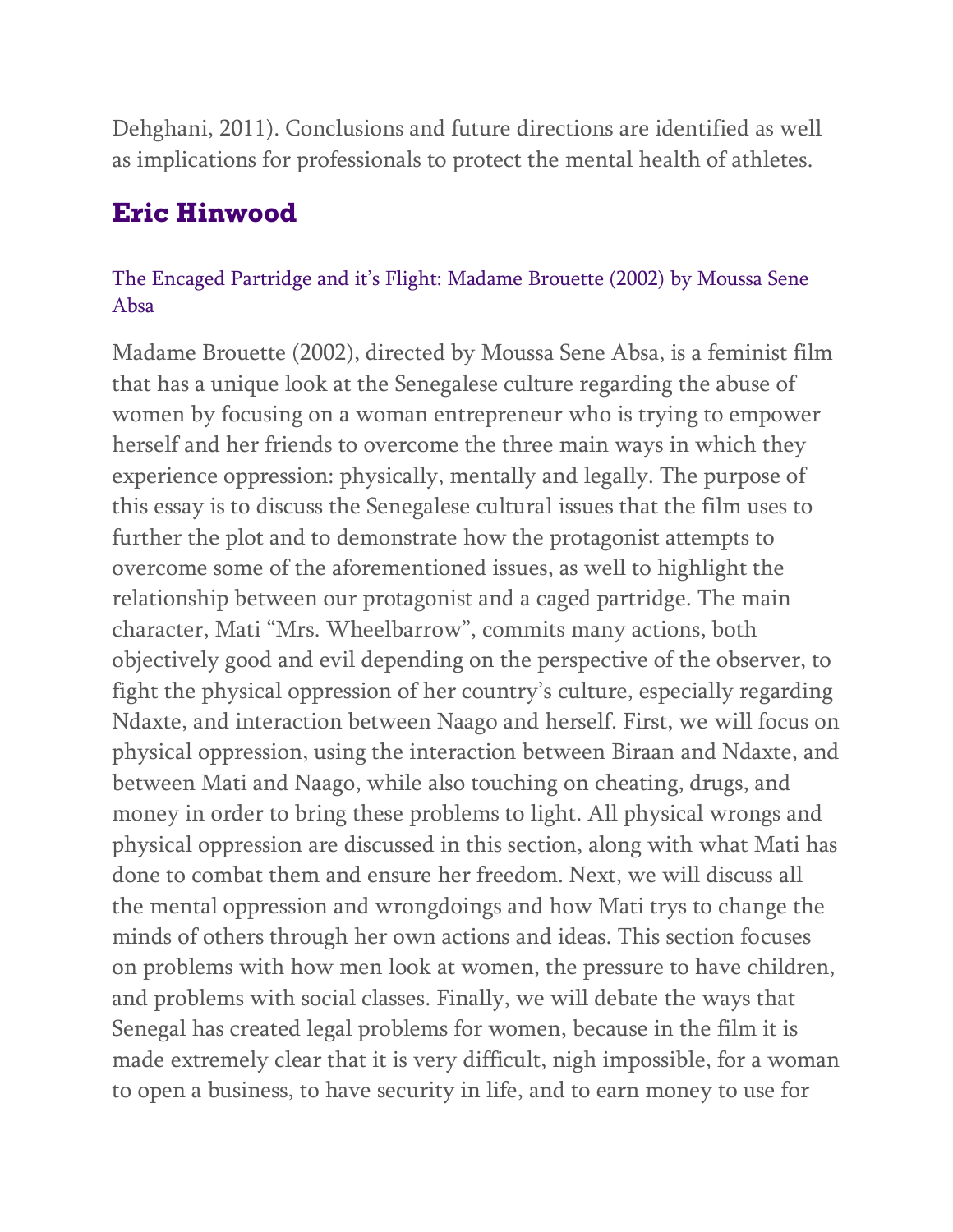Dehghani, 2011). Conclusions and future directions are identified as well as implications for professionals to protect the mental health of athletes.

### **Eric Hinwood**

### The Encaged Partridge and it's Flight: Madame Brouette (2002) by Moussa Sene Absa

Madame Brouette (2002), directed by Moussa Sene Absa, is a feminist film that has a unique look at the Senegalese culture regarding the abuse of women by focusing on a woman entrepreneur who is trying to empower herself and her friends to overcome the three main ways in which they experience oppression: physically, mentally and legally. The purpose of this essay is to discuss the Senegalese cultural issues that the film uses to further the plot and to demonstrate how the protagonist attempts to overcome some of the aforementioned issues, as well to highlight the relationship between our protagonist and a caged partridge. The main character, Mati "Mrs. Wheelbarrow", commits many actions, both objectively good and evil depending on the perspective of the observer, to fight the physical oppression of her country's culture, especially regarding Ndaxte, and interaction between Naago and herself. First, we will focus on physical oppression, using the interaction between Biraan and Ndaxte, and between Mati and Naago, while also touching on cheating, drugs, and money in order to bring these problems to light. All physical wrongs and physical oppression are discussed in this section, along with what Mati has done to combat them and ensure her freedom. Next, we will discuss all the mental oppression and wrongdoings and how Mati trys to change the minds of others through her own actions and ideas. This section focuses on problems with how men look at women, the pressure to have children, and problems with social classes. Finally, we will debate the ways that Senegal has created legal problems for women, because in the film it is made extremely clear that it is very difficult, nigh impossible, for a woman to open a business, to have security in life, and to earn money to use for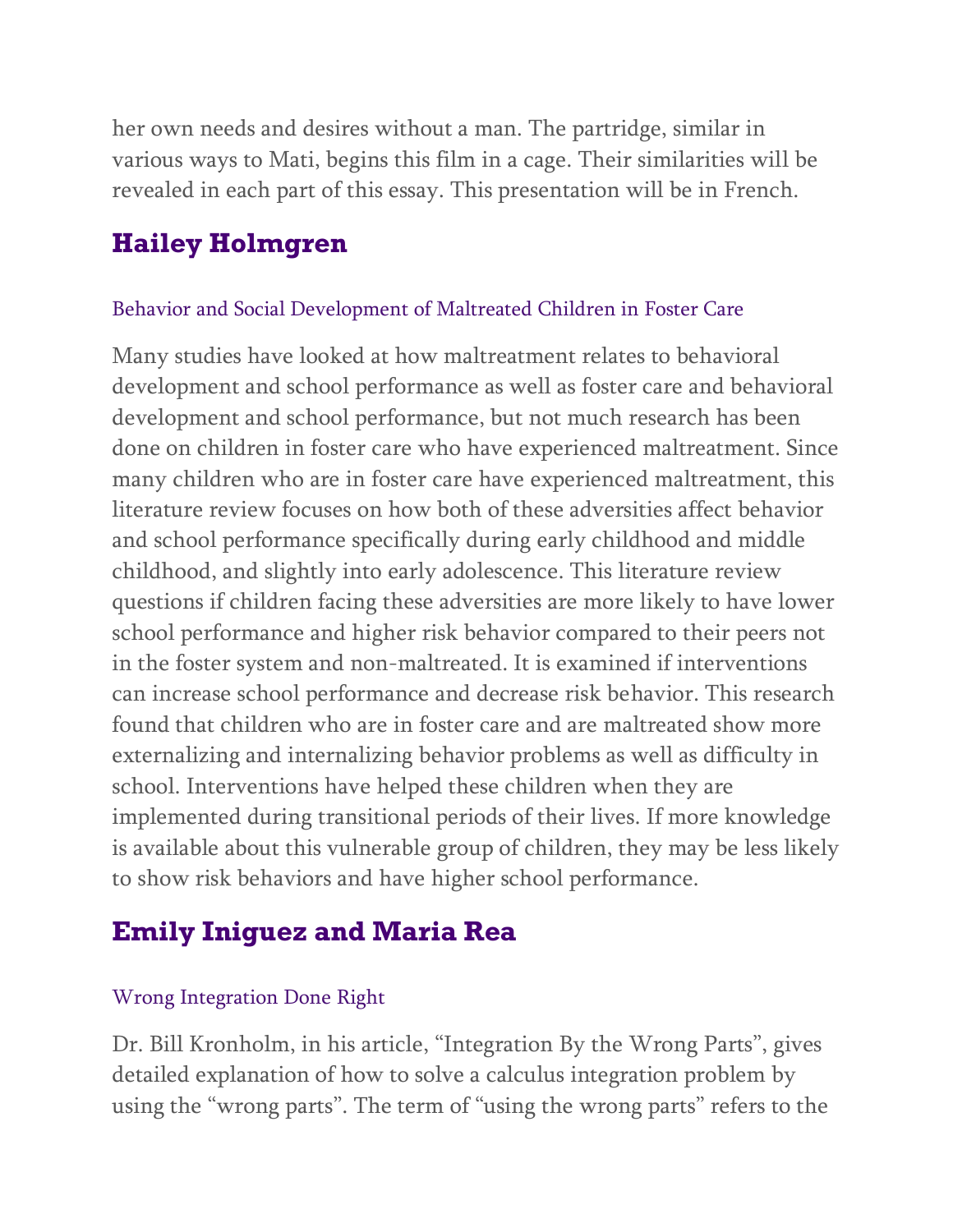her own needs and desires without a man. The partridge, similar in various ways to Mati, begins this film in a cage. Their similarities will be revealed in each part of this essay. This presentation will be in French.

### **Hailey Holmgren**

#### Behavior and Social Development of Maltreated Children in Foster Care

Many studies have looked at how maltreatment relates to behavioral development and school performance as well as foster care and behavioral development and school performance, but not much research has been done on children in foster care who have experienced maltreatment. Since many children who are in foster care have experienced maltreatment, this literature review focuses on how both of these adversities affect behavior and school performance specifically during early childhood and middle childhood, and slightly into early adolescence. This literature review questions if children facing these adversities are more likely to have lower school performance and higher risk behavior compared to their peers not in the foster system and non-maltreated. It is examined if interventions can increase school performance and decrease risk behavior. This research found that children who are in foster care and are maltreated show more externalizing and internalizing behavior problems as well as difficulty in school. Interventions have helped these children when they are implemented during transitional periods of their lives. If more knowledge is available about this vulnerable group of children, they may be less likely to show risk behaviors and have higher school performance.

### **Emily Iniguez and Maria Rea**

#### Wrong Integration Done Right

Dr. Bill Kronholm, in his article, "Integration By the Wrong Parts", gives detailed explanation of how to solve a calculus integration problem by using the "wrong parts". The term of "using the wrong parts" refers to the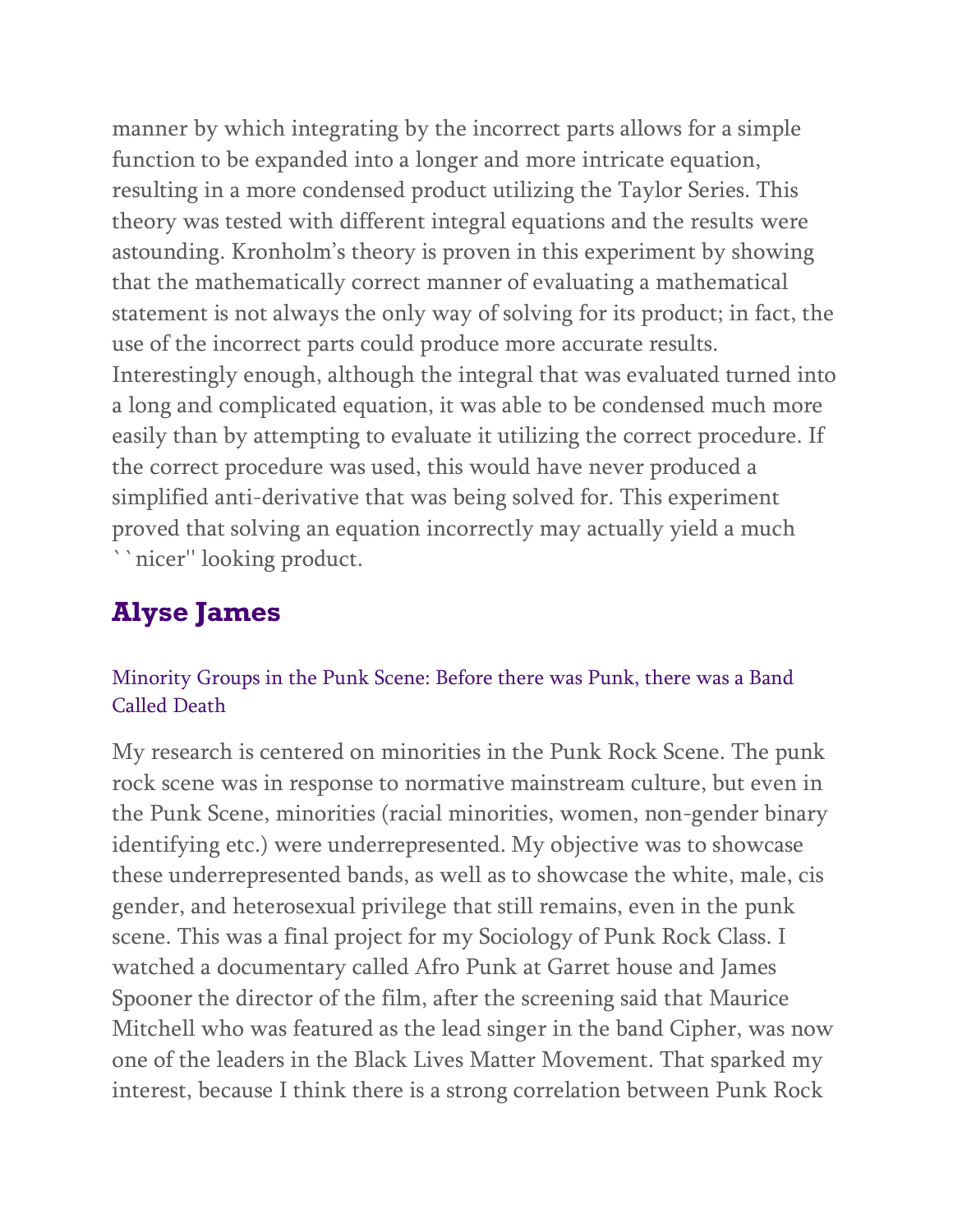manner by which integrating by the incorrect parts allows for a simple function to be expanded into a longer and more intricate equation, resulting in a more condensed product utilizing the Taylor Series. This theory was tested with different integral equations and the results were astounding. Kronholm's theory is proven in this experiment by showing that the mathematically correct manner of evaluating a mathematical statement is not always the only way of solving for its product; in fact, the use of the incorrect parts could produce more accurate results. Interestingly enough, although the integral that was evaluated turned into a long and complicated equation, it was able to be condensed much more easily than by attempting to evaluate it utilizing the correct procedure. If the correct procedure was used, this would have never produced a simplified anti-derivative that was being solved for. This experiment proved that solving an equation incorrectly may actually yield a much ``nicer'' looking product.

# **Alyse James**

### Minority Groups in the Punk Scene: Before there was Punk, there was a Band Called Death

My research is centered on minorities in the Punk Rock Scene. The punk rock scene was in response to normative mainstream culture, but even in the Punk Scene, minorities (racial minorities, women, non-gender binary identifying etc.) were underrepresented. My objective was to showcase these underrepresented bands, as well as to showcase the white, male, cis gender, and heterosexual privilege that still remains, even in the punk scene. This was a final project for my Sociology of Punk Rock Class. I watched a documentary called Afro Punk at Garret house and James Spooner the director of the film, after the screening said that Maurice Mitchell who was featured as the lead singer in the band Cipher, was now one of the leaders in the Black Lives Matter Movement. That sparked my interest, because I think there is a strong correlation between Punk Rock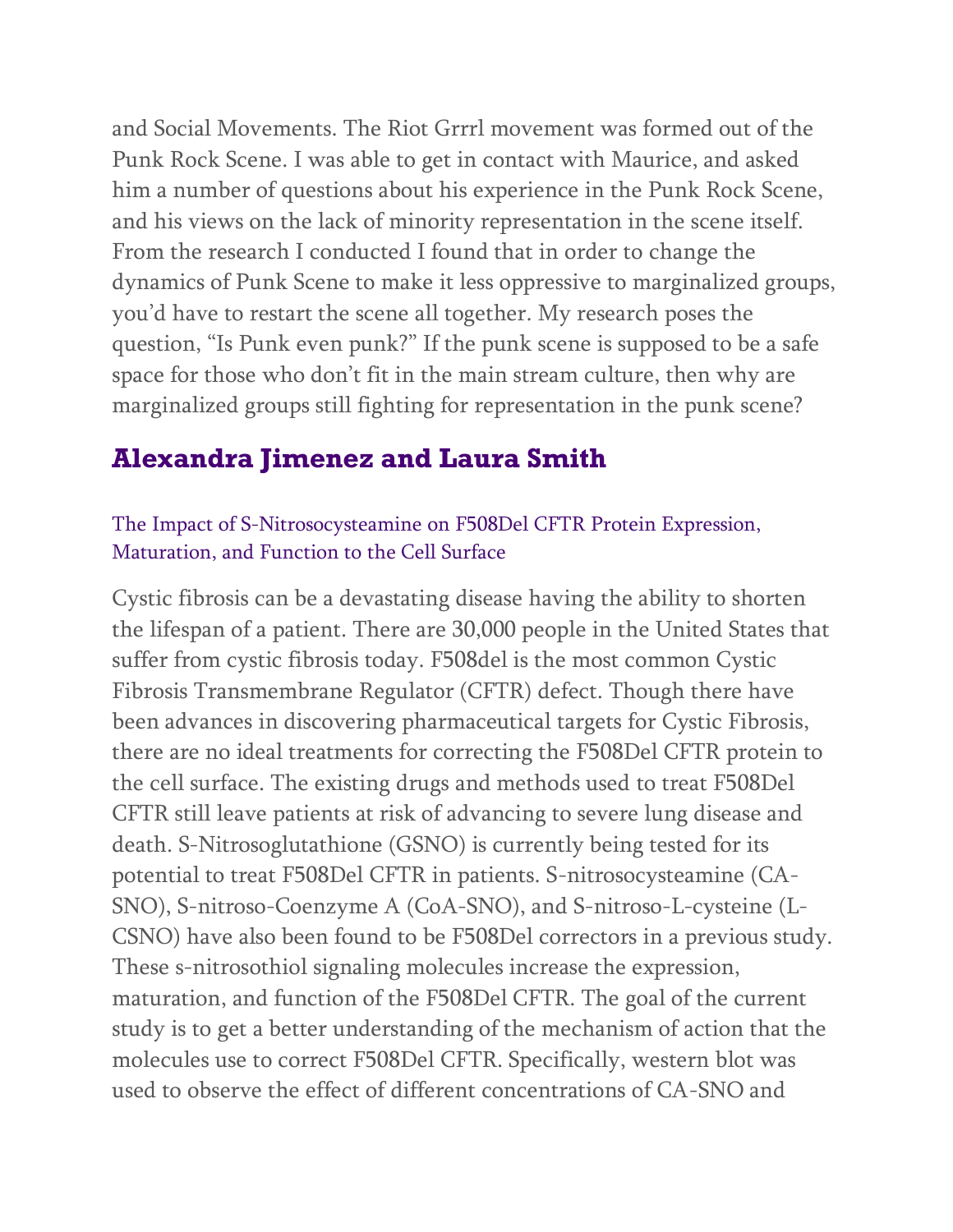and Social Movements. The Riot Grrrl movement was formed out of the Punk Rock Scene. I was able to get in contact with Maurice, and asked him a number of questions about his experience in the Punk Rock Scene, and his views on the lack of minority representation in the scene itself. From the research I conducted I found that in order to change the dynamics of Punk Scene to make it less oppressive to marginalized groups, you'd have to restart the scene all together. My research poses the question, "Is Punk even punk?" If the punk scene is supposed to be a safe space for those who don't fit in the main stream culture, then why are marginalized groups still fighting for representation in the punk scene?

### **Alexandra Jimenez and Laura Smith**

### The Impact of S-Nitrosocysteamine on F508Del CFTR Protein Expression, Maturation, and Function to the Cell Surface

Cystic fibrosis can be a devastating disease having the ability to shorten the lifespan of a patient. There are 30,000 people in the United States that suffer from cystic fibrosis today. F508del is the most common Cystic Fibrosis Transmembrane Regulator (CFTR) defect. Though there have been advances in discovering pharmaceutical targets for Cystic Fibrosis, there are no ideal treatments for correcting the F508Del CFTR protein to the cell surface. The existing drugs and methods used to treat F508Del CFTR still leave patients at risk of advancing to severe lung disease and death. S-Nitrosoglutathione (GSNO) is currently being tested for its potential to treat F508Del CFTR in patients. S-nitrosocysteamine (CA-SNO), S-nitroso-Coenzyme A (CoA-SNO), and S-nitroso-L-cysteine (L-CSNO) have also been found to be F508Del correctors in a previous study. These s-nitrosothiol signaling molecules increase the expression, maturation, and function of the F508Del CFTR. The goal of the current study is to get a better understanding of the mechanism of action that the molecules use to correct F508Del CFTR. Specifically, western blot was used to observe the effect of different concentrations of CA-SNO and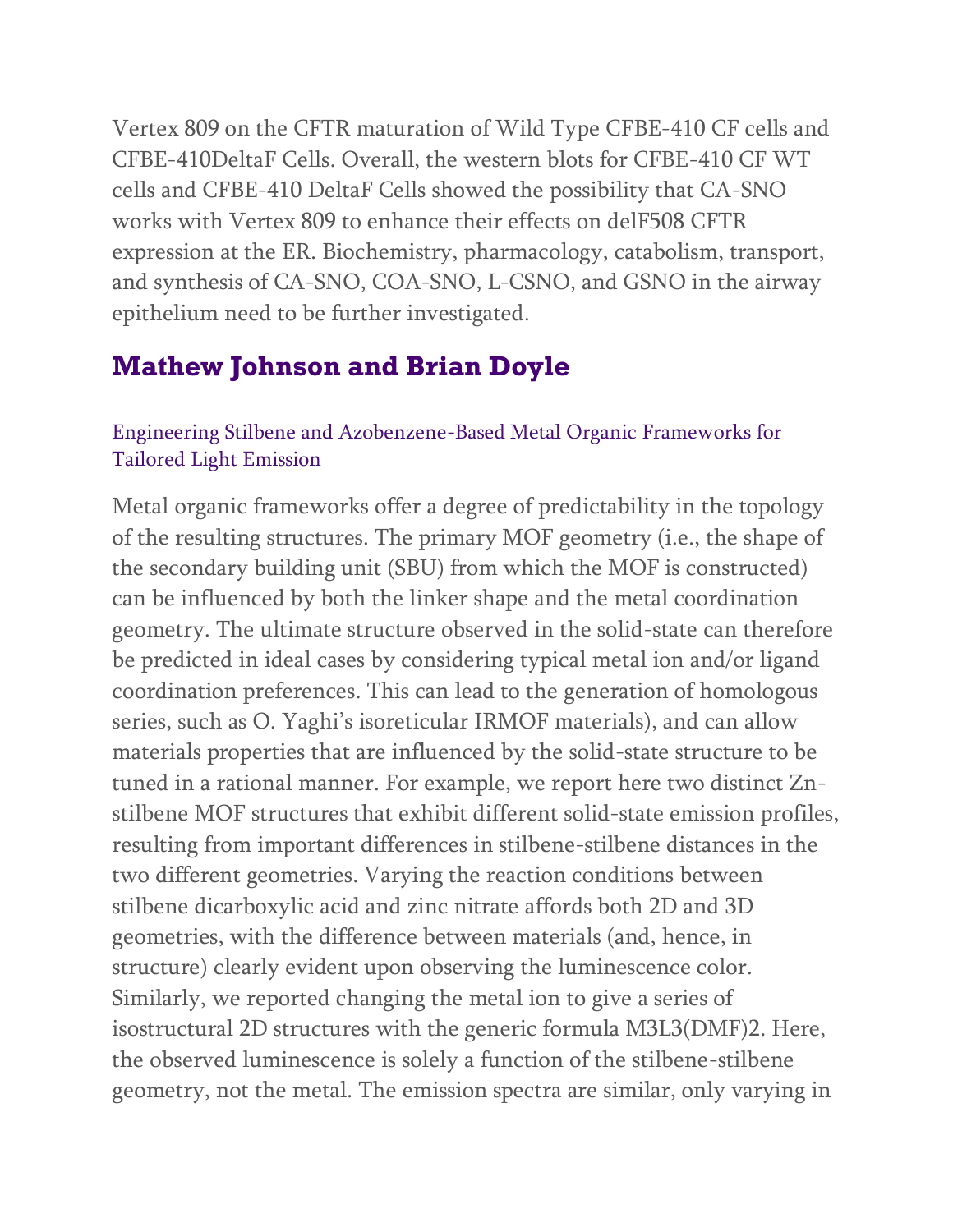Vertex 809 on the CFTR maturation of Wild Type CFBE-410 CF cells and CFBE-410DeltaF Cells. Overall, the western blots for CFBE-410 CF WT cells and CFBE-410 DeltaF Cells showed the possibility that CA-SNO works with Vertex 809 to enhance their effects on delF508 CFTR expression at the ER. Biochemistry, pharmacology, catabolism, transport, and synthesis of CA-SNO, COA-SNO, L-CSNO, and GSNO in the airway epithelium need to be further investigated.

### **Mathew Johnson and Brian Doyle**

### Engineering Stilbene and Azobenzene-Based Metal Organic Frameworks for Tailored Light Emission

Metal organic frameworks offer a degree of predictability in the topology of the resulting structures. The primary MOF geometry (i.e., the shape of the secondary building unit (SBU) from which the MOF is constructed) can be influenced by both the linker shape and the metal coordination geometry. The ultimate structure observed in the solid-state can therefore be predicted in ideal cases by considering typical metal ion and/or ligand coordination preferences. This can lead to the generation of homologous series, such as O. Yaghi's isoreticular IRMOF materials), and can allow materials properties that are influenced by the solid-state structure to be tuned in a rational manner. For example, we report here two distinct Znstilbene MOF structures that exhibit different solid-state emission profiles, resulting from important differences in stilbene-stilbene distances in the two different geometries. Varying the reaction conditions between stilbene dicarboxylic acid and zinc nitrate affords both 2D and 3D geometries, with the difference between materials (and, hence, in structure) clearly evident upon observing the luminescence color. Similarly, we reported changing the metal ion to give a series of isostructural 2D structures with the generic formula M3L3(DMF)2. Here, the observed luminescence is solely a function of the stilbene-stilbene geometry, not the metal. The emission spectra are similar, only varying in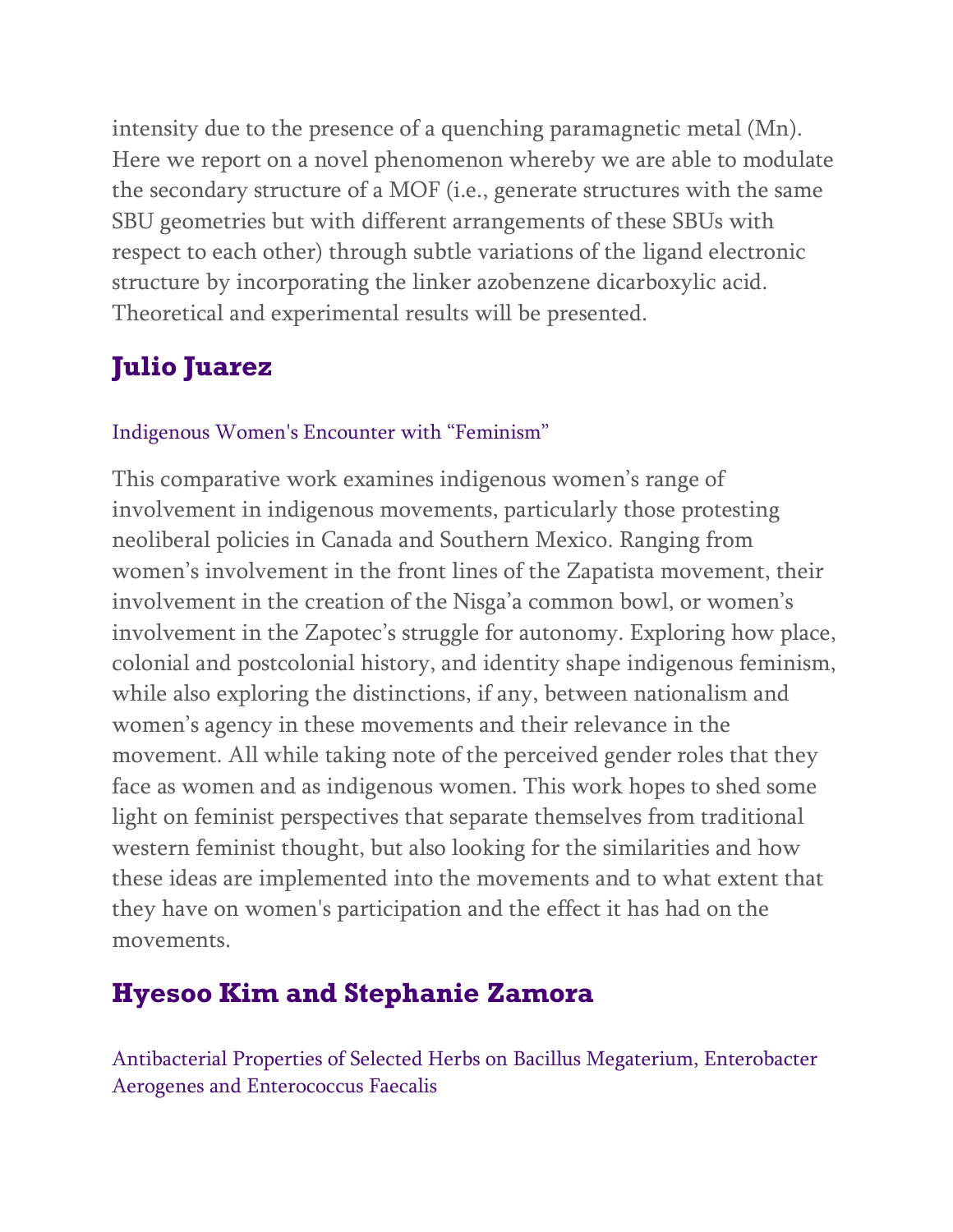intensity due to the presence of a quenching paramagnetic metal (Mn). Here we report on a novel phenomenon whereby we are able to modulate the secondary structure of a MOF (i.e., generate structures with the same SBU geometries but with different arrangements of these SBUs with respect to each other) through subtle variations of the ligand electronic structure by incorporating the linker azobenzene dicarboxylic acid. Theoretical and experimental results will be presented.

# **Julio Juarez**

### Indigenous Women's Encounter with "Feminism"

This comparative work examines indigenous women's range of involvement in indigenous movements, particularly those protesting neoliberal policies in Canada and Southern Mexico. Ranging from women's involvement in the front lines of the Zapatista movement, their involvement in the creation of the Nisga'a common bowl, or women's involvement in the Zapotec's struggle for autonomy. Exploring how place, colonial and postcolonial history, and identity shape indigenous feminism, while also exploring the distinctions, if any, between nationalism and women's agency in these movements and their relevance in the movement. All while taking note of the perceived gender roles that they face as women and as indigenous women. This work hopes to shed some light on feminist perspectives that separate themselves from traditional western feminist thought, but also looking for the similarities and how these ideas are implemented into the movements and to what extent that they have on women's participation and the effect it has had on the movements.

# **Hyesoo Kim and Stephanie Zamora**

Antibacterial Properties of Selected Herbs on Bacillus Megaterium, Enterobacter Aerogenes and Enterococcus Faecalis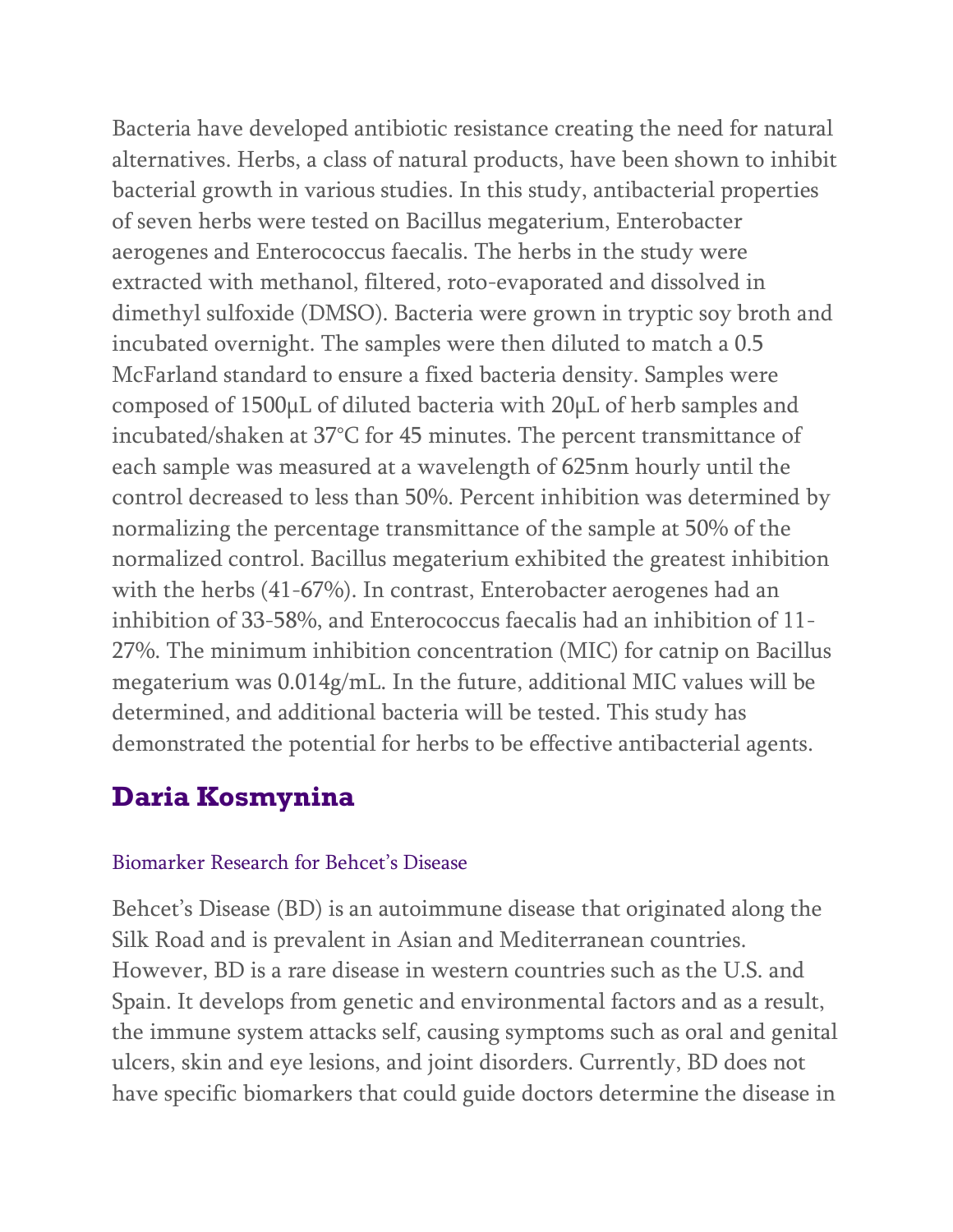Bacteria have developed antibiotic resistance creating the need for natural alternatives. Herbs, a class of natural products, have been shown to inhibit bacterial growth in various studies. In this study, antibacterial properties of seven herbs were tested on Bacillus megaterium, Enterobacter aerogenes and Enterococcus faecalis. The herbs in the study were extracted with methanol, filtered, roto-evaporated and dissolved in dimethyl sulfoxide (DMSO). Bacteria were grown in tryptic soy broth and incubated overnight. The samples were then diluted to match a 0.5 McFarland standard to ensure a fixed bacteria density. Samples were composed of 1500µL of diluted bacteria with 20µL of herb samples and incubated/shaken at 37°C for 45 minutes. The percent transmittance of each sample was measured at a wavelength of 625nm hourly until the control decreased to less than 50%. Percent inhibition was determined by normalizing the percentage transmittance of the sample at 50% of the normalized control. Bacillus megaterium exhibited the greatest inhibition with the herbs (41-67%). In contrast, Enterobacter aerogenes had an inhibition of 33-58%, and Enterococcus faecalis had an inhibition of 11- 27%. The minimum inhibition concentration (MIC) for catnip on Bacillus megaterium was 0.014g/mL. In the future, additional MIC values will be determined, and additional bacteria will be tested. This study has demonstrated the potential for herbs to be effective antibacterial agents.

# **Daria Kosmynina**

#### Biomarker Research for Behcet's Disease

Behcet's Disease (BD) is an autoimmune disease that originated along the Silk Road and is prevalent in Asian and Mediterranean countries. However, BD is a rare disease in western countries such as the U.S. and Spain. It develops from genetic and environmental factors and as a result, the immune system attacks self, causing symptoms such as oral and genital ulcers, skin and eye lesions, and joint disorders. Currently, BD does not have specific biomarkers that could guide doctors determine the disease in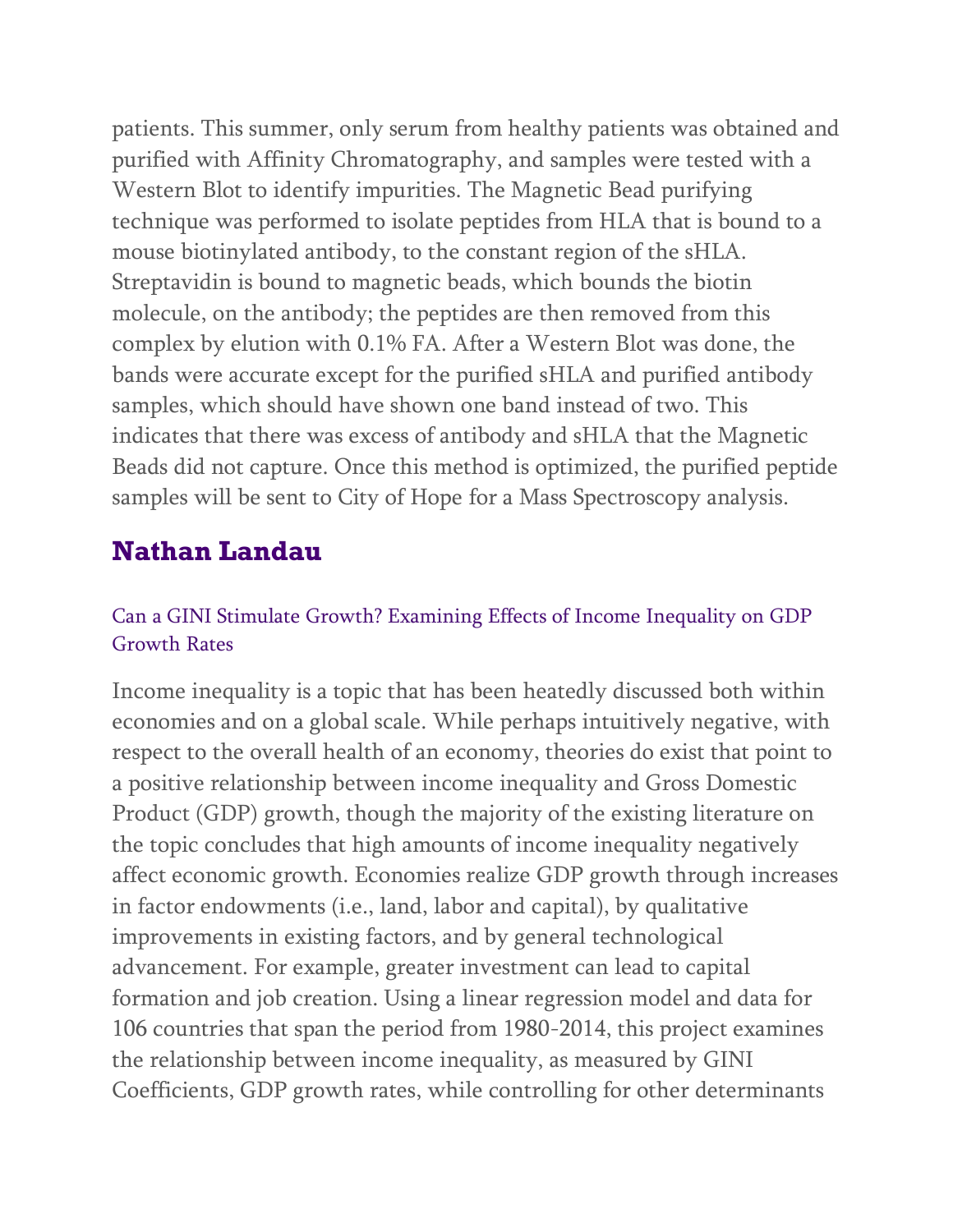patients. This summer, only serum from healthy patients was obtained and purified with Affinity Chromatography, and samples were tested with a Western Blot to identify impurities. The Magnetic Bead purifying technique was performed to isolate peptides from HLA that is bound to a mouse biotinylated antibody, to the constant region of the sHLA. Streptavidin is bound to magnetic beads, which bounds the biotin molecule, on the antibody; the peptides are then removed from this complex by elution with 0.1% FA. After a Western Blot was done, the bands were accurate except for the purified sHLA and purified antibody samples, which should have shown one band instead of two. This indicates that there was excess of antibody and sHLA that the Magnetic Beads did not capture. Once this method is optimized, the purified peptide samples will be sent to City of Hope for a Mass Spectroscopy analysis.

# **Nathan Landau**

### Can a GINI Stimulate Growth? Examining Effects of Income Inequality on GDP Growth Rates

Income inequality is a topic that has been heatedly discussed both within economies and on a global scale. While perhaps intuitively negative, with respect to the overall health of an economy, theories do exist that point to a positive relationship between income inequality and Gross Domestic Product (GDP) growth, though the majority of the existing literature on the topic concludes that high amounts of income inequality negatively affect economic growth. Economies realize GDP growth through increases in factor endowments (i.e., land, labor and capital), by qualitative improvements in existing factors, and by general technological advancement. For example, greater investment can lead to capital formation and job creation. Using a linear regression model and data for 106 countries that span the period from 1980-2014, this project examines the relationship between income inequality, as measured by GINI Coefficients, GDP growth rates, while controlling for other determinants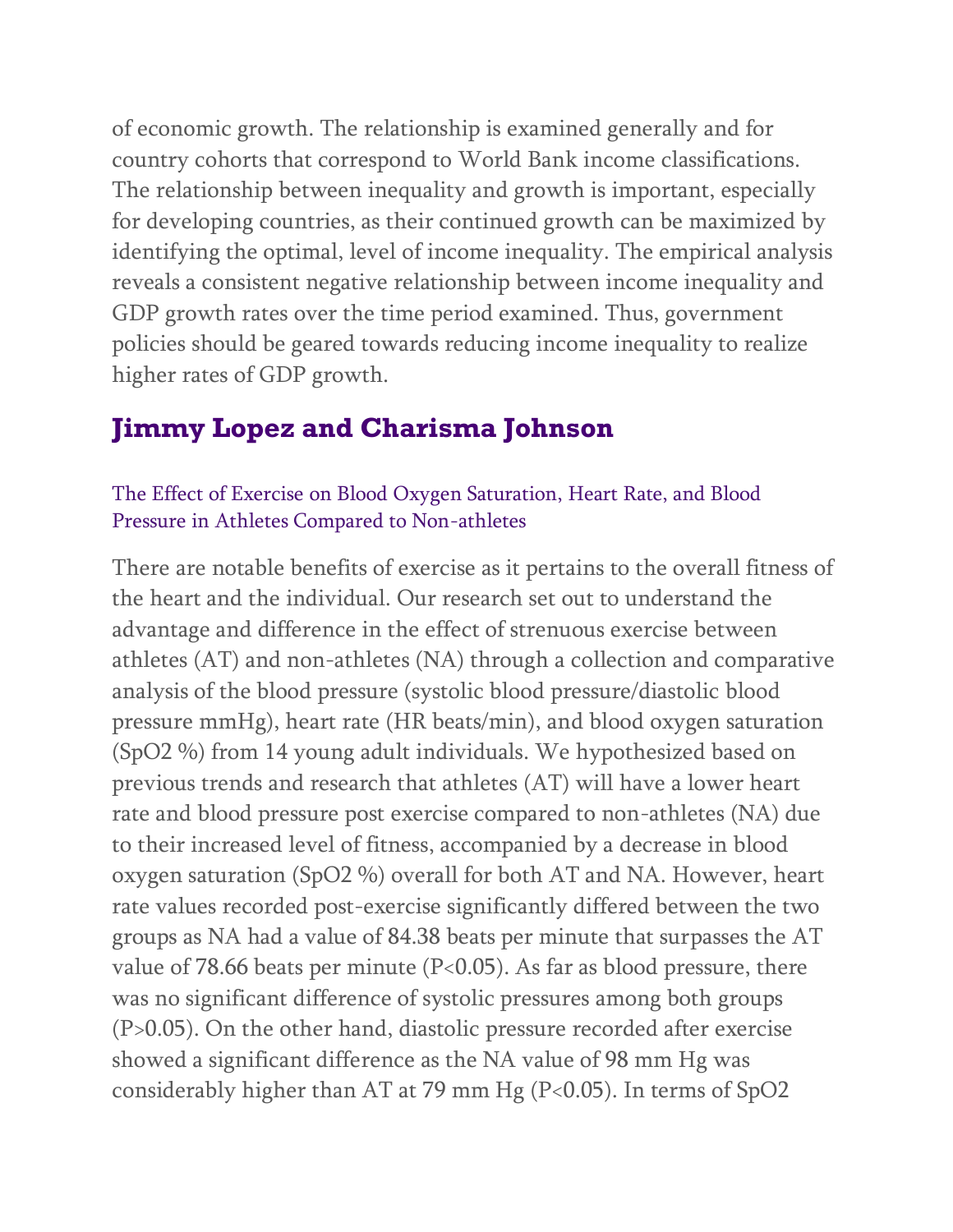of economic growth. The relationship is examined generally and for country cohorts that correspond to World Bank income classifications. The relationship between inequality and growth is important, especially for developing countries, as their continued growth can be maximized by identifying the optimal, level of income inequality. The empirical analysis reveals a consistent negative relationship between income inequality and GDP growth rates over the time period examined. Thus, government policies should be geared towards reducing income inequality to realize higher rates of GDP growth.

## **Jimmy Lopez and Charisma Johnson**

#### The Effect of Exercise on Blood Oxygen Saturation, Heart Rate, and Blood Pressure in Athletes Compared to Non-athletes

There are notable benefits of exercise as it pertains to the overall fitness of the heart and the individual. Our research set out to understand the advantage and difference in the effect of strenuous exercise between athletes (AT) and non-athletes (NA) through a collection and comparative analysis of the blood pressure (systolic blood pressure/diastolic blood pressure mmHg), heart rate (HR beats/min), and blood oxygen saturation (SpO2 %) from 14 young adult individuals. We hypothesized based on previous trends and research that athletes (AT) will have a lower heart rate and blood pressure post exercise compared to non-athletes (NA) due to their increased level of fitness, accompanied by a decrease in blood oxygen saturation (SpO2 %) overall for both AT and NA. However, heart rate values recorded post-exercise significantly differed between the two groups as NA had a value of 84.38 beats per minute that surpasses the AT value of 78.66 beats per minute (P<0.05). As far as blood pressure, there was no significant difference of systolic pressures among both groups (P>0.05). On the other hand, diastolic pressure recorded after exercise showed a significant difference as the NA value of 98 mm Hg was considerably higher than AT at 79 mm Hg (P<0.05). In terms of SpO2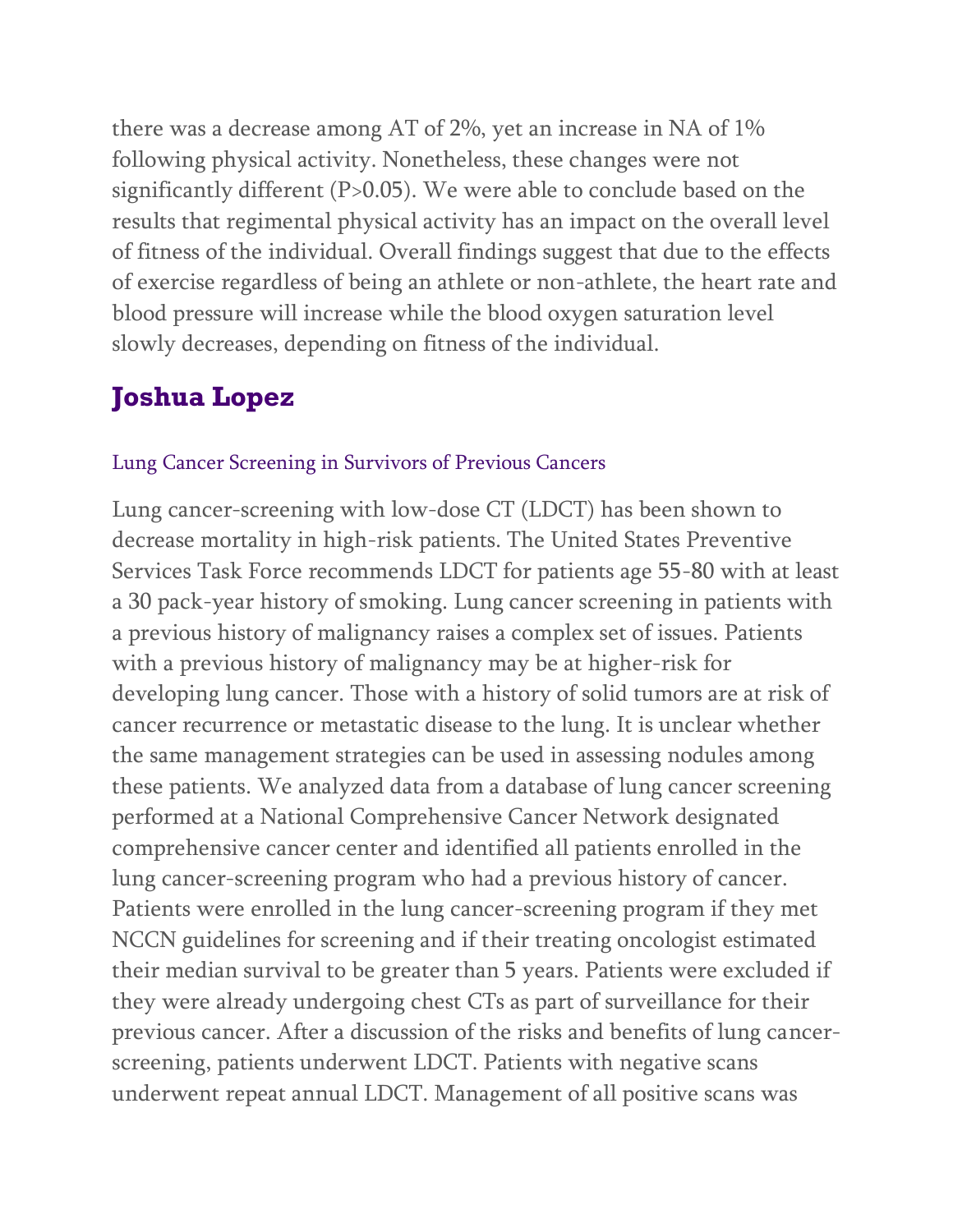there was a decrease among AT of 2%, yet an increase in NA of 1% following physical activity. Nonetheless, these changes were not significantly different (P>0.05). We were able to conclude based on the results that regimental physical activity has an impact on the overall level of fitness of the individual. Overall findings suggest that due to the effects of exercise regardless of being an athlete or non-athlete, the heart rate and blood pressure will increase while the blood oxygen saturation level slowly decreases, depending on fitness of the individual.

## **Joshua Lopez**

#### Lung Cancer Screening in Survivors of Previous Cancers

Lung cancer-screening with low-dose CT (LDCT) has been shown to decrease mortality in high-risk patients. The United States Preventive Services Task Force recommends LDCT for patients age 55-80 with at least a 30 pack-year history of smoking. Lung cancer screening in patients with a previous history of malignancy raises a complex set of issues. Patients with a previous history of malignancy may be at higher-risk for developing lung cancer. Those with a history of solid tumors are at risk of cancer recurrence or metastatic disease to the lung. It is unclear whether the same management strategies can be used in assessing nodules among these patients. We analyzed data from a database of lung cancer screening performed at a National Comprehensive Cancer Network designated comprehensive cancer center and identified all patients enrolled in the lung cancer-screening program who had a previous history of cancer. Patients were enrolled in the lung cancer-screening program if they met NCCN guidelines for screening and if their treating oncologist estimated their median survival to be greater than 5 years. Patients were excluded if they were already undergoing chest CTs as part of surveillance for their previous cancer. After a discussion of the risks and benefits of lung cancerscreening, patients underwent LDCT. Patients with negative scans underwent repeat annual LDCT. Management of all positive scans was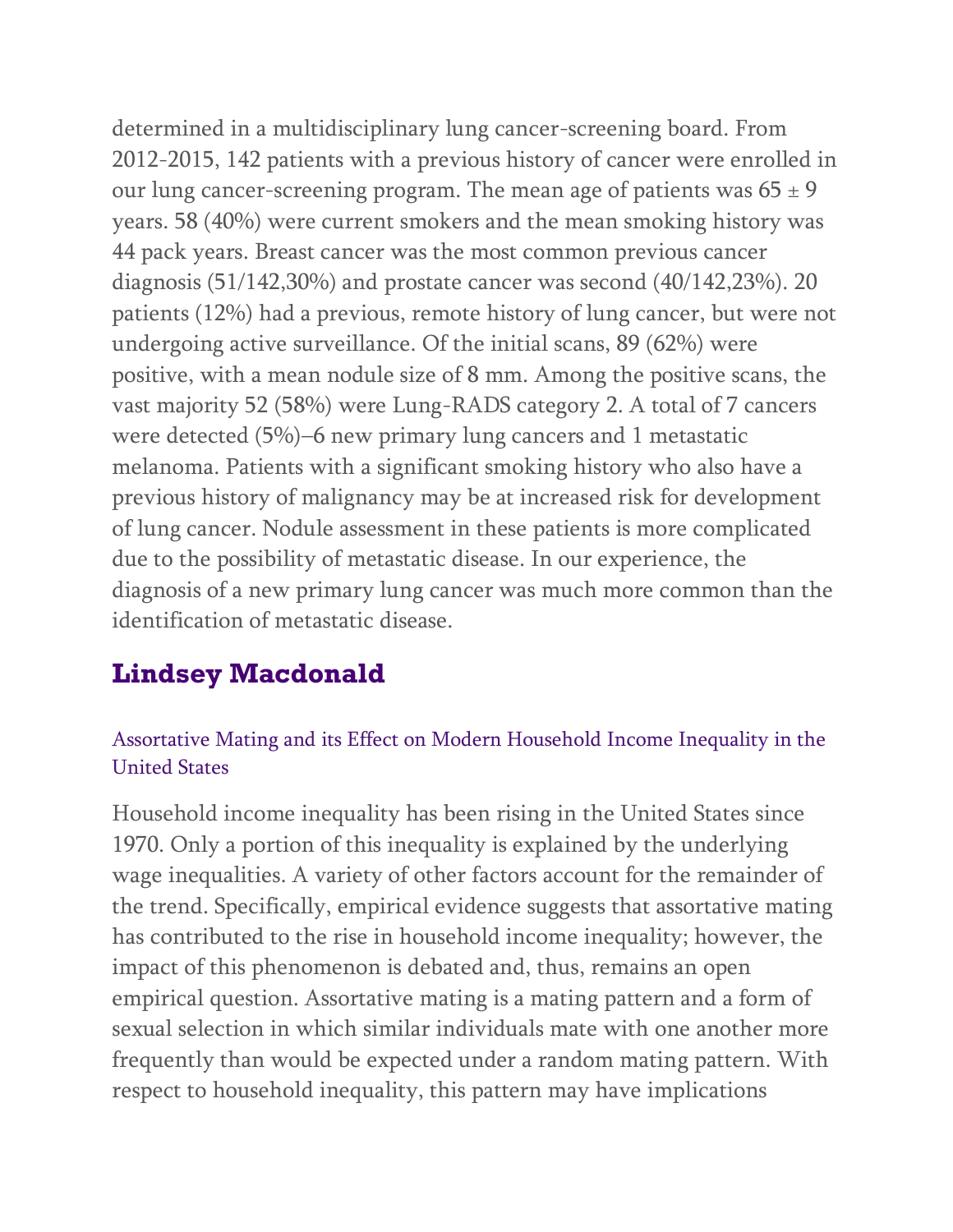determined in a multidisciplinary lung cancer-screening board. From 2012-2015, 142 patients with a previous history of cancer were enrolled in our lung cancer-screening program. The mean age of patients was  $65 \pm 9$ years. 58 (40%) were current smokers and the mean smoking history was 44 pack years. Breast cancer was the most common previous cancer diagnosis (51/142,30%) and prostate cancer was second (40/142,23%). 20 patients (12%) had a previous, remote history of lung cancer, but were not undergoing active surveillance. Of the initial scans, 89 (62%) were positive, with a mean nodule size of 8 mm. Among the positive scans, the vast majority 52 (58%) were Lung-RADS category 2. A total of 7 cancers were detected (5%)–6 new primary lung cancers and 1 metastatic melanoma. Patients with a significant smoking history who also have a previous history of malignancy may be at increased risk for development of lung cancer. Nodule assessment in these patients is more complicated due to the possibility of metastatic disease. In our experience, the diagnosis of a new primary lung cancer was much more common than the identification of metastatic disease.

# **Lindsey Macdonald**

### Assortative Mating and its Effect on Modern Household Income Inequality in the United States

Household income inequality has been rising in the United States since 1970. Only a portion of this inequality is explained by the underlying wage inequalities. A variety of other factors account for the remainder of the trend. Specifically, empirical evidence suggests that assortative mating has contributed to the rise in household income inequality; however, the impact of this phenomenon is debated and, thus, remains an open empirical question. Assortative mating is a mating pattern and a form of sexual selection in which similar individuals mate with one another more frequently than would be expected under a random mating pattern. With respect to household inequality, this pattern may have implications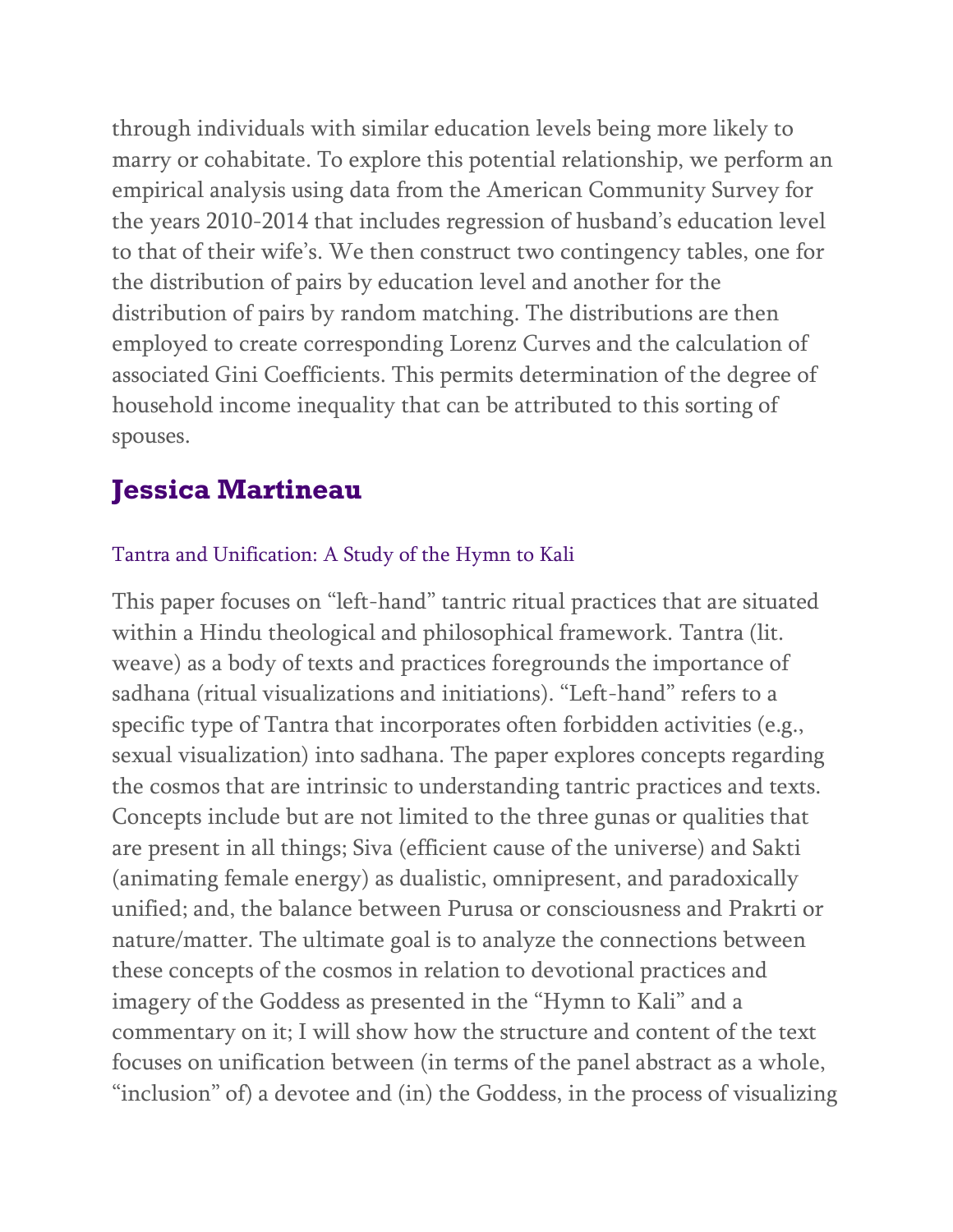through individuals with similar education levels being more likely to marry or cohabitate. To explore this potential relationship, we perform an empirical analysis using data from the American Community Survey for the years 2010-2014 that includes regression of husband's education level to that of their wife's. We then construct two contingency tables, one for the distribution of pairs by education level and another for the distribution of pairs by random matching. The distributions are then employed to create corresponding Lorenz Curves and the calculation of associated Gini Coefficients. This permits determination of the degree of household income inequality that can be attributed to this sorting of spouses.

## **Jessica Martineau**

#### Tantra and Unification: A Study of the Hymn to Kali

This paper focuses on "left-hand" tantric ritual practices that are situated within a Hindu theological and philosophical framework. Tantra (lit. weave) as a body of texts and practices foregrounds the importance of sadhana (ritual visualizations and initiations). "Left-hand" refers to a specific type of Tantra that incorporates often forbidden activities (e.g., sexual visualization) into sadhana. The paper explores concepts regarding the cosmos that are intrinsic to understanding tantric practices and texts. Concepts include but are not limited to the three gunas or qualities that are present in all things; Siva (efficient cause of the universe) and Sakti (animating female energy) as dualistic, omnipresent, and paradoxically unified; and, the balance between Purusa or consciousness and Prakrti or nature/matter. The ultimate goal is to analyze the connections between these concepts of the cosmos in relation to devotional practices and imagery of the Goddess as presented in the "Hymn to Kali" and a commentary on it; I will show how the structure and content of the text focuses on unification between (in terms of the panel abstract as a whole, "inclusion" of) a devotee and (in) the Goddess, in the process of visualizing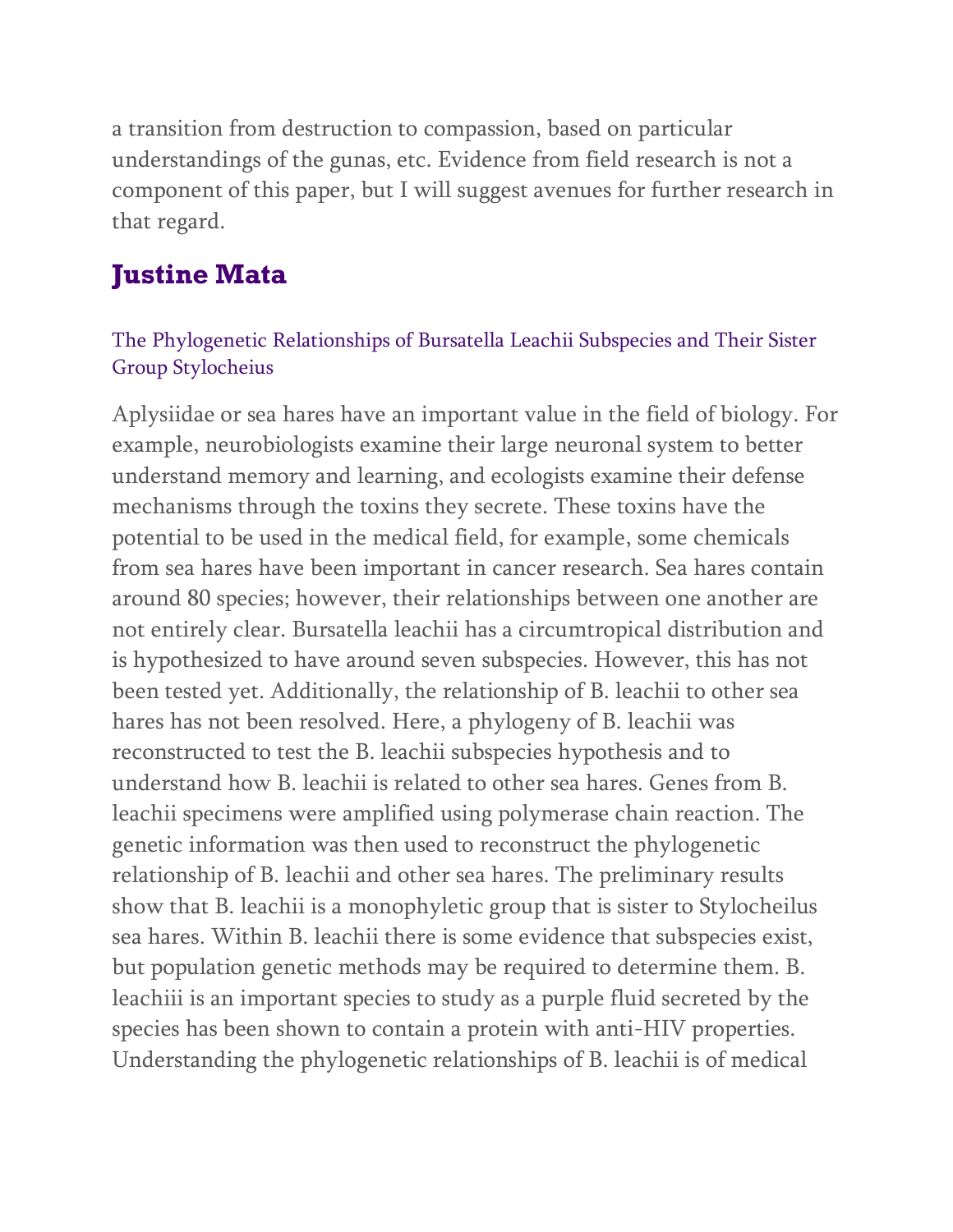a transition from destruction to compassion, based on particular understandings of the gunas, etc. Evidence from field research is not a component of this paper, but I will suggest avenues for further research in that regard.

## **Justine Mata**

### The Phylogenetic Relationships of Bursatella Leachii Subspecies and Their Sister Group Stylocheius

Aplysiidae or sea hares have an important value in the field of biology. For example, neurobiologists examine their large neuronal system to better understand memory and learning, and ecologists examine their defense mechanisms through the toxins they secrete. These toxins have the potential to be used in the medical field, for example, some chemicals from sea hares have been important in cancer research. Sea hares contain around 80 species; however, their relationships between one another are not entirely clear. Bursatella leachii has a circumtropical distribution and is hypothesized to have around seven subspecies. However, this has not been tested yet. Additionally, the relationship of B. leachii to other sea hares has not been resolved. Here, a phylogeny of B. leachii was reconstructed to test the B. leachii subspecies hypothesis and to understand how B. leachii is related to other sea hares. Genes from B. leachii specimens were amplified using polymerase chain reaction. The genetic information was then used to reconstruct the phylogenetic relationship of B. leachii and other sea hares. The preliminary results show that B. leachii is a monophyletic group that is sister to Stylocheilus sea hares. Within B. leachii there is some evidence that subspecies exist, but population genetic methods may be required to determine them. B. leachiii is an important species to study as a purple fluid secreted by the species has been shown to contain a protein with anti-HIV properties. Understanding the phylogenetic relationships of B. leachii is of medical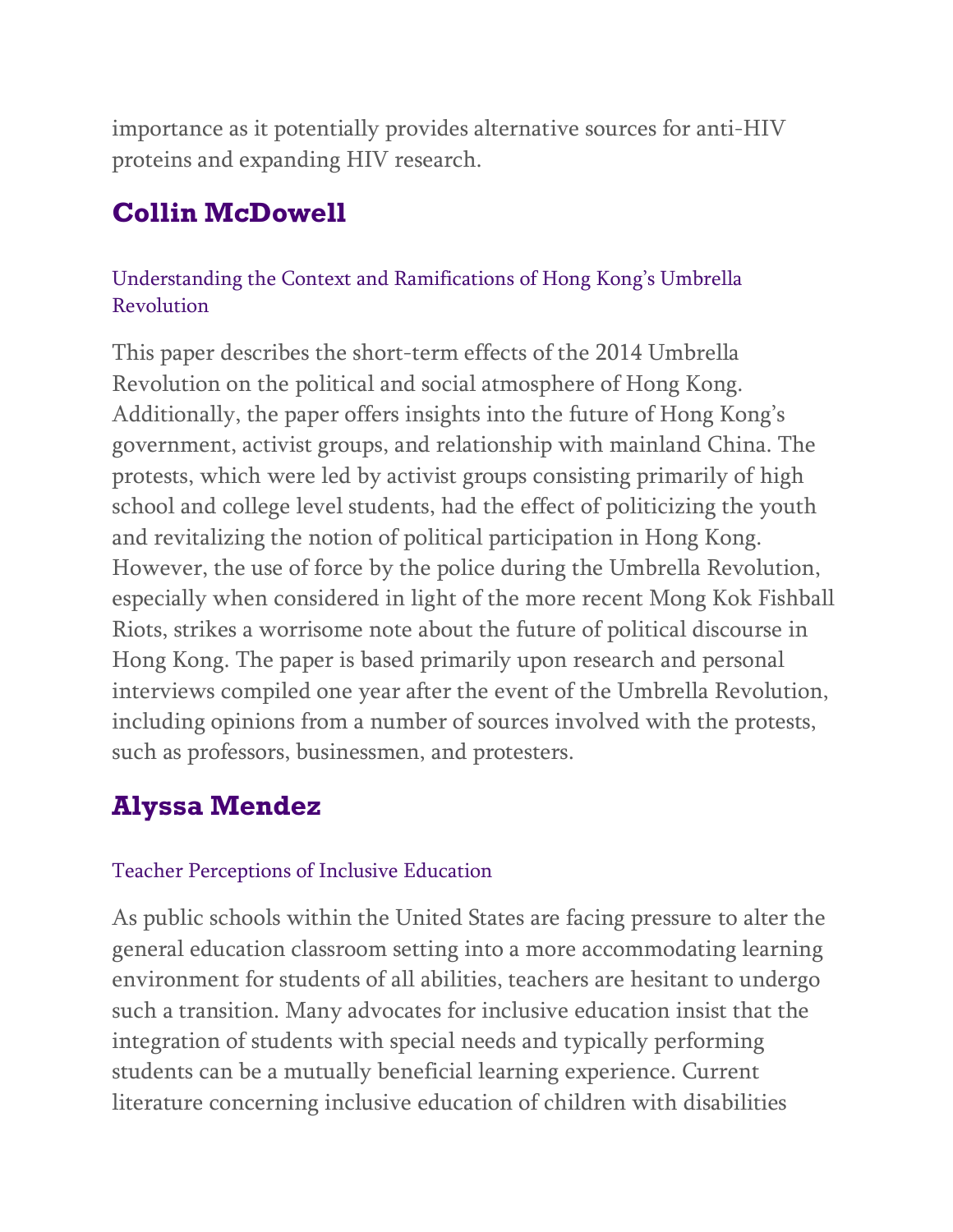importance as it potentially provides alternative sources for anti-HIV proteins and expanding HIV research.

# **Collin McDowell**

### Understanding the Context and Ramifications of Hong Kong's Umbrella Revolution

This paper describes the short-term effects of the 2014 Umbrella Revolution on the political and social atmosphere of Hong Kong. Additionally, the paper offers insights into the future of Hong Kong's government, activist groups, and relationship with mainland China. The protests, which were led by activist groups consisting primarily of high school and college level students, had the effect of politicizing the youth and revitalizing the notion of political participation in Hong Kong. However, the use of force by the police during the Umbrella Revolution, especially when considered in light of the more recent Mong Kok Fishball Riots, strikes a worrisome note about the future of political discourse in Hong Kong. The paper is based primarily upon research and personal interviews compiled one year after the event of the Umbrella Revolution, including opinions from a number of sources involved with the protests, such as professors, businessmen, and protesters.

# **Alyssa Mendez**

### Teacher Perceptions of Inclusive Education

As public schools within the United States are facing pressure to alter the general education classroom setting into a more accommodating learning environment for students of all abilities, teachers are hesitant to undergo such a transition. Many advocates for inclusive education insist that the integration of students with special needs and typically performing students can be a mutually beneficial learning experience. Current literature concerning inclusive education of children with disabilities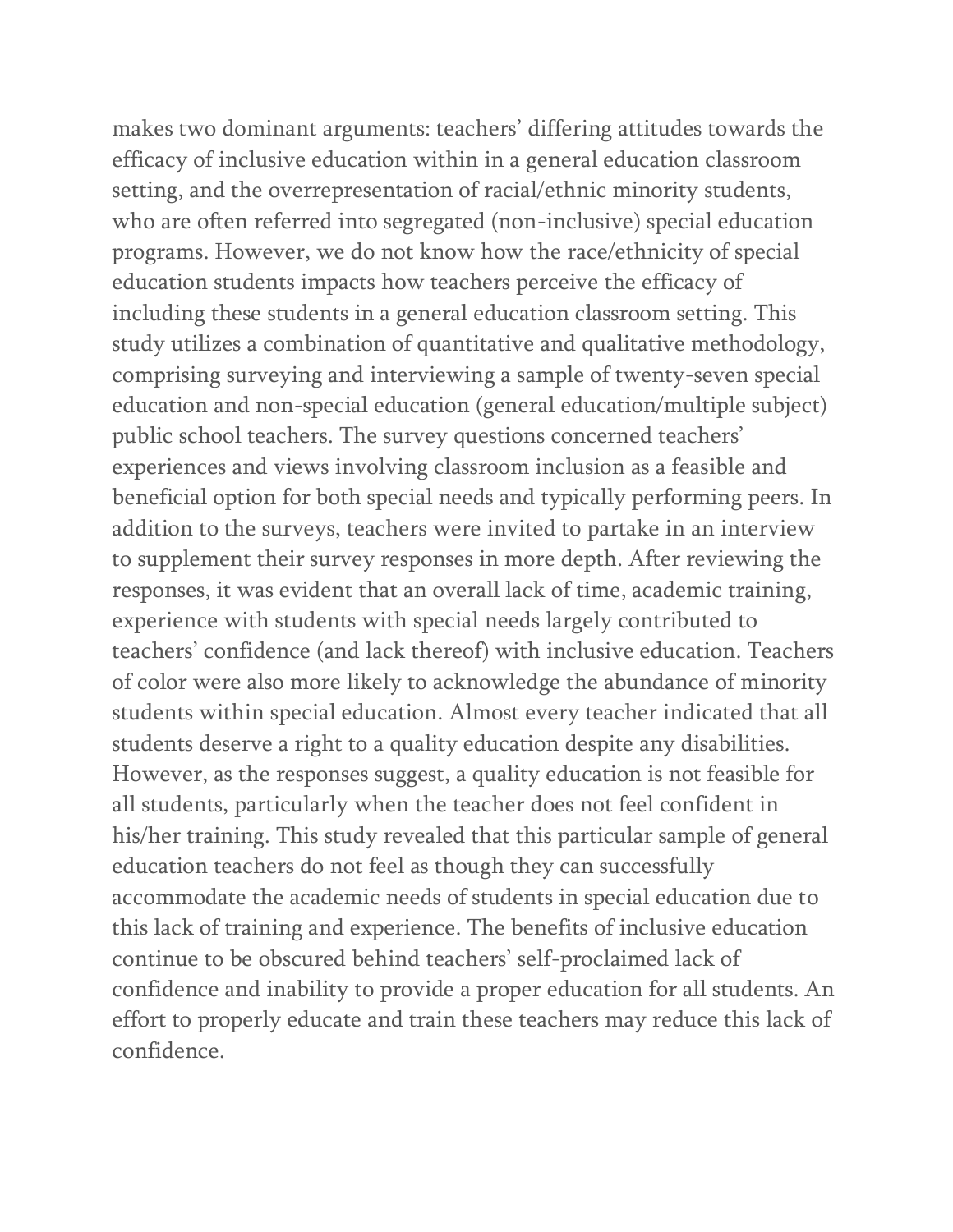makes two dominant arguments: teachers' differing attitudes towards the efficacy of inclusive education within in a general education classroom setting, and the overrepresentation of racial/ethnic minority students, who are often referred into segregated (non-inclusive) special education programs. However, we do not know how the race/ethnicity of special education students impacts how teachers perceive the efficacy of including these students in a general education classroom setting. This study utilizes a combination of quantitative and qualitative methodology, comprising surveying and interviewing a sample of twenty-seven special education and non-special education (general education/multiple subject) public school teachers. The survey questions concerned teachers' experiences and views involving classroom inclusion as a feasible and beneficial option for both special needs and typically performing peers. In addition to the surveys, teachers were invited to partake in an interview to supplement their survey responses in more depth. After reviewing the responses, it was evident that an overall lack of time, academic training, experience with students with special needs largely contributed to teachers' confidence (and lack thereof) with inclusive education. Teachers of color were also more likely to acknowledge the abundance of minority students within special education. Almost every teacher indicated that all students deserve a right to a quality education despite any disabilities. However, as the responses suggest, a quality education is not feasible for all students, particularly when the teacher does not feel confident in his/her training. This study revealed that this particular sample of general education teachers do not feel as though they can successfully accommodate the academic needs of students in special education due to this lack of training and experience. The benefits of inclusive education continue to be obscured behind teachers' self-proclaimed lack of confidence and inability to provide a proper education for all students. An effort to properly educate and train these teachers may reduce this lack of confidence.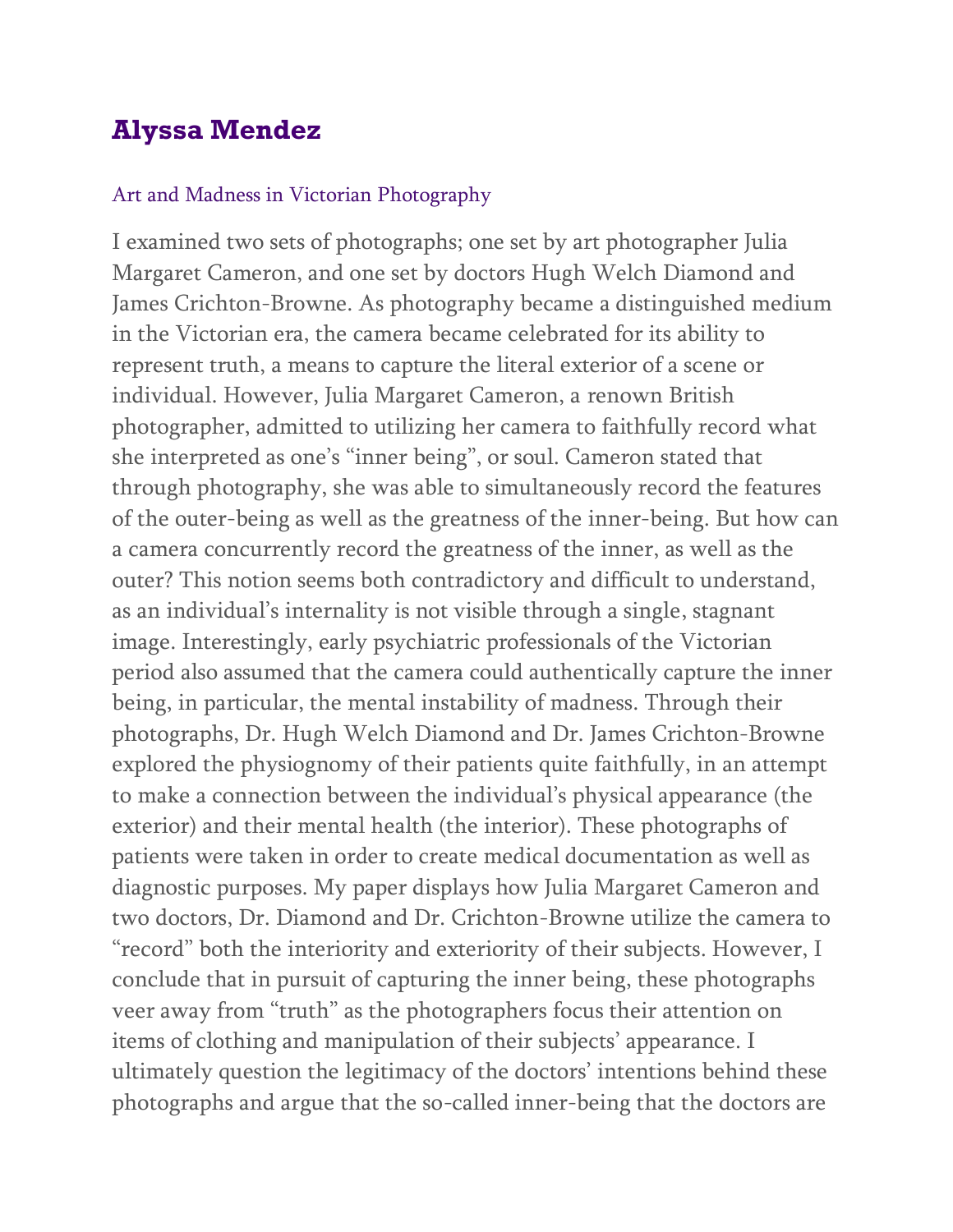## **Alyssa Mendez**

#### Art and Madness in Victorian Photography

I examined two sets of photographs; one set by art photographer Julia Margaret Cameron, and one set by doctors Hugh Welch Diamond and James Crichton-Browne. As photography became a distinguished medium in the Victorian era, the camera became celebrated for its ability to represent truth, a means to capture the literal exterior of a scene or individual. However, Julia Margaret Cameron, a renown British photographer, admitted to utilizing her camera to faithfully record what she interpreted as one's "inner being", or soul. Cameron stated that through photography, she was able to simultaneously record the features of the outer-being as well as the greatness of the inner-being. But how can a camera concurrently record the greatness of the inner, as well as the outer? This notion seems both contradictory and difficult to understand, as an individual's internality is not visible through a single, stagnant image. Interestingly, early psychiatric professionals of the Victorian period also assumed that the camera could authentically capture the inner being, in particular, the mental instability of madness. Through their photographs, Dr. Hugh Welch Diamond and Dr. James Crichton-Browne explored the physiognomy of their patients quite faithfully, in an attempt to make a connection between the individual's physical appearance (the exterior) and their mental health (the interior). These photographs of patients were taken in order to create medical documentation as well as diagnostic purposes. My paper displays how Julia Margaret Cameron and two doctors, Dr. Diamond and Dr. Crichton-Browne utilize the camera to "record" both the interiority and exteriority of their subjects. However, I conclude that in pursuit of capturing the inner being, these photographs veer away from "truth" as the photographers focus their attention on items of clothing and manipulation of their subjects' appearance. I ultimately question the legitimacy of the doctors' intentions behind these photographs and argue that the so-called inner-being that the doctors are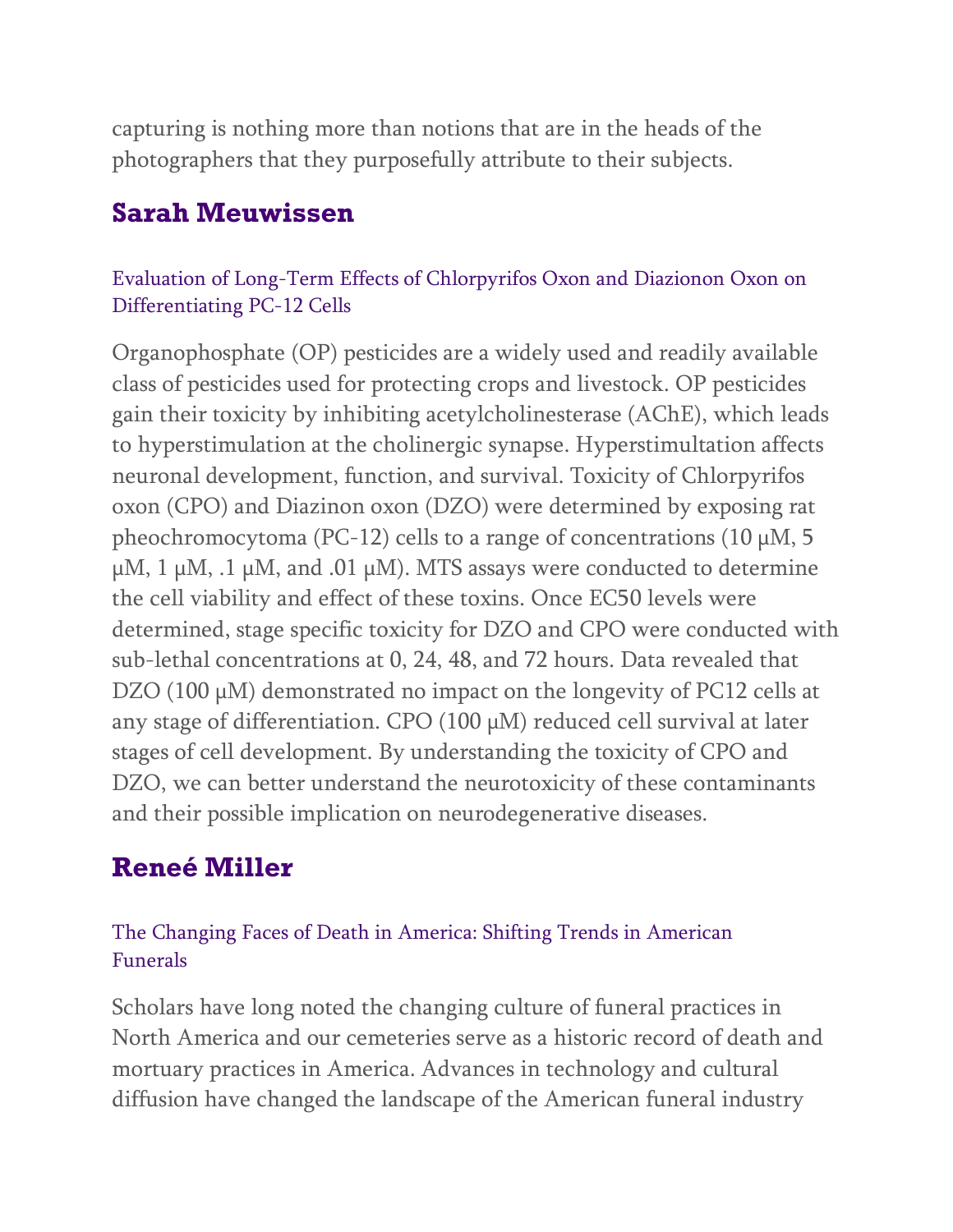capturing is nothing more than notions that are in the heads of the photographers that they purposefully attribute to their subjects.

### **Sarah Meuwissen**

### Evaluation of Long-Term Effects of Chlorpyrifos Oxon and Diazionon Oxon on Differentiating PC-12 Cells

Organophosphate (OP) pesticides are a widely used and readily available class of pesticides used for protecting crops and livestock. OP pesticides gain their toxicity by inhibiting acetylcholinesterase (AChE), which leads to hyperstimulation at the cholinergic synapse. Hyperstimultation affects neuronal development, function, and survival. Toxicity of Chlorpyrifos oxon (CPO) and Diazinon oxon (DZO) were determined by exposing rat pheochromocytoma (PC-12) cells to a range of concentrations (10  $\mu$ M, 5  $\mu$ M, 1  $\mu$ M, .1  $\mu$ M, and .01  $\mu$ M). MTS assays were conducted to determine the cell viability and effect of these toxins. Once EC50 levels were determined, stage specific toxicity for DZO and CPO were conducted with sub-lethal concentrations at 0, 24, 48, and 72 hours. Data revealed that DZO (100  $\mu$ M) demonstrated no impact on the longevity of PC12 cells at any stage of differentiation. CPO (100 µM) reduced cell survival at later stages of cell development. By understanding the toxicity of CPO and DZO, we can better understand the neurotoxicity of these contaminants and their possible implication on neurodegenerative diseases.

# **Reneé Miller**

### The Changing Faces of Death in America: Shifting Trends in American Funerals

Scholars have long noted the changing culture of funeral practices in North America and our cemeteries serve as a historic record of death and mortuary practices in America. Advances in technology and cultural diffusion have changed the landscape of the American funeral industry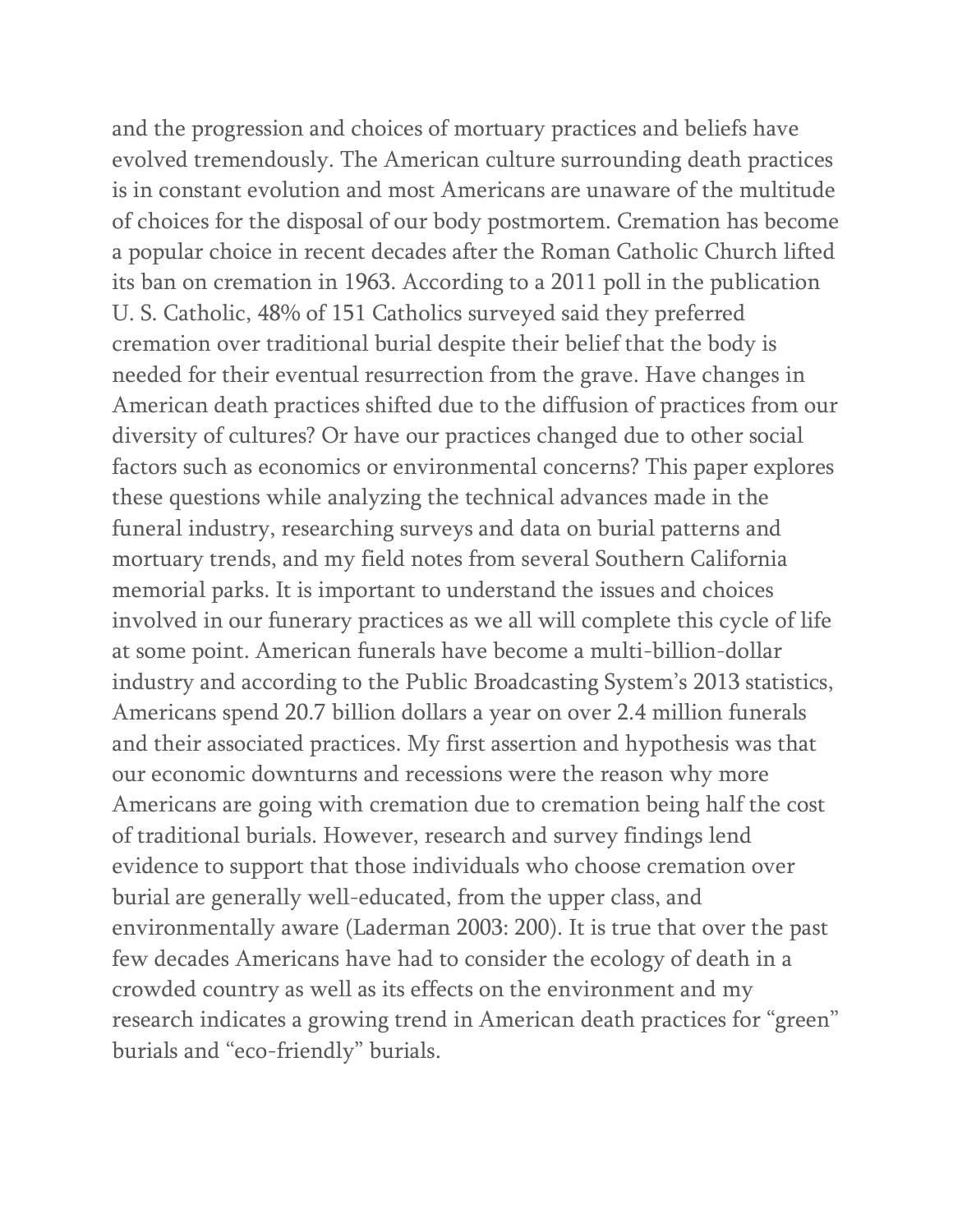and the progression and choices of mortuary practices and beliefs have evolved tremendously. The American culture surrounding death practices is in constant evolution and most Americans are unaware of the multitude of choices for the disposal of our body postmortem. Cremation has become a popular choice in recent decades after the Roman Catholic Church lifted its ban on cremation in 1963. According to a 2011 poll in the publication U. S. Catholic, 48% of 151 Catholics surveyed said they preferred cremation over traditional burial despite their belief that the body is needed for their eventual resurrection from the grave. Have changes in American death practices shifted due to the diffusion of practices from our diversity of cultures? Or have our practices changed due to other social factors such as economics or environmental concerns? This paper explores these questions while analyzing the technical advances made in the funeral industry, researching surveys and data on burial patterns and mortuary trends, and my field notes from several Southern California memorial parks. It is important to understand the issues and choices involved in our funerary practices as we all will complete this cycle of life at some point. American funerals have become a multi-billion-dollar industry and according to the Public Broadcasting System's 2013 statistics, Americans spend 20.7 billion dollars a year on over 2.4 million funerals and their associated practices. My first assertion and hypothesis was that our economic downturns and recessions were the reason why more Americans are going with cremation due to cremation being half the cost of traditional burials. However, research and survey findings lend evidence to support that those individuals who choose cremation over burial are generally well-educated, from the upper class, and environmentally aware (Laderman 2003: 200). It is true that over the past few decades Americans have had to consider the ecology of death in a crowded country as well as its effects on the environment and my research indicates a growing trend in American death practices for "green" burials and "eco-friendly" burials.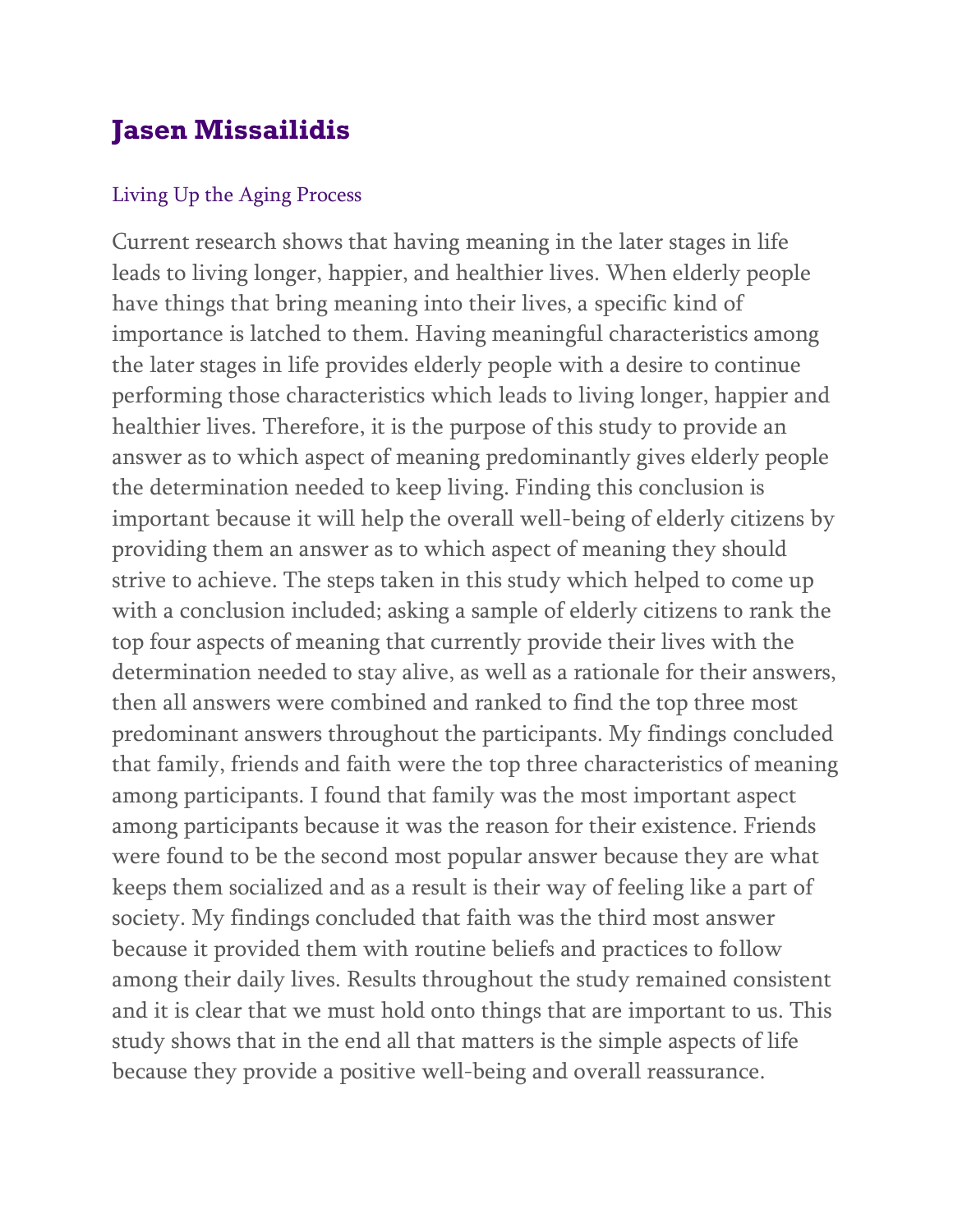# **Jasen Missailidis**

#### Living Up the Aging Process

Current research shows that having meaning in the later stages in life leads to living longer, happier, and healthier lives. When elderly people have things that bring meaning into their lives, a specific kind of importance is latched to them. Having meaningful characteristics among the later stages in life provides elderly people with a desire to continue performing those characteristics which leads to living longer, happier and healthier lives. Therefore, it is the purpose of this study to provide an answer as to which aspect of meaning predominantly gives elderly people the determination needed to keep living. Finding this conclusion is important because it will help the overall well-being of elderly citizens by providing them an answer as to which aspect of meaning they should strive to achieve. The steps taken in this study which helped to come up with a conclusion included; asking a sample of elderly citizens to rank the top four aspects of meaning that currently provide their lives with the determination needed to stay alive, as well as a rationale for their answers, then all answers were combined and ranked to find the top three most predominant answers throughout the participants. My findings concluded that family, friends and faith were the top three characteristics of meaning among participants. I found that family was the most important aspect among participants because it was the reason for their existence. Friends were found to be the second most popular answer because they are what keeps them socialized and as a result is their way of feeling like a part of society. My findings concluded that faith was the third most answer because it provided them with routine beliefs and practices to follow among their daily lives. Results throughout the study remained consistent and it is clear that we must hold onto things that are important to us. This study shows that in the end all that matters is the simple aspects of life because they provide a positive well-being and overall reassurance.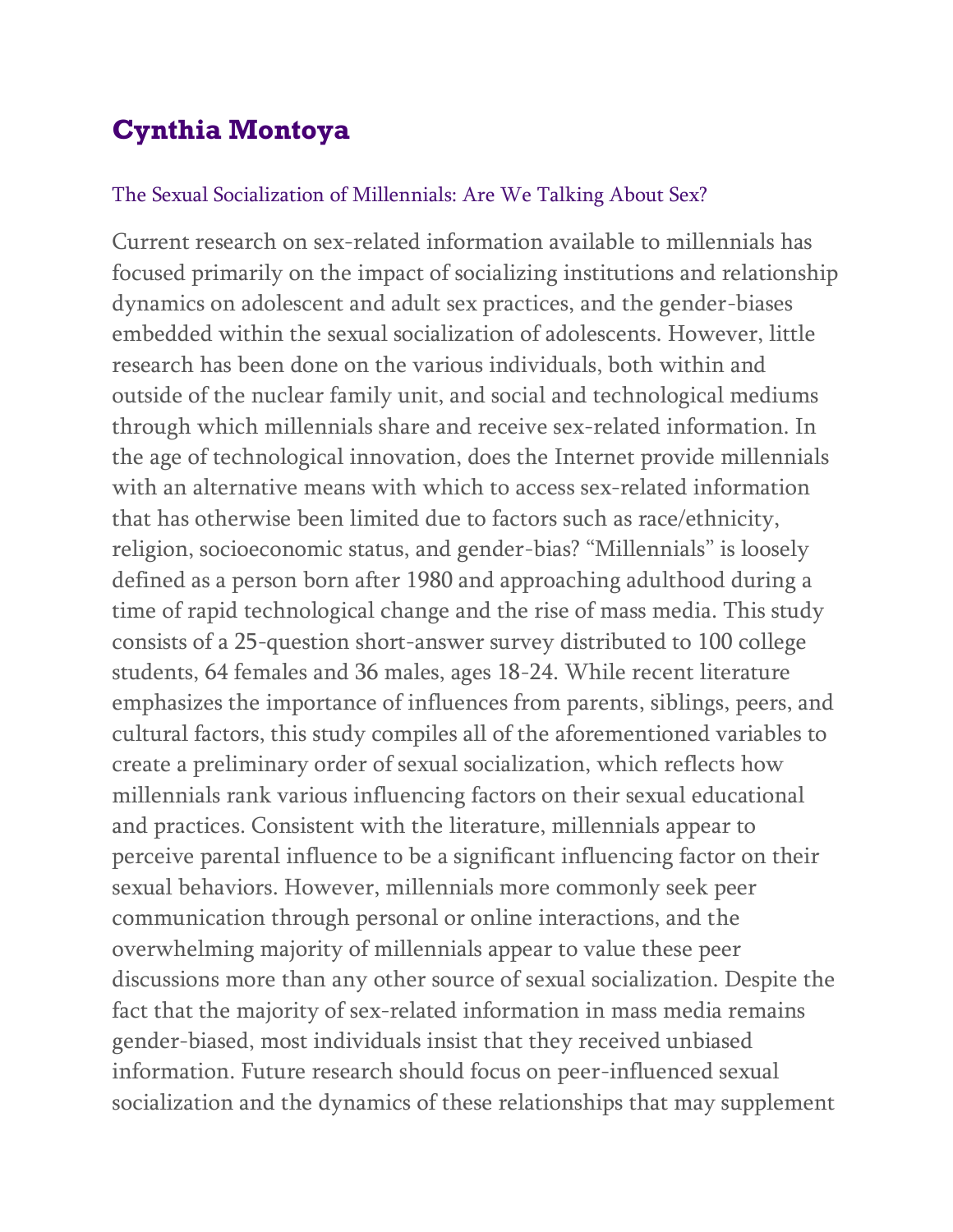# **Cynthia Montoya**

#### The Sexual Socialization of Millennials: Are We Talking About Sex?

Current research on sex-related information available to millennials has focused primarily on the impact of socializing institutions and relationship dynamics on adolescent and adult sex practices, and the gender-biases embedded within the sexual socialization of adolescents. However, little research has been done on the various individuals, both within and outside of the nuclear family unit, and social and technological mediums through which millennials share and receive sex-related information. In the age of technological innovation, does the Internet provide millennials with an alternative means with which to access sex-related information that has otherwise been limited due to factors such as race/ethnicity, religion, socioeconomic status, and gender-bias? "Millennials" is loosely defined as a person born after 1980 and approaching adulthood during a time of rapid technological change and the rise of mass media. This study consists of a 25-question short-answer survey distributed to 100 college students, 64 females and 36 males, ages 18-24. While recent literature emphasizes the importance of influences from parents, siblings, peers, and cultural factors, this study compiles all of the aforementioned variables to create a preliminary order of sexual socialization, which reflects how millennials rank various influencing factors on their sexual educational and practices. Consistent with the literature, millennials appear to perceive parental influence to be a significant influencing factor on their sexual behaviors. However, millennials more commonly seek peer communication through personal or online interactions, and the overwhelming majority of millennials appear to value these peer discussions more than any other source of sexual socialization. Despite the fact that the majority of sex-related information in mass media remains gender-biased, most individuals insist that they received unbiased information. Future research should focus on peer-influenced sexual socialization and the dynamics of these relationships that may supplement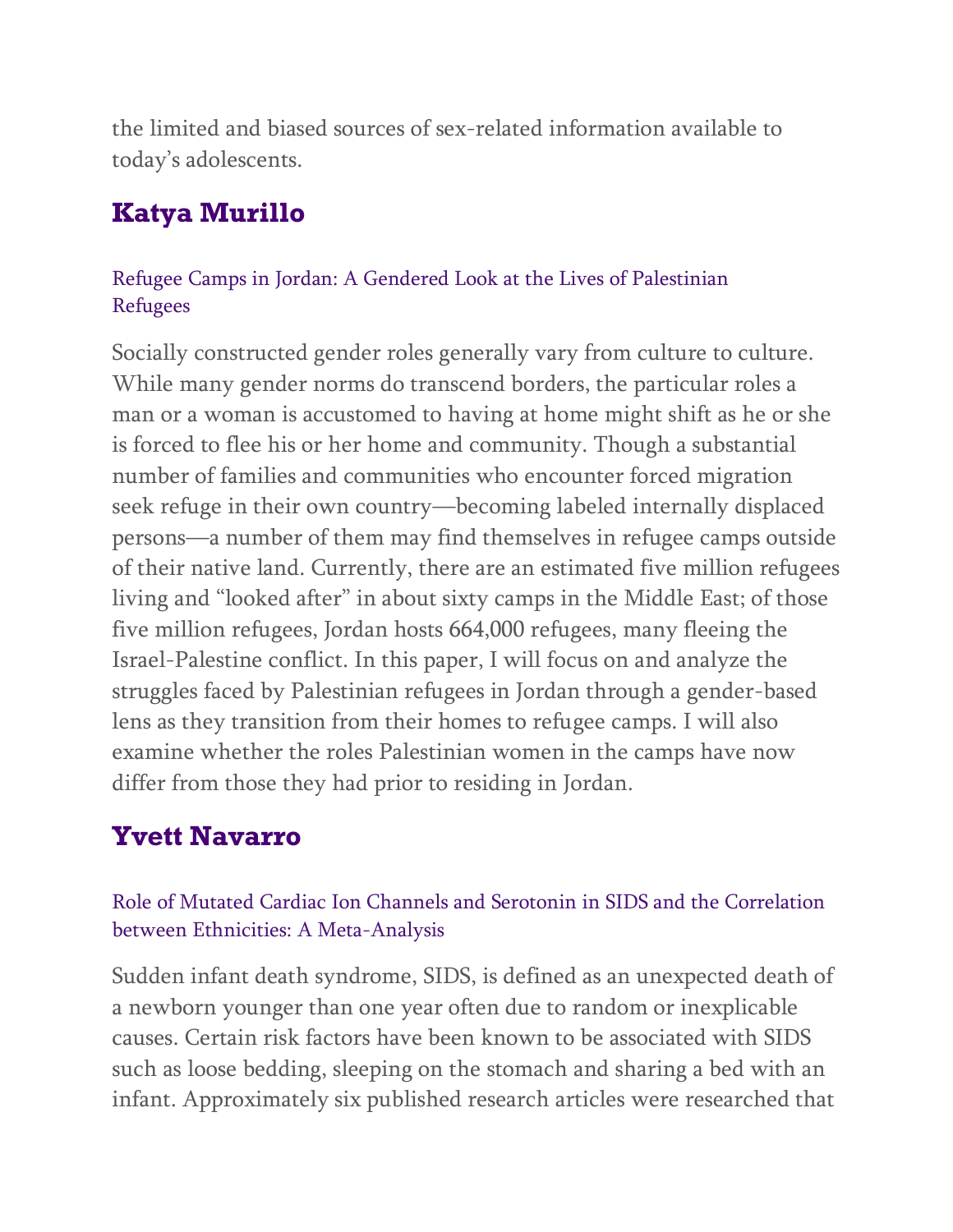the limited and biased sources of sex-related information available to today's adolescents.

# **Katya Murillo**

### Refugee Camps in Jordan: A Gendered Look at the Lives of Palestinian Refugees

Socially constructed gender roles generally vary from culture to culture. While many gender norms do transcend borders, the particular roles a man or a woman is accustomed to having at home might shift as he or she is forced to flee his or her home and community. Though a substantial number of families and communities who encounter forced migration seek refuge in their own country—becoming labeled internally displaced persons—a number of them may find themselves in refugee camps outside of their native land. Currently, there are an estimated five million refugees living and "looked after" in about sixty camps in the Middle East; of those five million refugees, Jordan hosts 664,000 refugees, many fleeing the Israel-Palestine conflict. In this paper, I will focus on and analyze the struggles faced by Palestinian refugees in Jordan through a gender-based lens as they transition from their homes to refugee camps. I will also examine whether the roles Palestinian women in the camps have now differ from those they had prior to residing in Jordan.

# **Yvett Navarro**

### Role of Mutated Cardiac Ion Channels and Serotonin in SIDS and the Correlation between Ethnicities: A Meta-Analysis

Sudden infant death syndrome, SIDS, is defined as an unexpected death of a newborn younger than one year often due to random or inexplicable causes. Certain risk factors have been known to be associated with SIDS such as loose bedding, sleeping on the stomach and sharing a bed with an infant. Approximately six published research articles were researched that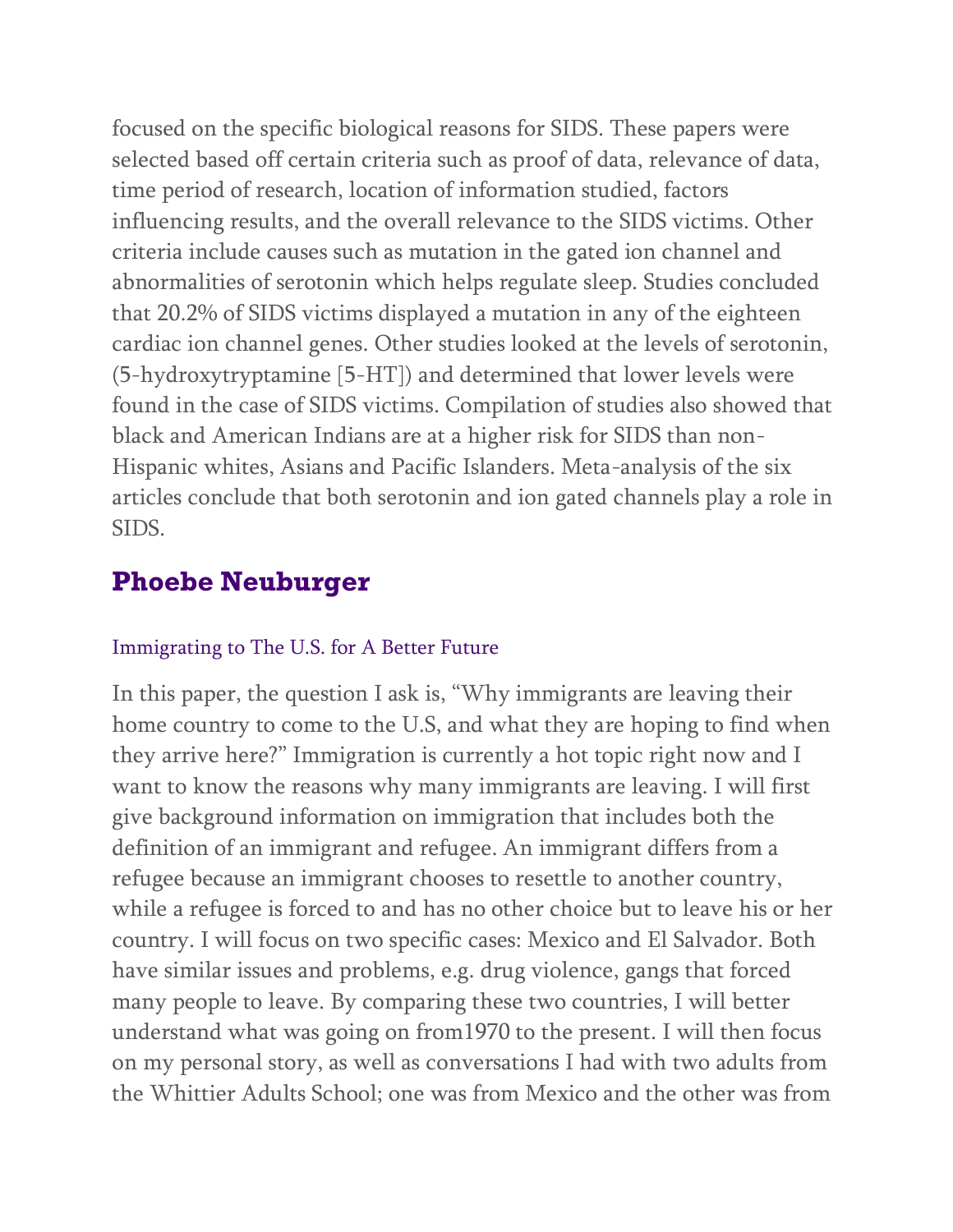focused on the specific biological reasons for SIDS. These papers were selected based off certain criteria such as proof of data, relevance of data, time period of research, location of information studied, factors influencing results, and the overall relevance to the SIDS victims. Other criteria include causes such as mutation in the gated ion channel and abnormalities of serotonin which helps regulate sleep. Studies concluded that 20.2% of SIDS victims displayed a mutation in any of the eighteen cardiac ion channel genes. Other studies looked at the levels of serotonin, (5-hydroxytryptamine [5-HT]) and determined that lower levels were found in the case of SIDS victims. Compilation of studies also showed that black and American Indians are at a higher risk for SIDS than non-Hispanic whites, Asians and Pacific Islanders. Meta-analysis of the six articles conclude that both serotonin and ion gated channels play a role in SIDS.

## **Phoebe Neuburger**

#### Immigrating to The U.S. for A Better Future

In this paper, the question I ask is, "Why immigrants are leaving their home country to come to the U.S, and what they are hoping to find when they arrive here?" Immigration is currently a hot topic right now and I want to know the reasons why many immigrants are leaving. I will first give background information on immigration that includes both the definition of an immigrant and refugee. An immigrant differs from a refugee because an immigrant chooses to resettle to another country, while a refugee is forced to and has no other choice but to leave his or her country. I will focus on two specific cases: Mexico and El Salvador. Both have similar issues and problems, e.g. drug violence, gangs that forced many people to leave. By comparing these two countries, I will better understand what was going on from1970 to the present. I will then focus on my personal story, as well as conversations I had with two adults from the Whittier Adults School; one was from Mexico and the other was from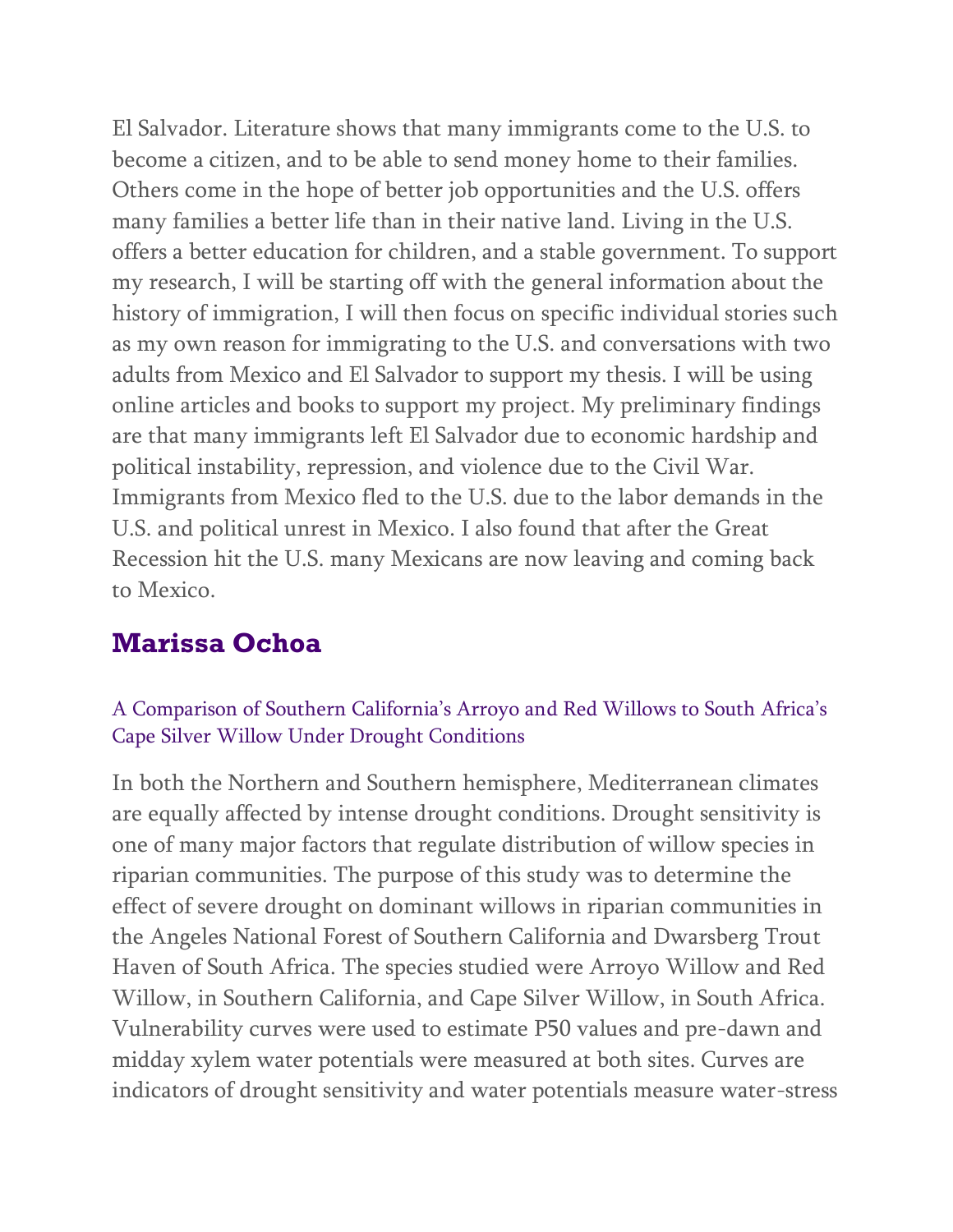El Salvador. Literature shows that many immigrants come to the U.S. to become a citizen, and to be able to send money home to their families. Others come in the hope of better job opportunities and the U.S. offers many families a better life than in their native land. Living in the U.S. offers a better education for children, and a stable government. To support my research, I will be starting off with the general information about the history of immigration, I will then focus on specific individual stories such as my own reason for immigrating to the U.S. and conversations with two adults from Mexico and El Salvador to support my thesis. I will be using online articles and books to support my project. My preliminary findings are that many immigrants left El Salvador due to economic hardship and political instability, repression, and violence due to the Civil War. Immigrants from Mexico fled to the U.S. due to the labor demands in the U.S. and political unrest in Mexico. I also found that after the Great Recession hit the U.S. many Mexicans are now leaving and coming back to Mexico.

### **Marissa Ochoa**

#### A Comparison of Southern California's Arroyo and Red Willows to South Africa's Cape Silver Willow Under Drought Conditions

In both the Northern and Southern hemisphere, Mediterranean climates are equally affected by intense drought conditions. Drought sensitivity is one of many major factors that regulate distribution of willow species in riparian communities. The purpose of this study was to determine the effect of severe drought on dominant willows in riparian communities in the Angeles National Forest of Southern California and Dwarsberg Trout Haven of South Africa. The species studied were Arroyo Willow and Red Willow, in Southern California, and Cape Silver Willow, in South Africa. Vulnerability curves were used to estimate P50 values and pre-dawn and midday xylem water potentials were measured at both sites. Curves are indicators of drought sensitivity and water potentials measure water-stress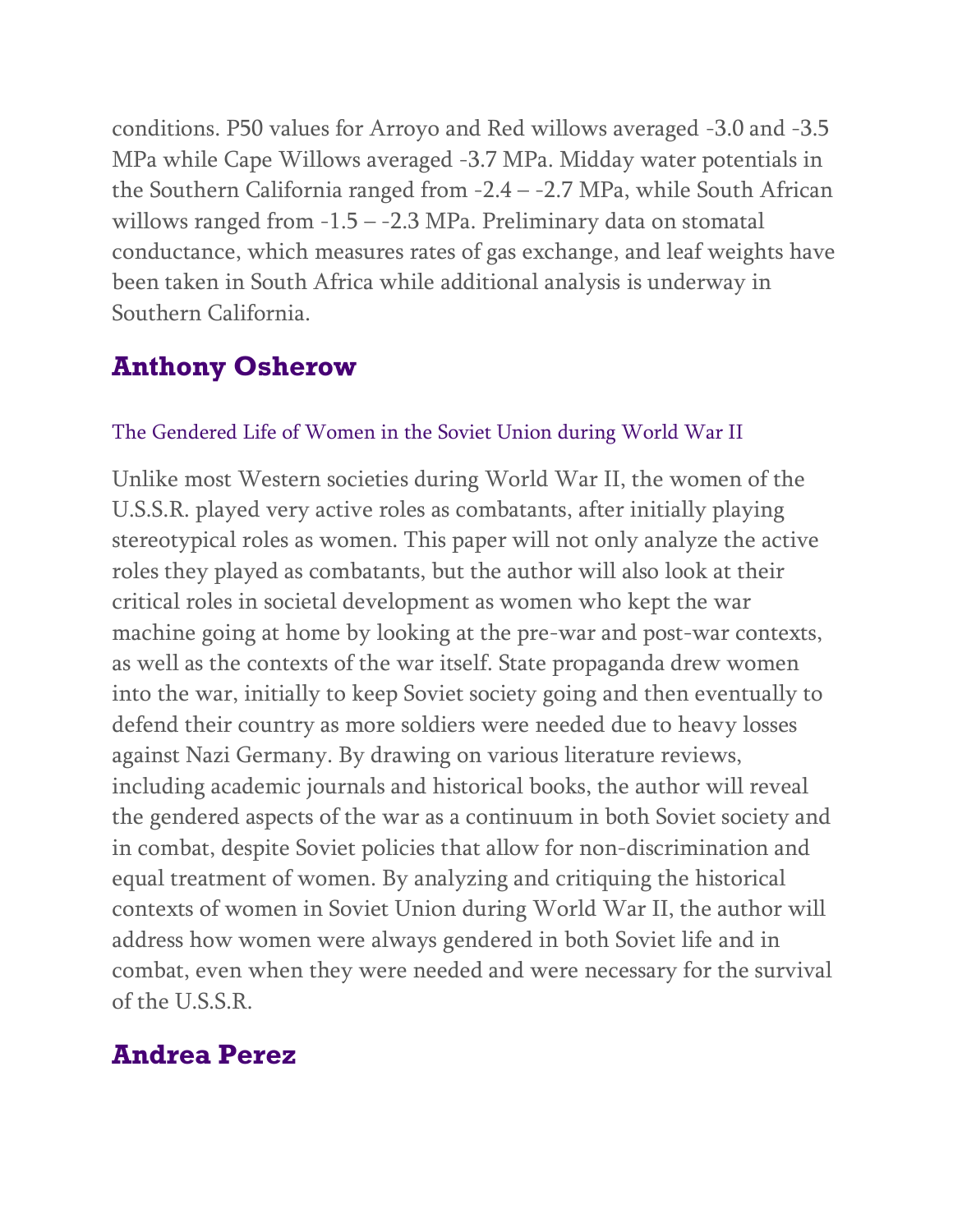conditions. P50 values for Arroyo and Red willows averaged -3.0 and -3.5 MPa while Cape Willows averaged -3.7 MPa. Midday water potentials in the Southern California ranged from -2.4 – -2.7 MPa, while South African willows ranged from  $-1.5 - -2.3$  MPa. Preliminary data on stomatal conductance, which measures rates of gas exchange, and leaf weights have been taken in South Africa while additional analysis is underway in Southern California.

### **Anthony Osherow**

#### The Gendered Life of Women in the Soviet Union during World War II

Unlike most Western societies during World War II, the women of the U.S.S.R. played very active roles as combatants, after initially playing stereotypical roles as women. This paper will not only analyze the active roles they played as combatants, but the author will also look at their critical roles in societal development as women who kept the war machine going at home by looking at the pre-war and post-war contexts, as well as the contexts of the war itself. State propaganda drew women into the war, initially to keep Soviet society going and then eventually to defend their country as more soldiers were needed due to heavy losses against Nazi Germany. By drawing on various literature reviews, including academic journals and historical books, the author will reveal the gendered aspects of the war as a continuum in both Soviet society and in combat, despite Soviet policies that allow for non-discrimination and equal treatment of women. By analyzing and critiquing the historical contexts of women in Soviet Union during World War II, the author will address how women were always gendered in both Soviet life and in combat, even when they were needed and were necessary for the survival of the U.S.S.R.

### **Andrea Perez**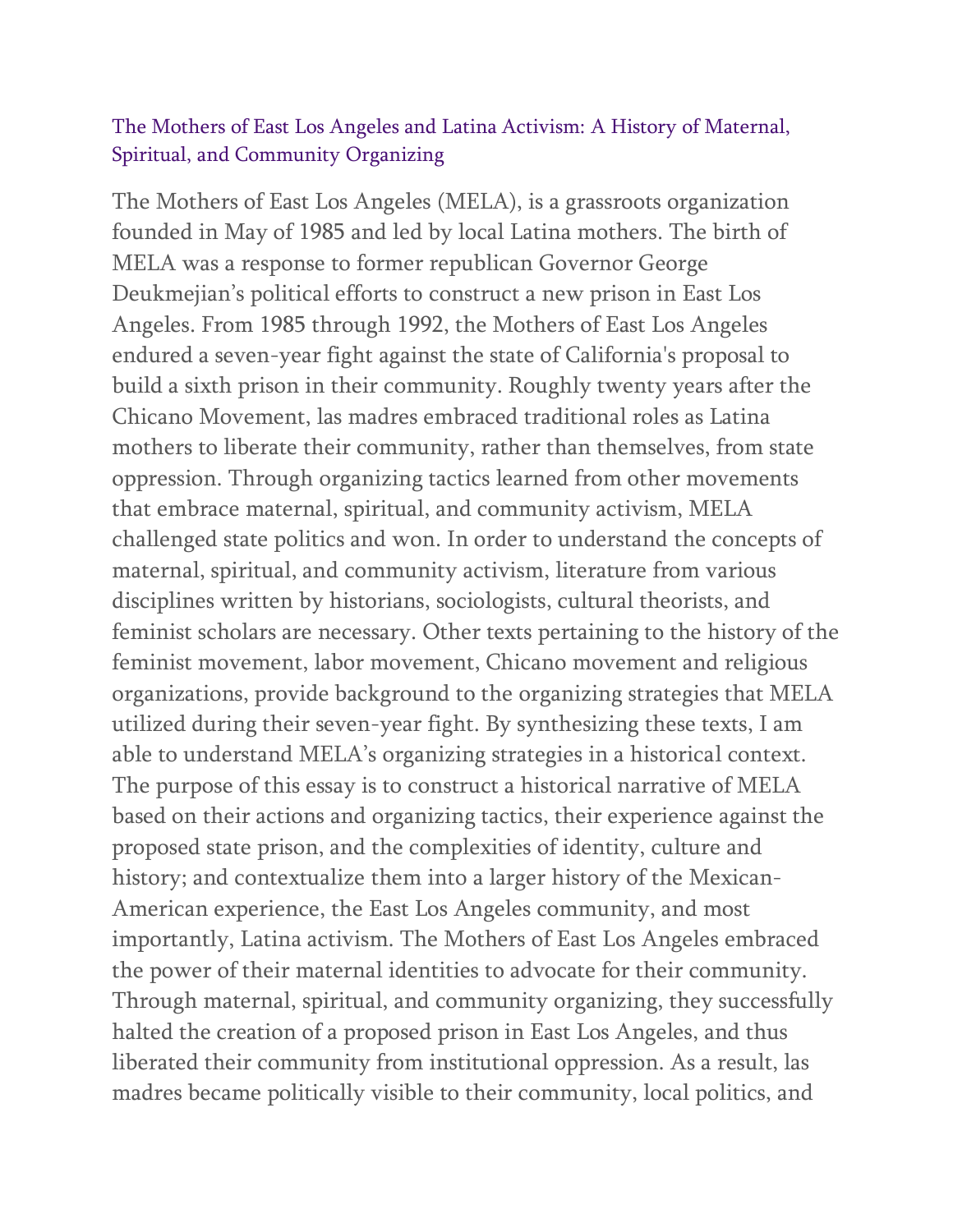#### The Mothers of East Los Angeles and Latina Activism: A History of Maternal, Spiritual, and Community Organizing

The Mothers of East Los Angeles (MELA), is a grassroots organization founded in May of 1985 and led by local Latina mothers. The birth of MELA was a response to former republican Governor George Deukmejian's political efforts to construct a new prison in East Los Angeles. From 1985 through 1992, the Mothers of East Los Angeles endured a seven-year fight against the state of California's proposal to build a sixth prison in their community. Roughly twenty years after the Chicano Movement, las madres embraced traditional roles as Latina mothers to liberate their community, rather than themselves, from state oppression. Through organizing tactics learned from other movements that embrace maternal, spiritual, and community activism, MELA challenged state politics and won. In order to understand the concepts of maternal, spiritual, and community activism, literature from various disciplines written by historians, sociologists, cultural theorists, and feminist scholars are necessary. Other texts pertaining to the history of the feminist movement, labor movement, Chicano movement and religious organizations, provide background to the organizing strategies that MELA utilized during their seven-year fight. By synthesizing these texts, I am able to understand MELA's organizing strategies in a historical context. The purpose of this essay is to construct a historical narrative of MELA based on their actions and organizing tactics, their experience against the proposed state prison, and the complexities of identity, culture and history; and contextualize them into a larger history of the Mexican-American experience, the East Los Angeles community, and most importantly, Latina activism. The Mothers of East Los Angeles embraced the power of their maternal identities to advocate for their community. Through maternal, spiritual, and community organizing, they successfully halted the creation of a proposed prison in East Los Angeles, and thus liberated their community from institutional oppression. As a result, las madres became politically visible to their community, local politics, and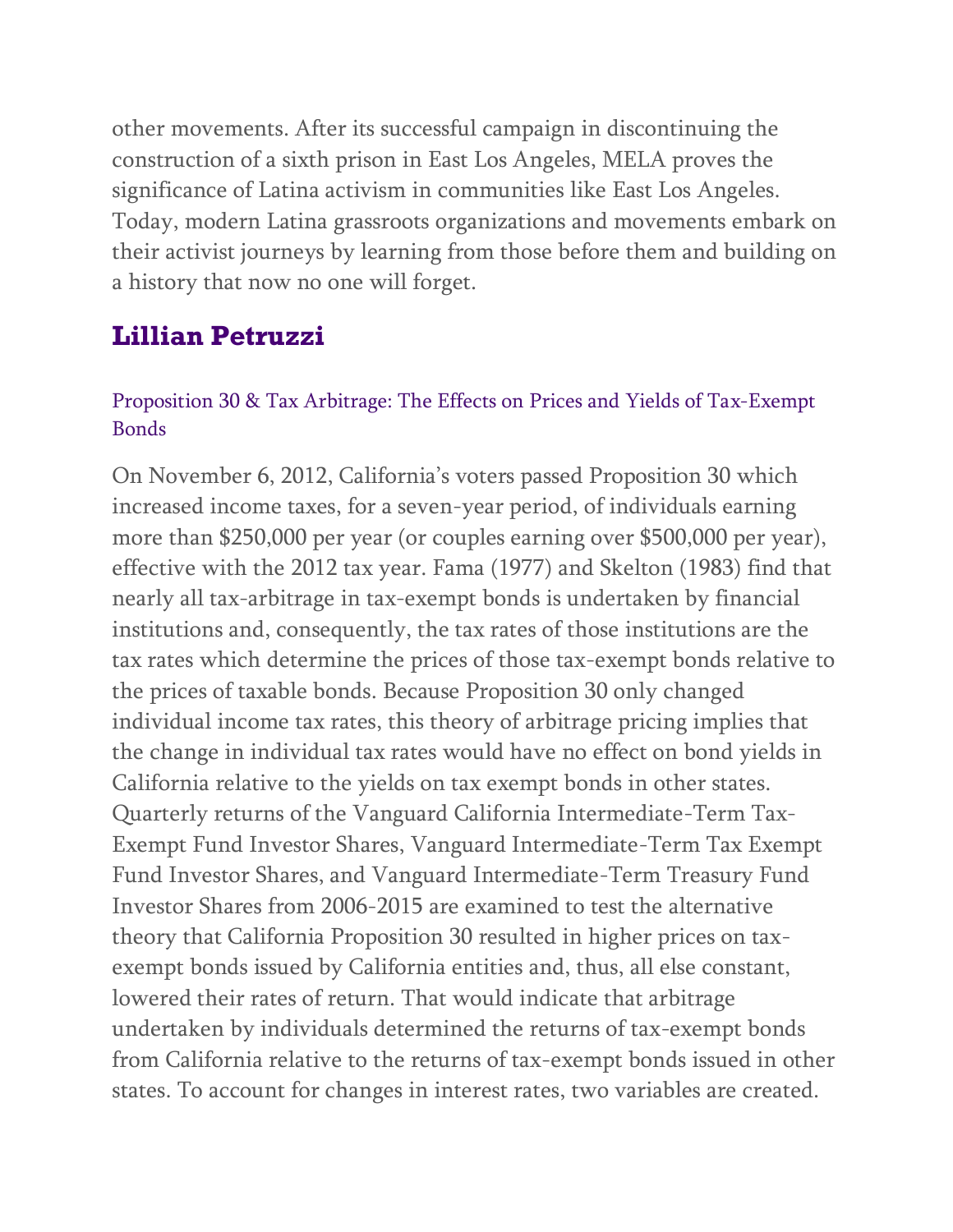other movements. After its successful campaign in discontinuing the construction of a sixth prison in East Los Angeles, MELA proves the significance of Latina activism in communities like East Los Angeles. Today, modern Latina grassroots organizations and movements embark on their activist journeys by learning from those before them and building on a history that now no one will forget.

### **Lillian Petruzzi**

#### Proposition 30 & Tax Arbitrage: The Effects on Prices and Yields of Tax-Exempt Bonds

On November 6, 2012, California's voters passed Proposition 30 which increased income taxes, for a seven-year period, of individuals earning more than \$250,000 per year (or couples earning over \$500,000 per year), effective with the 2012 tax year. Fama (1977) and Skelton (1983) find that nearly all tax-arbitrage in tax-exempt bonds is undertaken by financial institutions and, consequently, the tax rates of those institutions are the tax rates which determine the prices of those tax-exempt bonds relative to the prices of taxable bonds. Because Proposition 30 only changed individual income tax rates, this theory of arbitrage pricing implies that the change in individual tax rates would have no effect on bond yields in California relative to the yields on tax exempt bonds in other states. Quarterly returns of the Vanguard California Intermediate-Term Tax-Exempt Fund Investor Shares, Vanguard Intermediate-Term Tax Exempt Fund Investor Shares, and Vanguard Intermediate-Term Treasury Fund Investor Shares from 2006-2015 are examined to test the alternative theory that California Proposition 30 resulted in higher prices on taxexempt bonds issued by California entities and, thus, all else constant, lowered their rates of return. That would indicate that arbitrage undertaken by individuals determined the returns of tax-exempt bonds from California relative to the returns of tax-exempt bonds issued in other states. To account for changes in interest rates, two variables are created.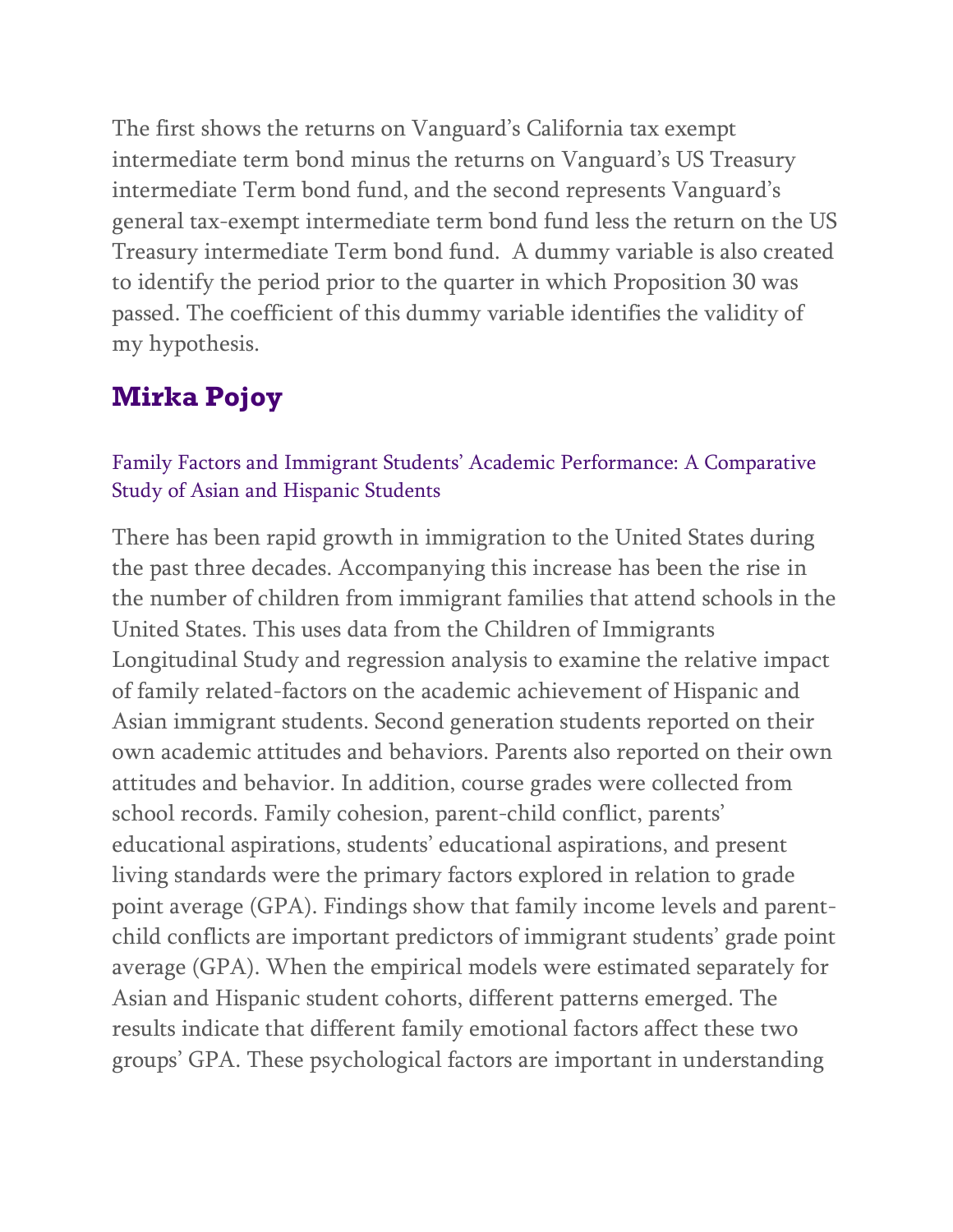The first shows the returns on Vanguard's California tax exempt intermediate term bond minus the returns on Vanguard's US Treasury intermediate Term bond fund, and the second represents Vanguard's general tax-exempt intermediate term bond fund less the return on the US Treasury intermediate Term bond fund. A dummy variable is also created to identify the period prior to the quarter in which Proposition 30 was passed. The coefficient of this dummy variable identifies the validity of my hypothesis.

## **Mirka Pojoy**

### Family Factors and Immigrant Students' Academic Performance: A Comparative Study of Asian and Hispanic Students

There has been rapid growth in immigration to the United States during the past three decades. Accompanying this increase has been the rise in the number of children from immigrant families that attend schools in the United States. This uses data from the Children of Immigrants Longitudinal Study and regression analysis to examine the relative impact of family related-factors on the academic achievement of Hispanic and Asian immigrant students. Second generation students reported on their own academic attitudes and behaviors. Parents also reported on their own attitudes and behavior. In addition, course grades were collected from school records. Family cohesion, parent-child conflict, parents' educational aspirations, students' educational aspirations, and present living standards were the primary factors explored in relation to grade point average (GPA). Findings show that family income levels and parentchild conflicts are important predictors of immigrant students' grade point average (GPA). When the empirical models were estimated separately for Asian and Hispanic student cohorts, different patterns emerged. The results indicate that different family emotional factors affect these two groups' GPA. These psychological factors are important in understanding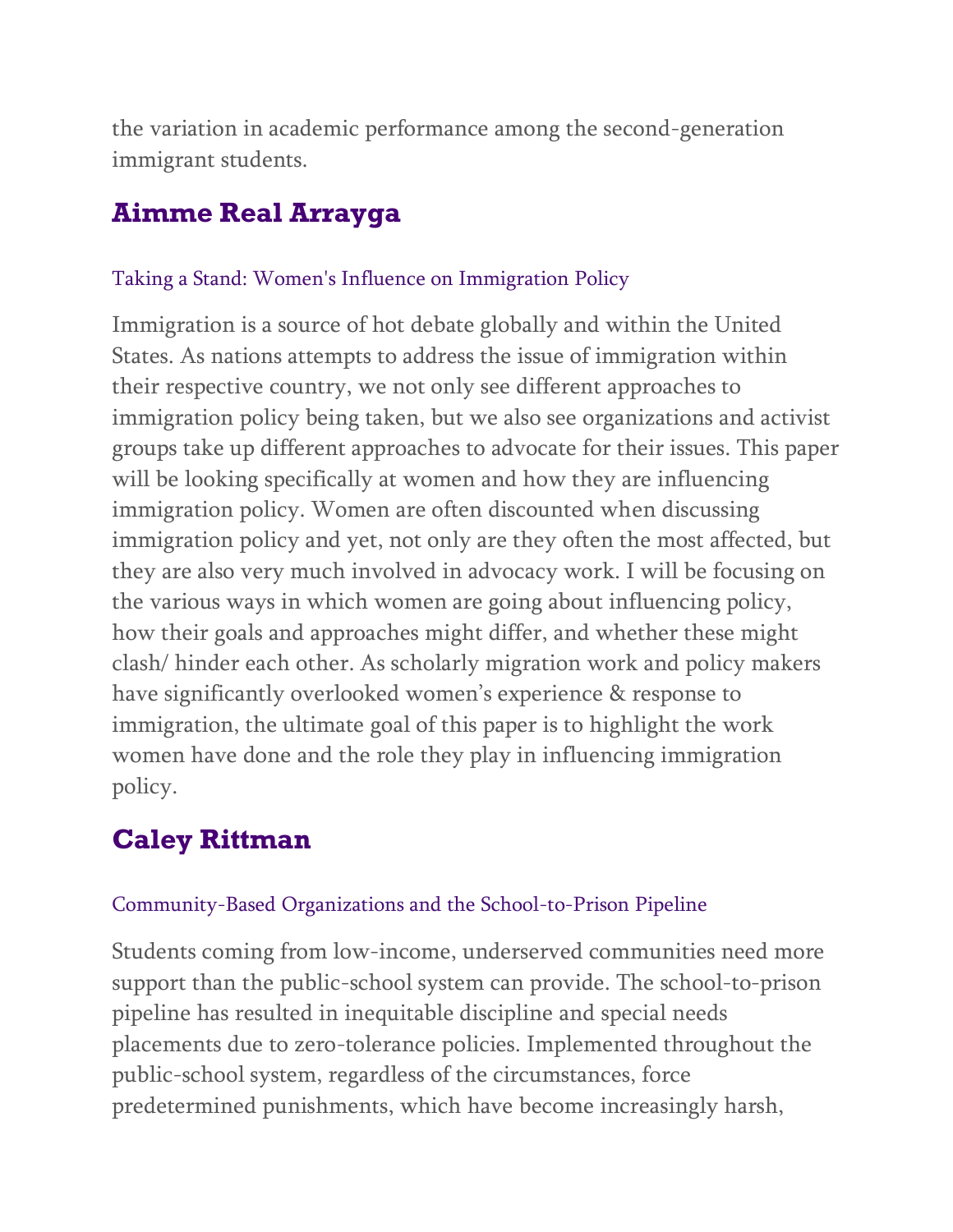the variation in academic performance among the second-generation immigrant students.

## **Aimme Real Arrayga**

#### Taking a Stand: Women's Influence on Immigration Policy

Immigration is a source of hot debate globally and within the United States. As nations attempts to address the issue of immigration within their respective country, we not only see different approaches to immigration policy being taken, but we also see organizations and activist groups take up different approaches to advocate for their issues. This paper will be looking specifically at women and how they are influencing immigration policy. Women are often discounted when discussing immigration policy and yet, not only are they often the most affected, but they are also very much involved in advocacy work. I will be focusing on the various ways in which women are going about influencing policy, how their goals and approaches might differ, and whether these might clash/ hinder each other. As scholarly migration work and policy makers have significantly overlooked women's experience & response to immigration, the ultimate goal of this paper is to highlight the work women have done and the role they play in influencing immigration policy.

## **Caley Rittman**

#### Community-Based Organizations and the School-to-Prison Pipeline

Students coming from low-income, underserved communities need more support than the public-school system can provide. The school-to-prison pipeline has resulted in inequitable discipline and special needs placements due to zero-tolerance policies. Implemented throughout the public-school system, regardless of the circumstances, force predetermined punishments, which have become increasingly harsh,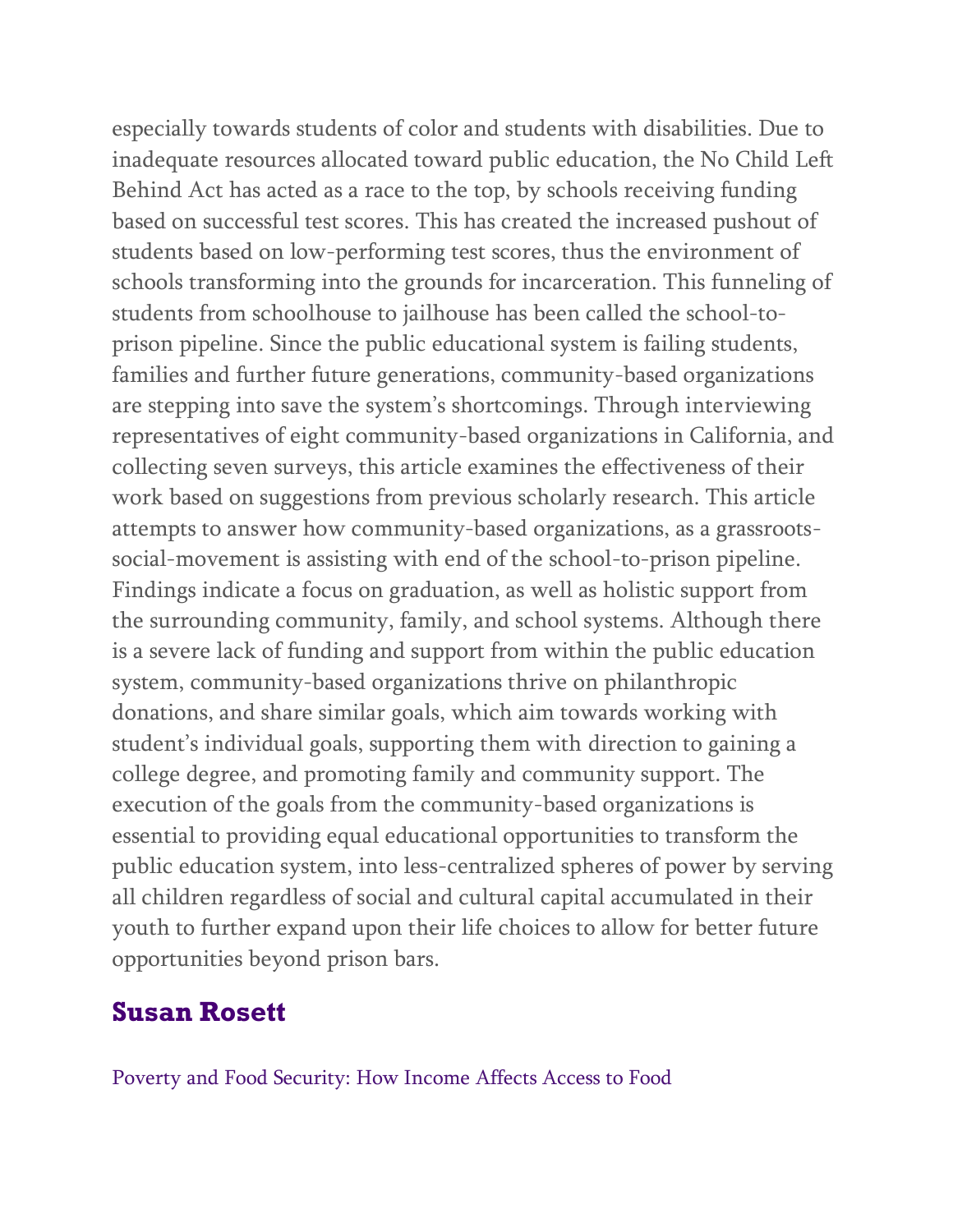especially towards students of color and students with disabilities. Due to inadequate resources allocated toward public education, the No Child Left Behind Act has acted as a race to the top, by schools receiving funding based on successful test scores. This has created the increased pushout of students based on low-performing test scores, thus the environment of schools transforming into the grounds for incarceration. This funneling of students from schoolhouse to jailhouse has been called the school-toprison pipeline. Since the public educational system is failing students, families and further future generations, community-based organizations are stepping into save the system's shortcomings. Through interviewing representatives of eight community-based organizations in California, and collecting seven surveys, this article examines the effectiveness of their work based on suggestions from previous scholarly research. This article attempts to answer how community-based organizations, as a grassrootssocial-movement is assisting with end of the school-to-prison pipeline. Findings indicate a focus on graduation, as well as holistic support from the surrounding community, family, and school systems. Although there is a severe lack of funding and support from within the public education system, community-based organizations thrive on philanthropic donations, and share similar goals, which aim towards working with student's individual goals, supporting them with direction to gaining a college degree, and promoting family and community support. The execution of the goals from the community-based organizations is essential to providing equal educational opportunities to transform the public education system, into less-centralized spheres of power by serving all children regardless of social and cultural capital accumulated in their youth to further expand upon their life choices to allow for better future opportunities beyond prison bars.

### **Susan Rosett**

Poverty and Food Security: How Income Affects Access to Food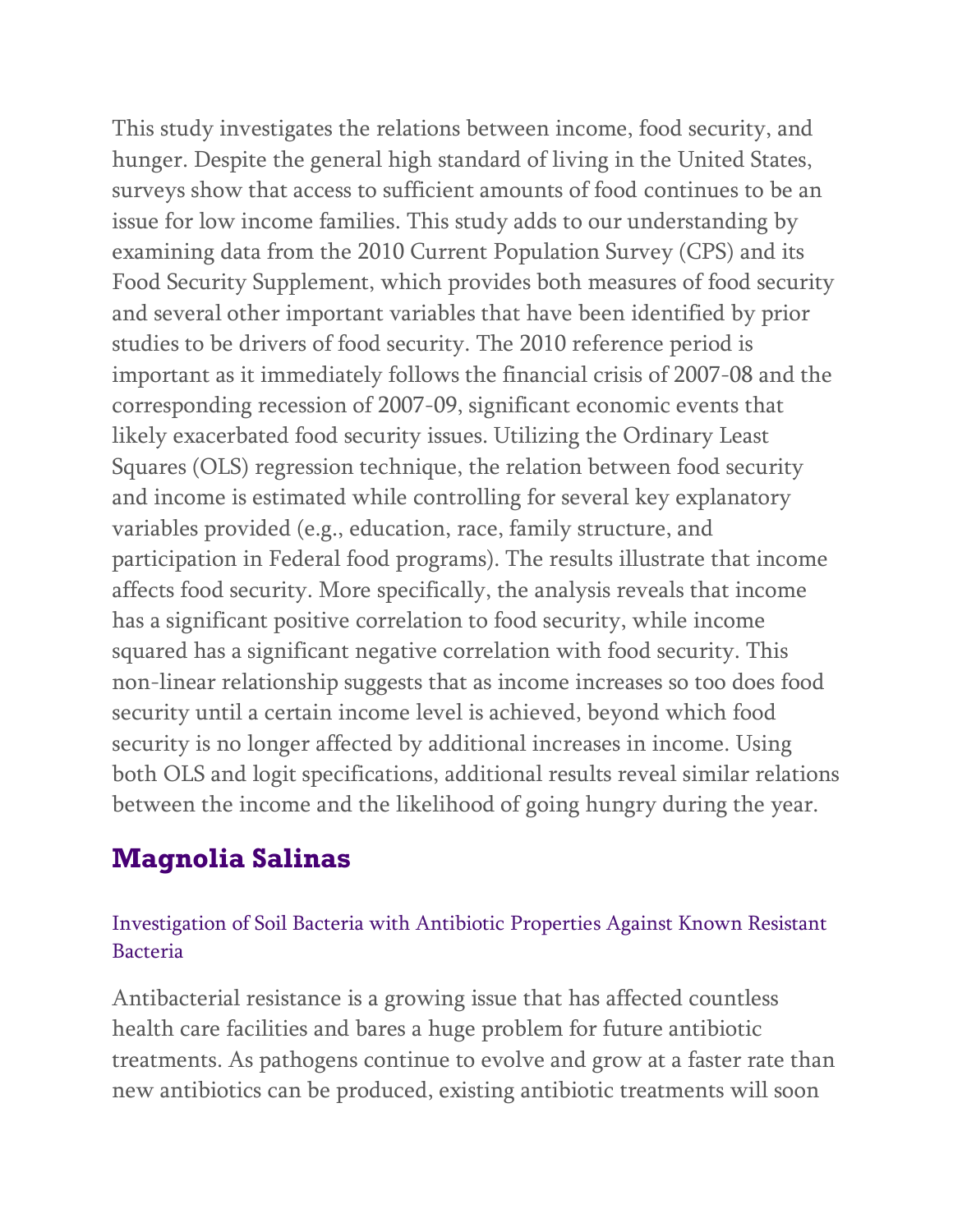This study investigates the relations between income, food security, and hunger. Despite the general high standard of living in the United States, surveys show that access to sufficient amounts of food continues to be an issue for low income families. This study adds to our understanding by examining data from the 2010 Current Population Survey (CPS) and its Food Security Supplement, which provides both measures of food security and several other important variables that have been identified by prior studies to be drivers of food security. The 2010 reference period is important as it immediately follows the financial crisis of 2007-08 and the corresponding recession of 2007-09, significant economic events that likely exacerbated food security issues. Utilizing the Ordinary Least Squares (OLS) regression technique, the relation between food security and income is estimated while controlling for several key explanatory variables provided (e.g., education, race, family structure, and participation in Federal food programs). The results illustrate that income affects food security. More specifically, the analysis reveals that income has a significant positive correlation to food security, while income squared has a significant negative correlation with food security. This non-linear relationship suggests that as income increases so too does food security until a certain income level is achieved, beyond which food security is no longer affected by additional increases in income. Using both OLS and logit specifications, additional results reveal similar relations between the income and the likelihood of going hungry during the year.

## **Magnolia Salinas**

#### Investigation of Soil Bacteria with Antibiotic Properties Against Known Resistant Bacteria

Antibacterial resistance is a growing issue that has affected countless health care facilities and bares a huge problem for future antibiotic treatments. As pathogens continue to evolve and grow at a faster rate than new antibiotics can be produced, existing antibiotic treatments will soon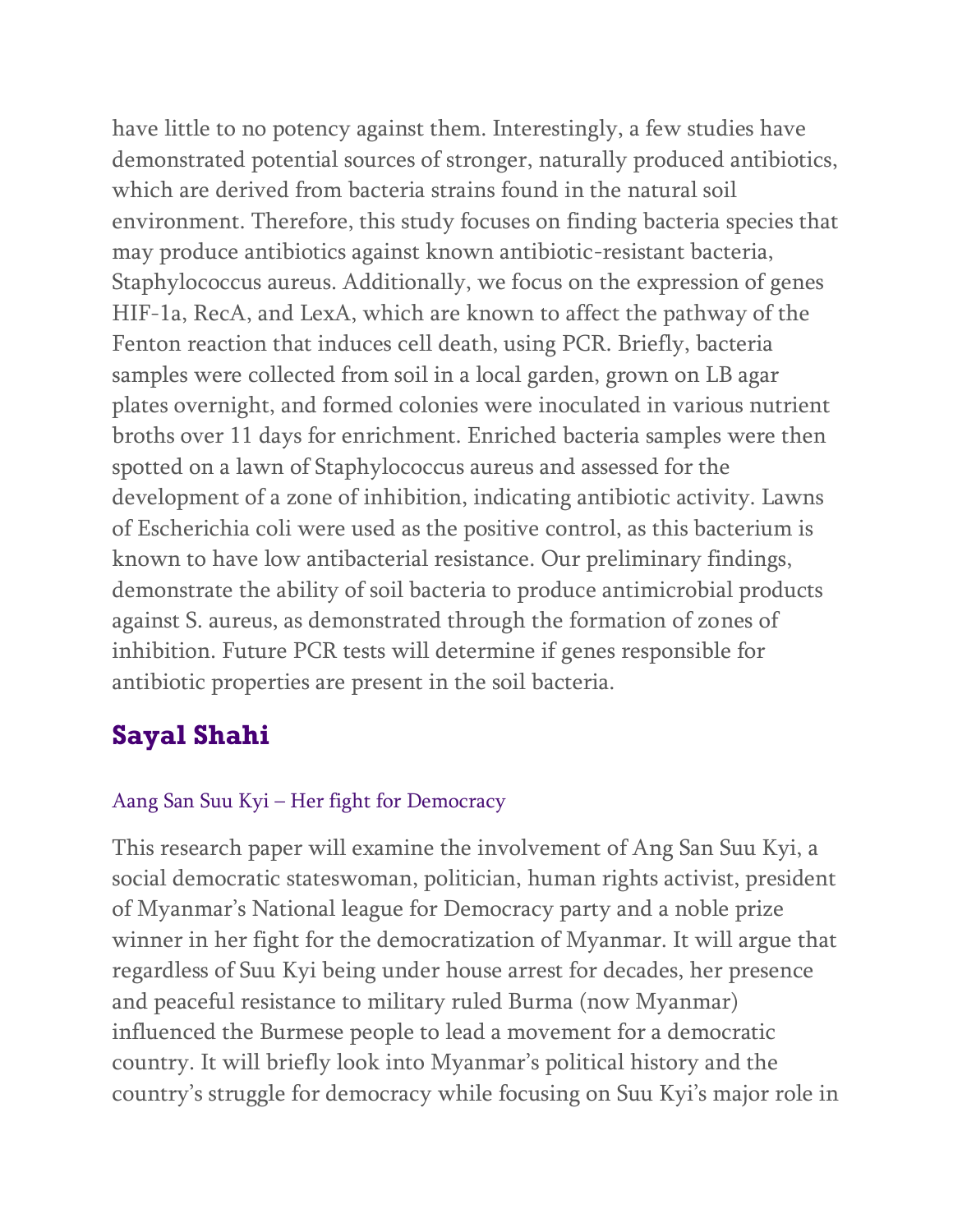have little to no potency against them. Interestingly, a few studies have demonstrated potential sources of stronger, naturally produced antibiotics, which are derived from bacteria strains found in the natural soil environment. Therefore, this study focuses on finding bacteria species that may produce antibiotics against known antibiotic-resistant bacteria, Staphylococcus aureus. Additionally, we focus on the expression of genes HIF-1a, RecA, and LexA, which are known to affect the pathway of the Fenton reaction that induces cell death, using PCR. Briefly, bacteria samples were collected from soil in a local garden, grown on LB agar plates overnight, and formed colonies were inoculated in various nutrient broths over 11 days for enrichment. Enriched bacteria samples were then spotted on a lawn of Staphylococcus aureus and assessed for the development of a zone of inhibition, indicating antibiotic activity. Lawns of Escherichia coli were used as the positive control, as this bacterium is known to have low antibacterial resistance. Our preliminary findings, demonstrate the ability of soil bacteria to produce antimicrobial products against S. aureus, as demonstrated through the formation of zones of inhibition. Future PCR tests will determine if genes responsible for antibiotic properties are present in the soil bacteria.

# **Sayal Shahi**

### Aang San Suu Kyi – Her fight for Democracy

This research paper will examine the involvement of Ang San Suu Kyi, a social democratic stateswoman, politician, human rights activist, president of Myanmar's National league for Democracy party and a noble prize winner in her fight for the democratization of Myanmar. It will argue that regardless of Suu Kyi being under house arrest for decades, her presence and peaceful resistance to military ruled Burma (now Myanmar) influenced the Burmese people to lead a movement for a democratic country. It will briefly look into Myanmar's political history and the country's struggle for democracy while focusing on Suu Kyi's major role in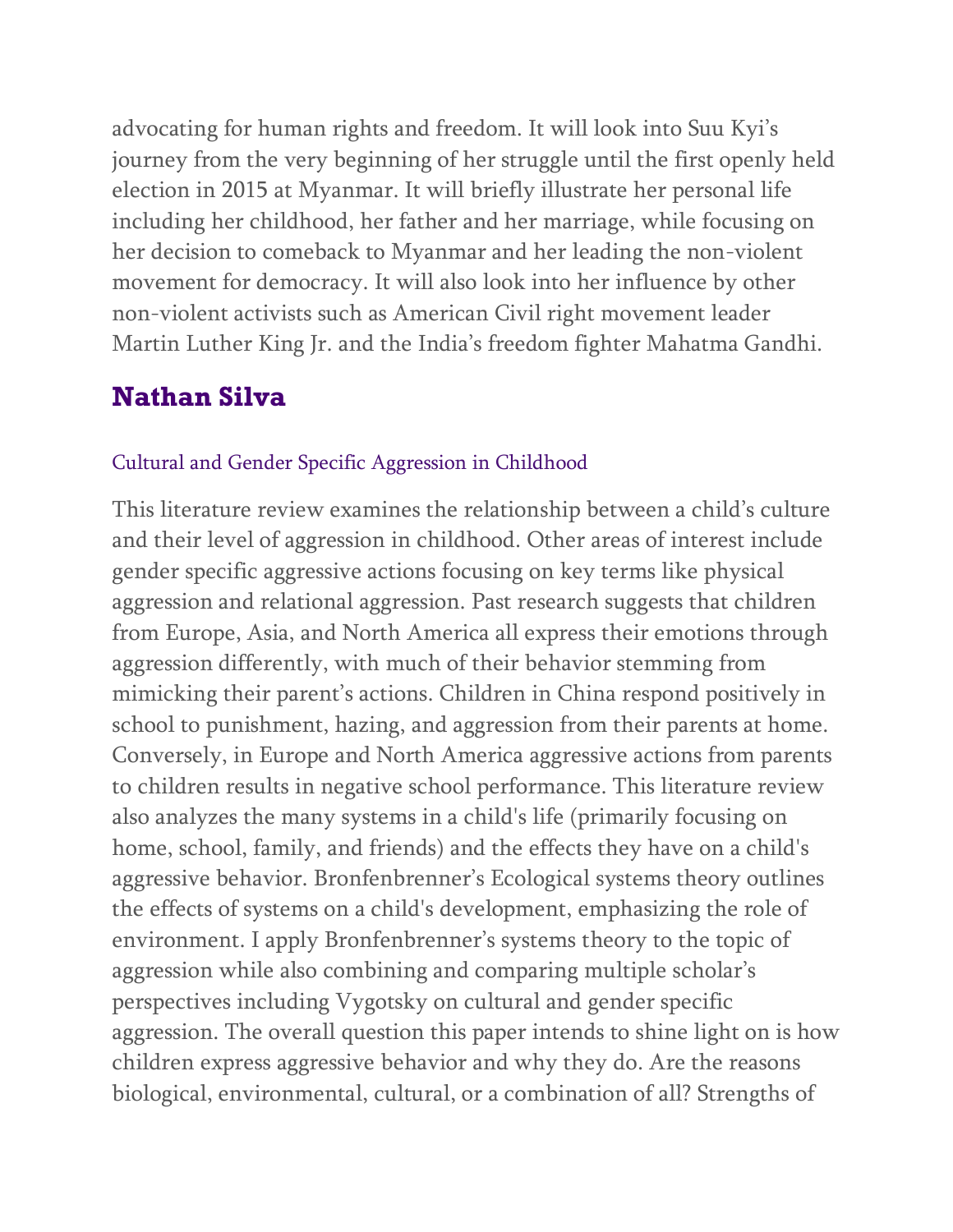advocating for human rights and freedom. It will look into Suu Kyi's journey from the very beginning of her struggle until the first openly held election in 2015 at Myanmar. It will briefly illustrate her personal life including her childhood, her father and her marriage, while focusing on her decision to comeback to Myanmar and her leading the non-violent movement for democracy. It will also look into her influence by other non-violent activists such as American Civil right movement leader Martin Luther King Jr. and the India's freedom fighter Mahatma Gandhi.

## **Nathan Silva**

#### Cultural and Gender Specific Aggression in Childhood

This literature review examines the relationship between a child's culture and their level of aggression in childhood. Other areas of interest include gender specific aggressive actions focusing on key terms like physical aggression and relational aggression. Past research suggests that children from Europe, Asia, and North America all express their emotions through aggression differently, with much of their behavior stemming from mimicking their parent's actions. Children in China respond positively in school to punishment, hazing, and aggression from their parents at home. Conversely, in Europe and North America aggressive actions from parents to children results in negative school performance. This literature review also analyzes the many systems in a child's life (primarily focusing on home, school, family, and friends) and the effects they have on a child's aggressive behavior. Bronfenbrenner's Ecological systems theory outlines the effects of systems on a child's development, emphasizing the role of environment. I apply Bronfenbrenner's systems theory to the topic of aggression while also combining and comparing multiple scholar's perspectives including Vygotsky on cultural and gender specific aggression. The overall question this paper intends to shine light on is how children express aggressive behavior and why they do. Are the reasons biological, environmental, cultural, or a combination of all? Strengths of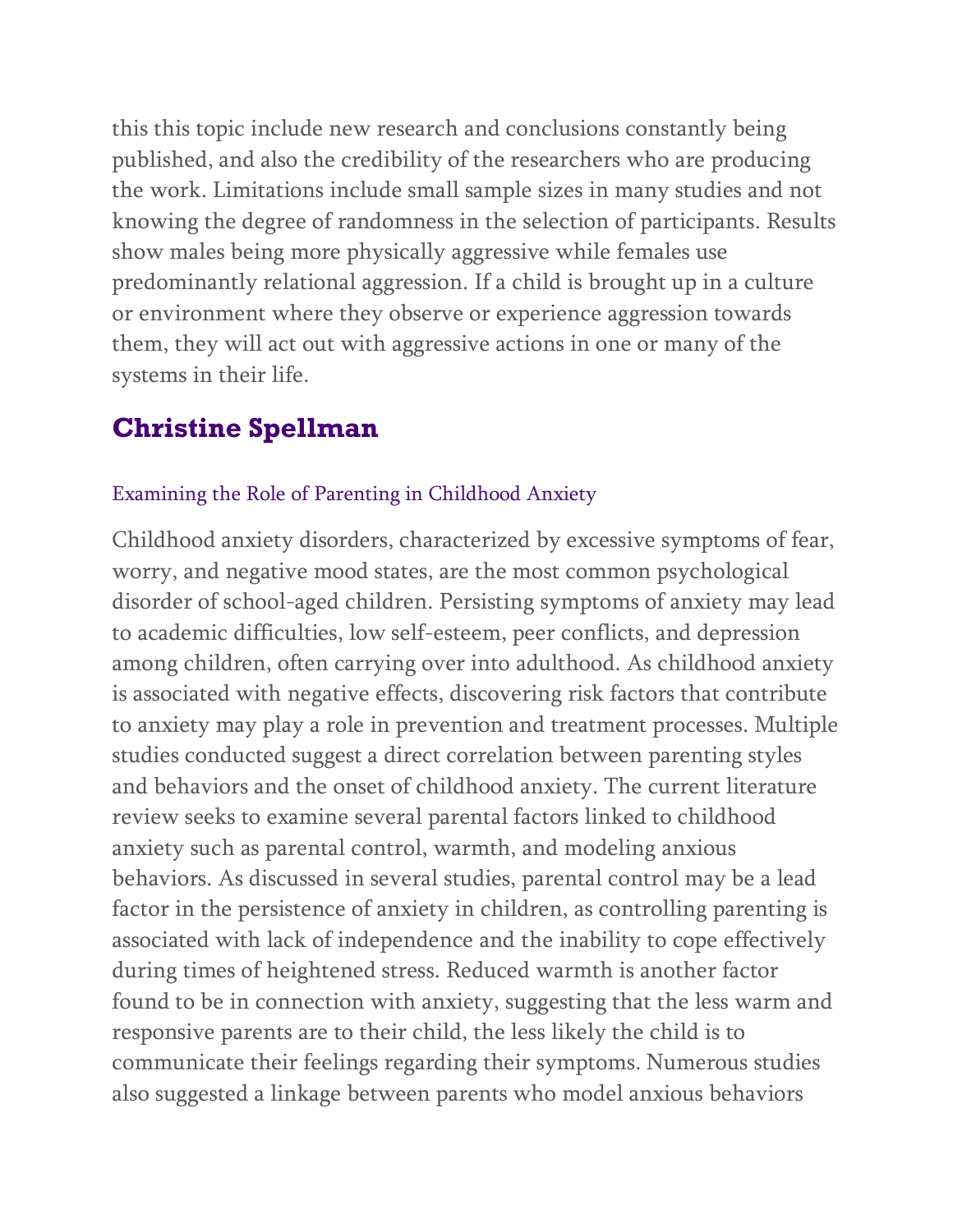this this topic include new research and conclusions constantly being published, and also the credibility of the researchers who are producing the work. Limitations include small sample sizes in many studies and not knowing the degree of randomness in the selection of participants. Results show males being more physically aggressive while females use predominantly relational aggression. If a child is brought up in a culture or environment where they observe or experience aggression towards them, they will act out with aggressive actions in one or many of the systems in their life.

## **Christine Spellman**

#### Examining the Role of Parenting in Childhood Anxiety

Childhood anxiety disorders, characterized by excessive symptoms of fear, worry, and negative mood states, are the most common psychological disorder of school-aged children. Persisting symptoms of anxiety may lead to academic difficulties, low self-esteem, peer conflicts, and depression among children, often carrying over into adulthood. As childhood anxiety is associated with negative effects, discovering risk factors that contribute to anxiety may play a role in prevention and treatment processes. Multiple studies conducted suggest a direct correlation between parenting styles and behaviors and the onset of childhood anxiety. The current literature review seeks to examine several parental factors linked to childhood anxiety such as parental control, warmth, and modeling anxious behaviors. As discussed in several studies, parental control may be a lead factor in the persistence of anxiety in children, as controlling parenting is associated with lack of independence and the inability to cope effectively during times of heightened stress. Reduced warmth is another factor found to be in connection with anxiety, suggesting that the less warm and responsive parents are to their child, the less likely the child is to communicate their feelings regarding their symptoms. Numerous studies also suggested a linkage between parents who model anxious behaviors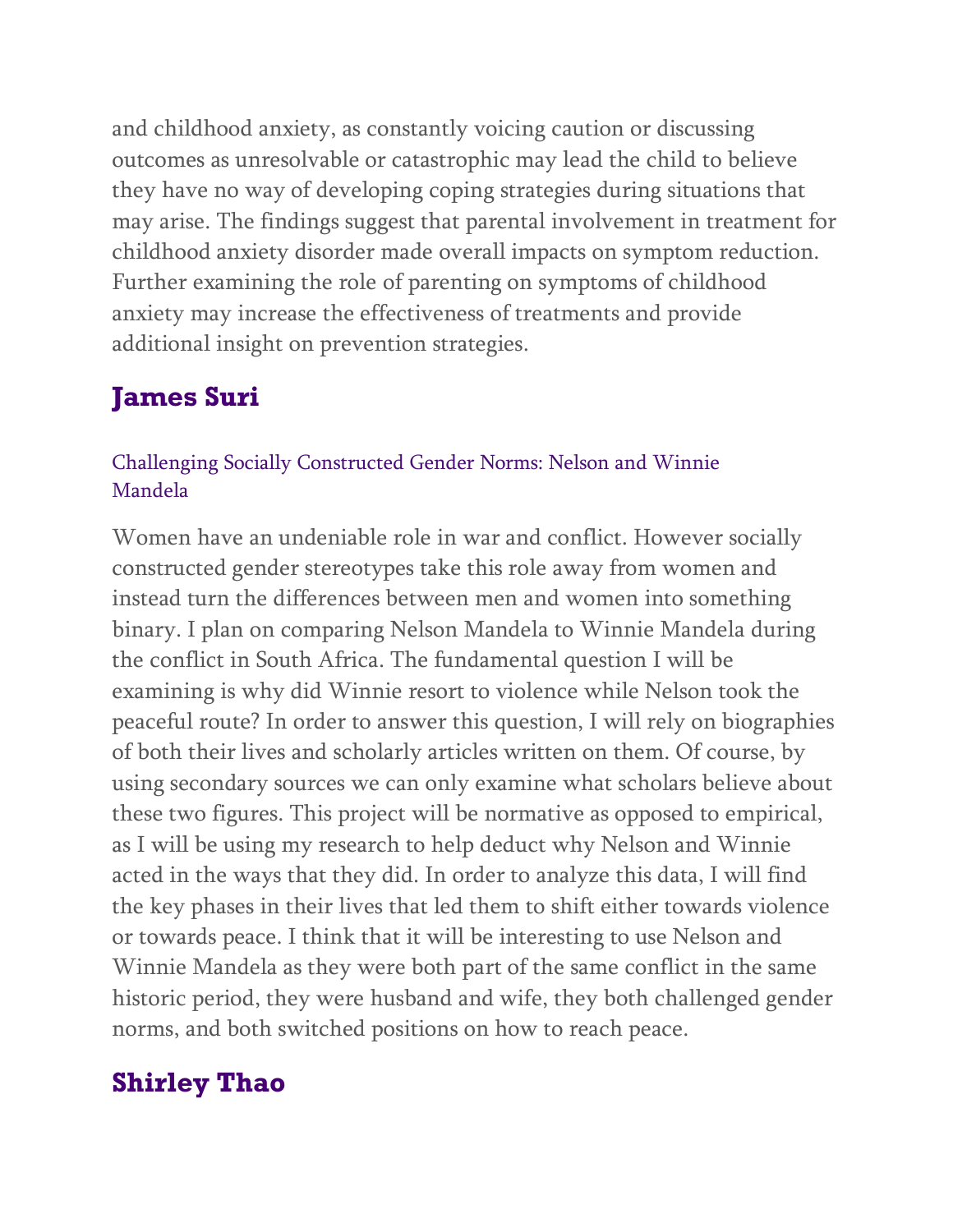and childhood anxiety, as constantly voicing caution or discussing outcomes as unresolvable or catastrophic may lead the child to believe they have no way of developing coping strategies during situations that may arise. The findings suggest that parental involvement in treatment for childhood anxiety disorder made overall impacts on symptom reduction. Further examining the role of parenting on symptoms of childhood anxiety may increase the effectiveness of treatments and provide additional insight on prevention strategies.

# **James Suri**

### Challenging Socially Constructed Gender Norms: Nelson and Winnie Mandela

Women have an undeniable role in war and conflict. However socially constructed gender stereotypes take this role away from women and instead turn the differences between men and women into something binary. I plan on comparing Nelson Mandela to Winnie Mandela during the conflict in South Africa. The fundamental question I will be examining is why did Winnie resort to violence while Nelson took the peaceful route? In order to answer this question, I will rely on biographies of both their lives and scholarly articles written on them. Of course, by using secondary sources we can only examine what scholars believe about these two figures. This project will be normative as opposed to empirical, as I will be using my research to help deduct why Nelson and Winnie acted in the ways that they did. In order to analyze this data, I will find the key phases in their lives that led them to shift either towards violence or towards peace. I think that it will be interesting to use Nelson and Winnie Mandela as they were both part of the same conflict in the same historic period, they were husband and wife, they both challenged gender norms, and both switched positions on how to reach peace.

# **Shirley Thao**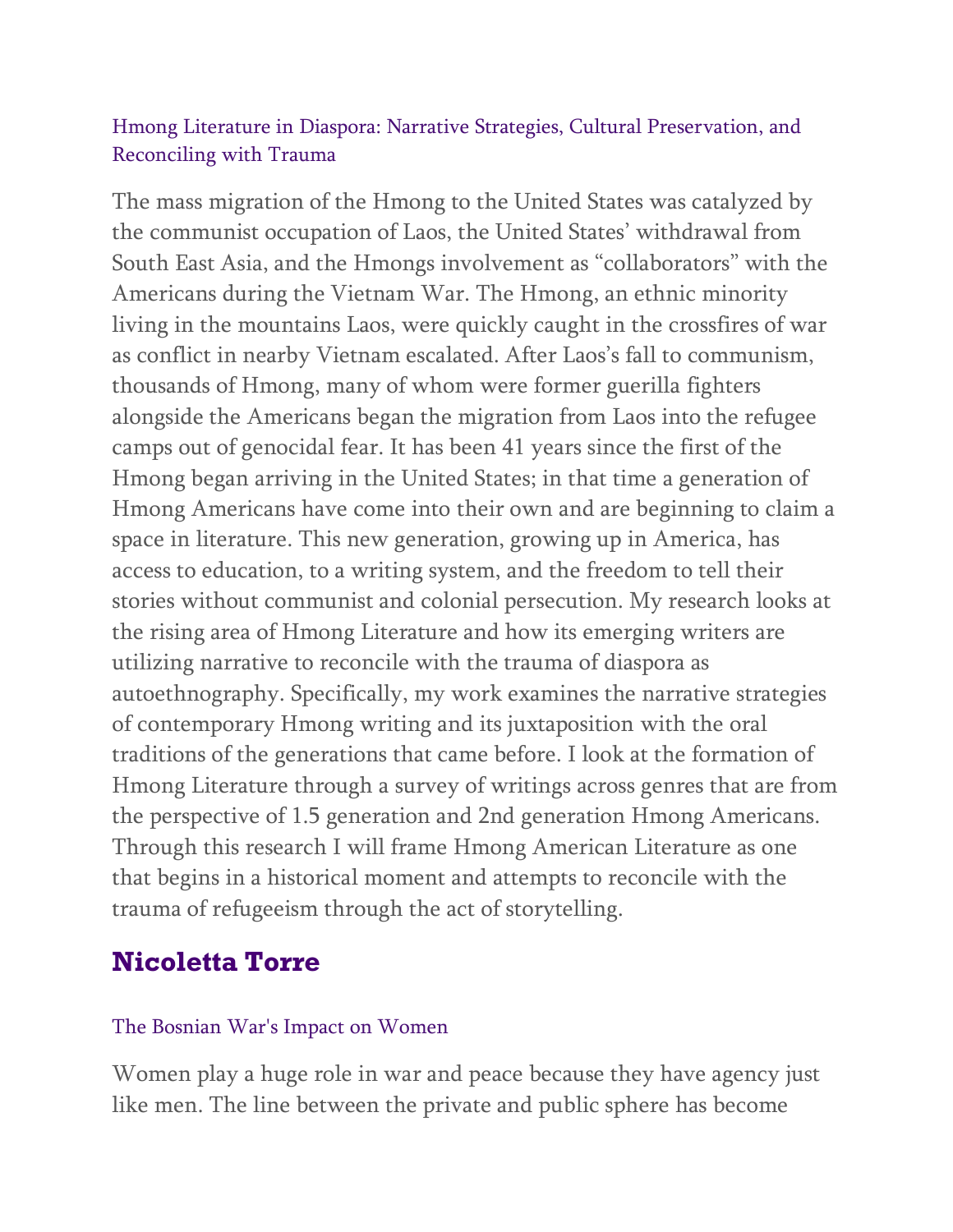#### Hmong Literature in Diaspora: Narrative Strategies, Cultural Preservation, and Reconciling with Trauma

The mass migration of the Hmong to the United States was catalyzed by the communist occupation of Laos, the United States' withdrawal from South East Asia, and the Hmongs involvement as "collaborators" with the Americans during the Vietnam War. The Hmong, an ethnic minority living in the mountains Laos, were quickly caught in the crossfires of war as conflict in nearby Vietnam escalated. After Laos's fall to communism, thousands of Hmong, many of whom were former guerilla fighters alongside the Americans began the migration from Laos into the refugee camps out of genocidal fear. It has been 41 years since the first of the Hmong began arriving in the United States; in that time a generation of Hmong Americans have come into their own and are beginning to claim a space in literature. This new generation, growing up in America, has access to education, to a writing system, and the freedom to tell their stories without communist and colonial persecution. My research looks at the rising area of Hmong Literature and how its emerging writers are utilizing narrative to reconcile with the trauma of diaspora as autoethnography. Specifically, my work examines the narrative strategies of contemporary Hmong writing and its juxtaposition with the oral traditions of the generations that came before. I look at the formation of Hmong Literature through a survey of writings across genres that are from the perspective of 1.5 generation and 2nd generation Hmong Americans. Through this research I will frame Hmong American Literature as one that begins in a historical moment and attempts to reconcile with the trauma of refugeeism through the act of storytelling.

### **Nicoletta Torre**

#### The Bosnian War's Impact on Women

Women play a huge role in war and peace because they have agency just like men. The line between the private and public sphere has become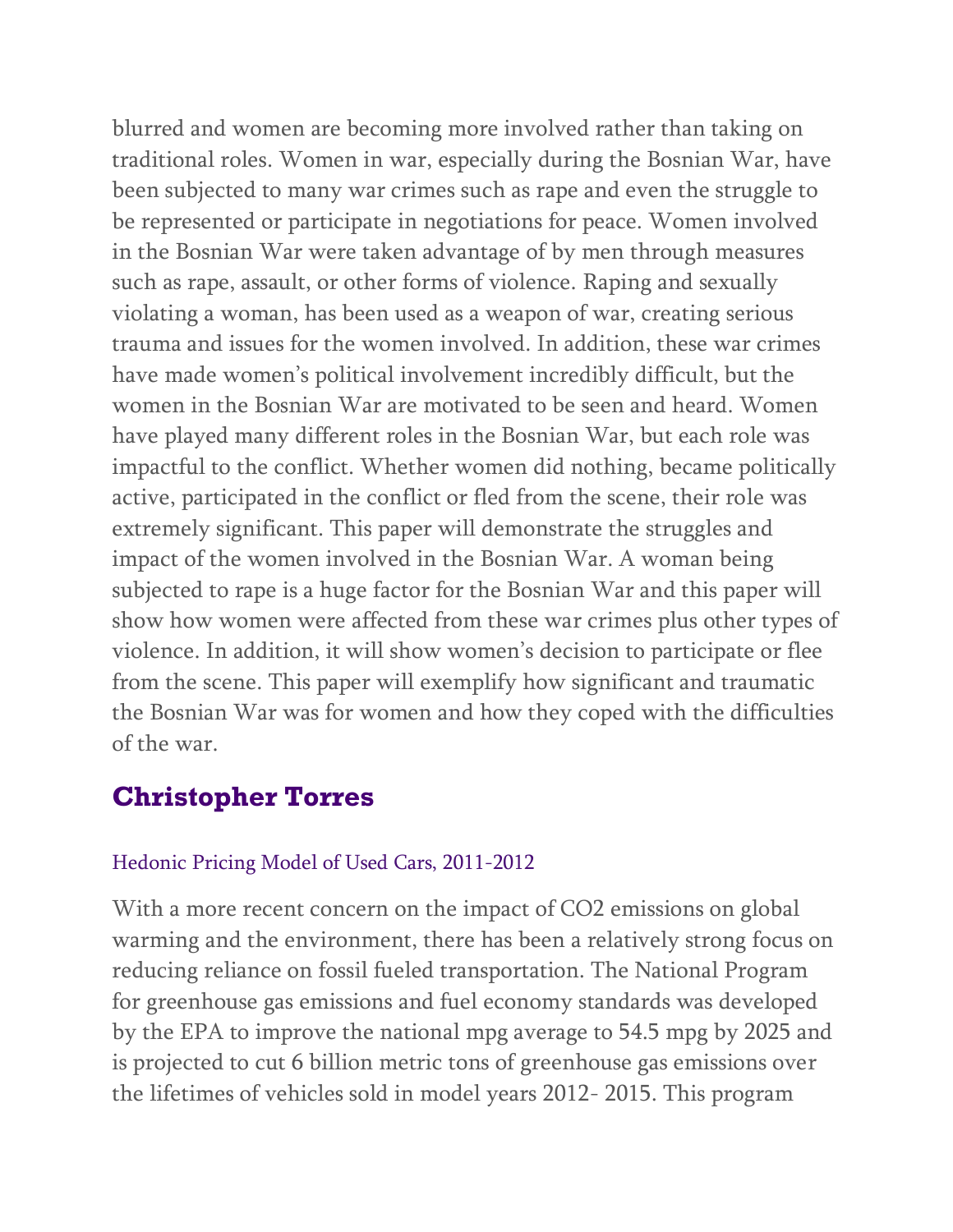blurred and women are becoming more involved rather than taking on traditional roles. Women in war, especially during the Bosnian War, have been subjected to many war crimes such as rape and even the struggle to be represented or participate in negotiations for peace. Women involved in the Bosnian War were taken advantage of by men through measures such as rape, assault, or other forms of violence. Raping and sexually violating a woman, has been used as a weapon of war, creating serious trauma and issues for the women involved. In addition, these war crimes have made women's political involvement incredibly difficult, but the women in the Bosnian War are motivated to be seen and heard. Women have played many different roles in the Bosnian War, but each role was impactful to the conflict. Whether women did nothing, became politically active, participated in the conflict or fled from the scene, their role was extremely significant. This paper will demonstrate the struggles and impact of the women involved in the Bosnian War. A woman being subjected to rape is a huge factor for the Bosnian War and this paper will show how women were affected from these war crimes plus other types of violence. In addition, it will show women's decision to participate or flee from the scene. This paper will exemplify how significant and traumatic the Bosnian War was for women and how they coped with the difficulties of the war.

## **Christopher Torres**

#### Hedonic Pricing Model of Used Cars, 2011-2012

With a more recent concern on the impact of CO2 emissions on global warming and the environment, there has been a relatively strong focus on reducing reliance on fossil fueled transportation. The National Program for greenhouse gas emissions and fuel economy standards was developed by the EPA to improve the national mpg average to 54.5 mpg by 2025 and is projected to cut 6 billion metric tons of greenhouse gas emissions over the lifetimes of vehicles sold in model years 2012- 2015. This program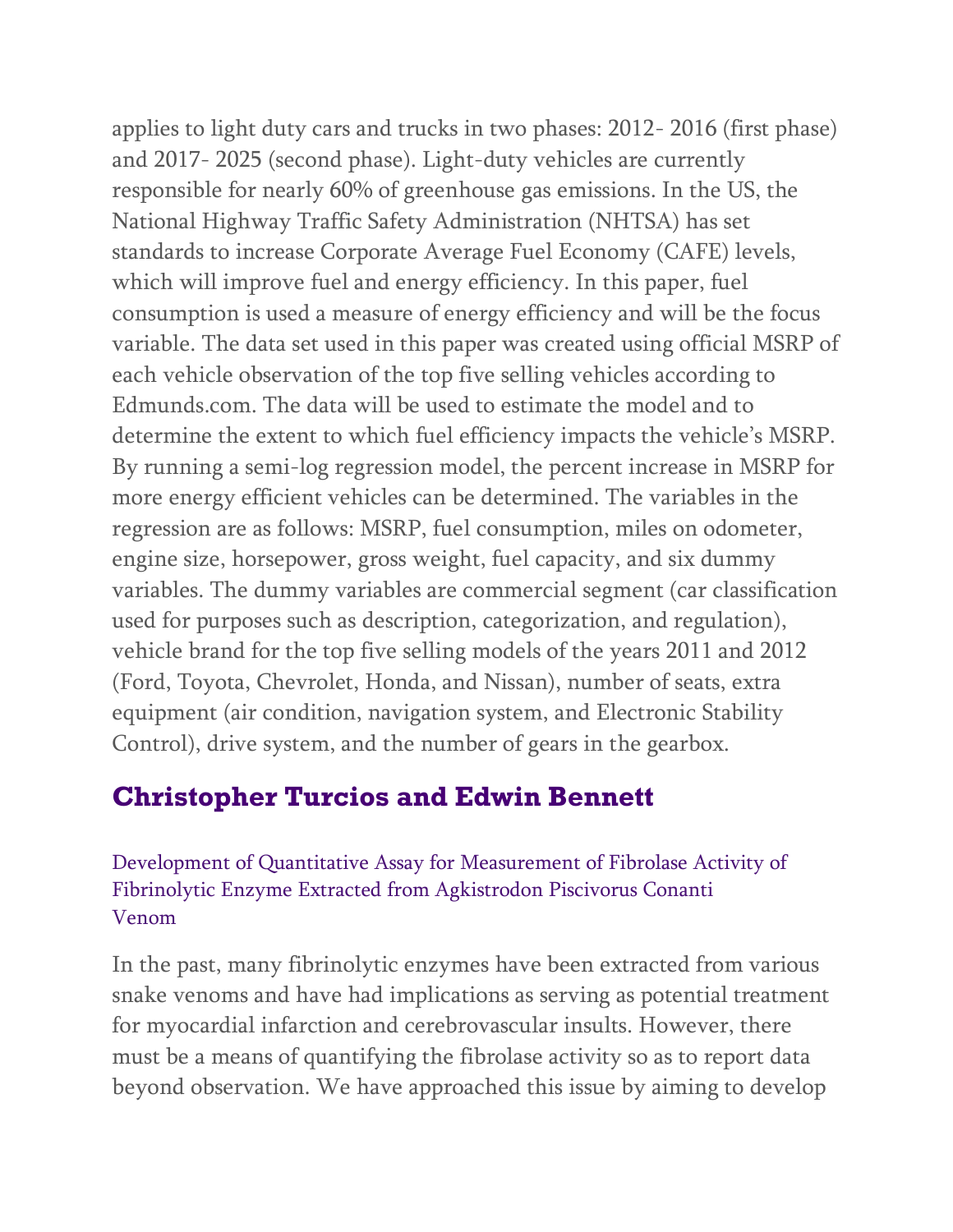applies to light duty cars and trucks in two phases: 2012- 2016 (first phase) and 2017- 2025 (second phase). Light-duty vehicles are currently responsible for nearly 60% of greenhouse gas emissions. In the US, the National Highway Traffic Safety Administration (NHTSA) has set standards to increase Corporate Average Fuel Economy (CAFE) levels, which will improve fuel and energy efficiency. In this paper, fuel consumption is used a measure of energy efficiency and will be the focus variable. The data set used in this paper was created using official MSRP of each vehicle observation of the top five selling vehicles according to Edmunds.com. The data will be used to estimate the model and to determine the extent to which fuel efficiency impacts the vehicle's MSRP. By running a semi-log regression model, the percent increase in MSRP for more energy efficient vehicles can be determined. The variables in the regression are as follows: MSRP, fuel consumption, miles on odometer, engine size, horsepower, gross weight, fuel capacity, and six dummy variables. The dummy variables are commercial segment (car classification used for purposes such as description, categorization, and regulation), vehicle brand for the top five selling models of the years 2011 and 2012 (Ford, Toyota, Chevrolet, Honda, and Nissan), number of seats, extra equipment (air condition, navigation system, and Electronic Stability Control), drive system, and the number of gears in the gearbox.

## **Christopher Turcios and Edwin Bennett**

Development of Quantitative Assay for Measurement of Fibrolase Activity of Fibrinolytic Enzyme Extracted from Agkistrodon Piscivorus Conanti Venom

In the past, many fibrinolytic enzymes have been extracted from various snake venoms and have had implications as serving as potential treatment for myocardial infarction and cerebrovascular insults. However, there must be a means of quantifying the fibrolase activity so as to report data beyond observation. We have approached this issue by aiming to develop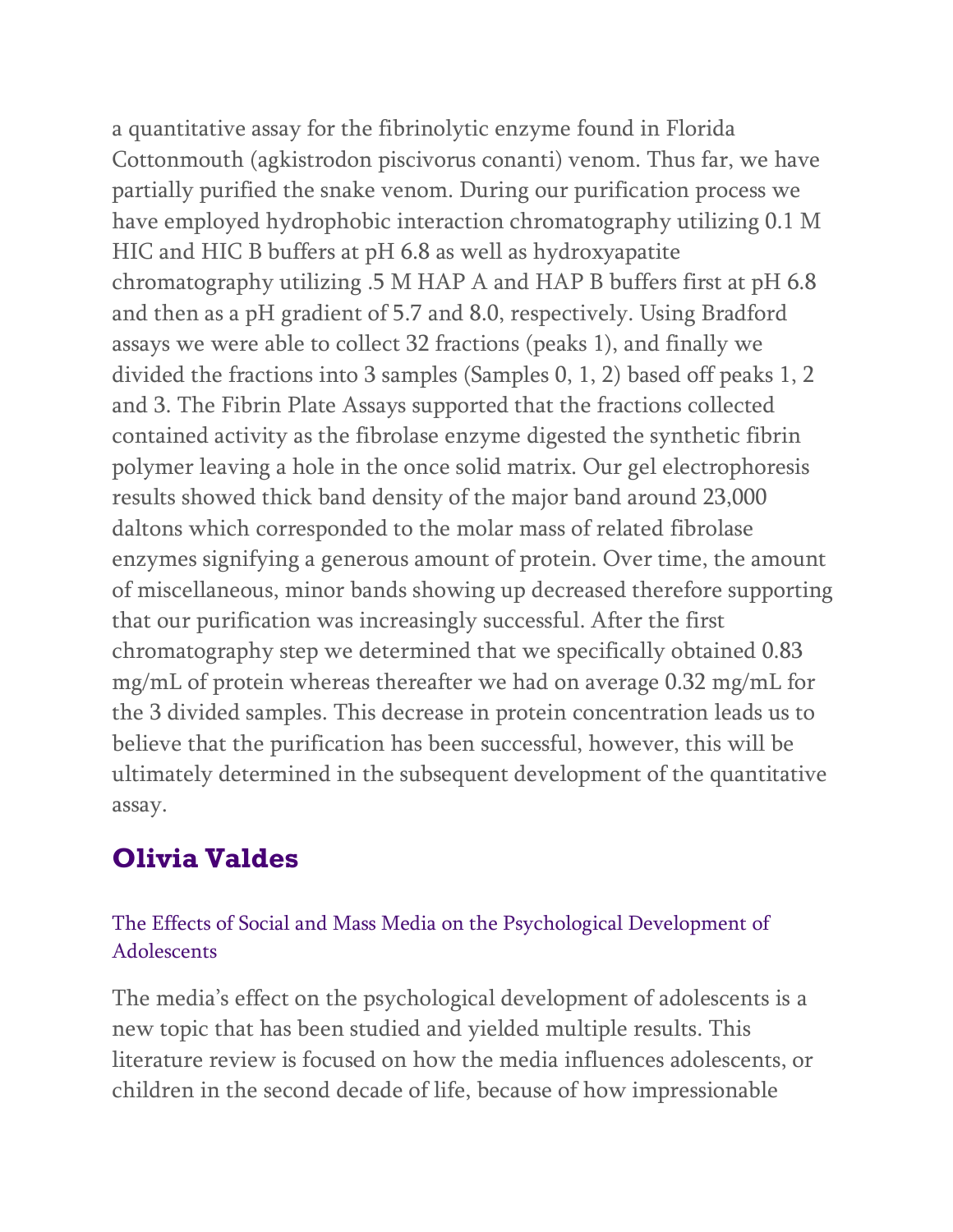a quantitative assay for the fibrinolytic enzyme found in Florida Cottonmouth (agkistrodon piscivorus conanti) venom. Thus far, we have partially purified the snake venom. During our purification process we have employed hydrophobic interaction chromatography utilizing 0.1 M HIC and HIC B buffers at pH 6.8 as well as hydroxyapatite chromatography utilizing .5 M HAP A and HAP B buffers first at pH 6.8 and then as a pH gradient of 5.7 and 8.0, respectively. Using Bradford assays we were able to collect 32 fractions (peaks 1), and finally we divided the fractions into 3 samples (Samples 0, 1, 2) based off peaks 1, 2 and 3. The Fibrin Plate Assays supported that the fractions collected contained activity as the fibrolase enzyme digested the synthetic fibrin polymer leaving a hole in the once solid matrix. Our gel electrophoresis results showed thick band density of the major band around 23,000 daltons which corresponded to the molar mass of related fibrolase enzymes signifying a generous amount of protein. Over time, the amount of miscellaneous, minor bands showing up decreased therefore supporting that our purification was increasingly successful. After the first chromatography step we determined that we specifically obtained 0.83 mg/mL of protein whereas thereafter we had on average 0.32 mg/mL for the 3 divided samples. This decrease in protein concentration leads us to believe that the purification has been successful, however, this will be ultimately determined in the subsequent development of the quantitative assay.

## **Olivia Valdes**

### The Effects of Social and Mass Media on the Psychological Development of Adolescents

The media's effect on the psychological development of adolescents is a new topic that has been studied and yielded multiple results. This literature review is focused on how the media influences adolescents, or children in the second decade of life, because of how impressionable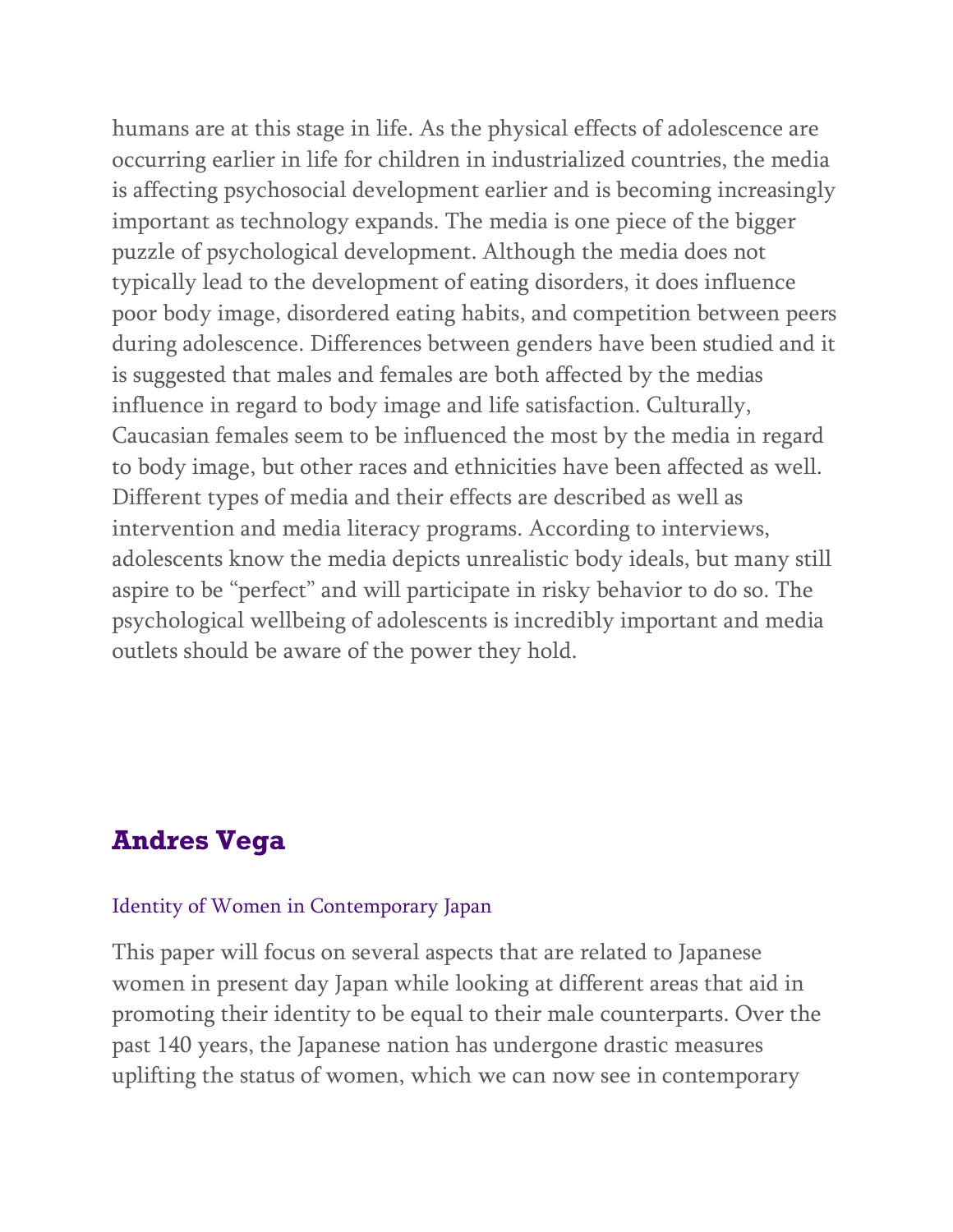humans are at this stage in life. As the physical effects of adolescence are occurring earlier in life for children in industrialized countries, the media is affecting psychosocial development earlier and is becoming increasingly important as technology expands. The media is one piece of the bigger puzzle of psychological development. Although the media does not typically lead to the development of eating disorders, it does influence poor body image, disordered eating habits, and competition between peers during adolescence. Differences between genders have been studied and it is suggested that males and females are both affected by the medias influence in regard to body image and life satisfaction. Culturally, Caucasian females seem to be influenced the most by the media in regard to body image, but other races and ethnicities have been affected as well. Different types of media and their effects are described as well as intervention and media literacy programs. According to interviews, adolescents know the media depicts unrealistic body ideals, but many still aspire to be "perfect" and will participate in risky behavior to do so. The psychological wellbeing of adolescents is incredibly important and media outlets should be aware of the power they hold.

## **Andres Vega**

#### Identity of Women in Contemporary Japan

This paper will focus on several aspects that are related to Japanese women in present day Japan while looking at different areas that aid in promoting their identity to be equal to their male counterparts. Over the past 140 years, the Japanese nation has undergone drastic measures uplifting the status of women, which we can now see in contemporary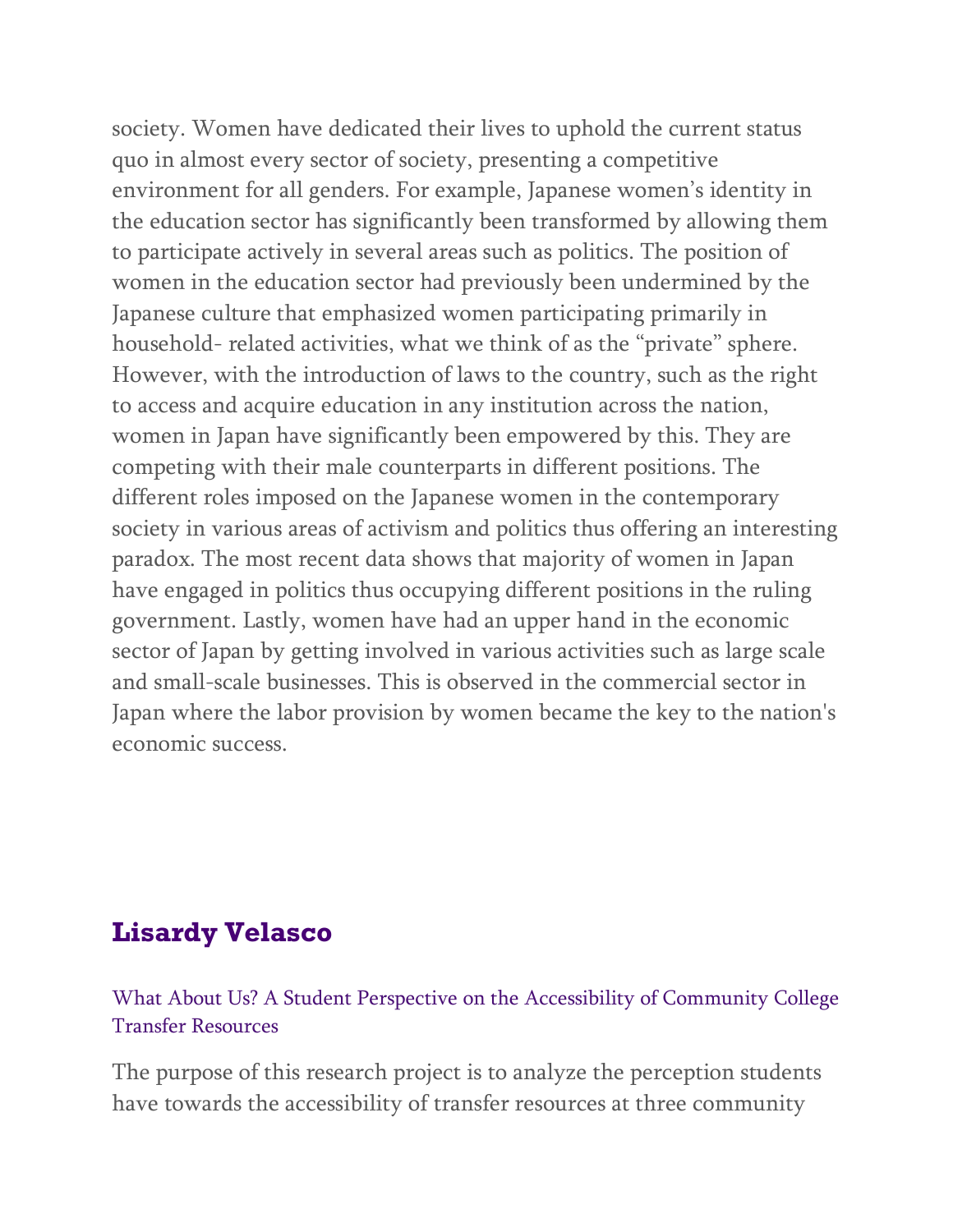society. Women have dedicated their lives to uphold the current status quo in almost every sector of society, presenting a competitive environment for all genders. For example, Japanese women's identity in the education sector has significantly been transformed by allowing them to participate actively in several areas such as politics. The position of women in the education sector had previously been undermined by the Japanese culture that emphasized women participating primarily in household- related activities, what we think of as the "private" sphere. However, with the introduction of laws to the country, such as the right to access and acquire education in any institution across the nation, women in Japan have significantly been empowered by this. They are competing with their male counterparts in different positions. The different roles imposed on the Japanese women in the contemporary society in various areas of activism and politics thus offering an interesting paradox. The most recent data shows that majority of women in Japan have engaged in politics thus occupying different positions in the ruling government. Lastly, women have had an upper hand in the economic sector of Japan by getting involved in various activities such as large scale and small-scale businesses. This is observed in the commercial sector in Japan where the labor provision by women became the key to the nation's economic success.

## **Lisardy Velasco**

What About Us? A Student Perspective on the Accessibility of Community College Transfer Resources

The purpose of this research project is to analyze the perception students have towards the accessibility of transfer resources at three community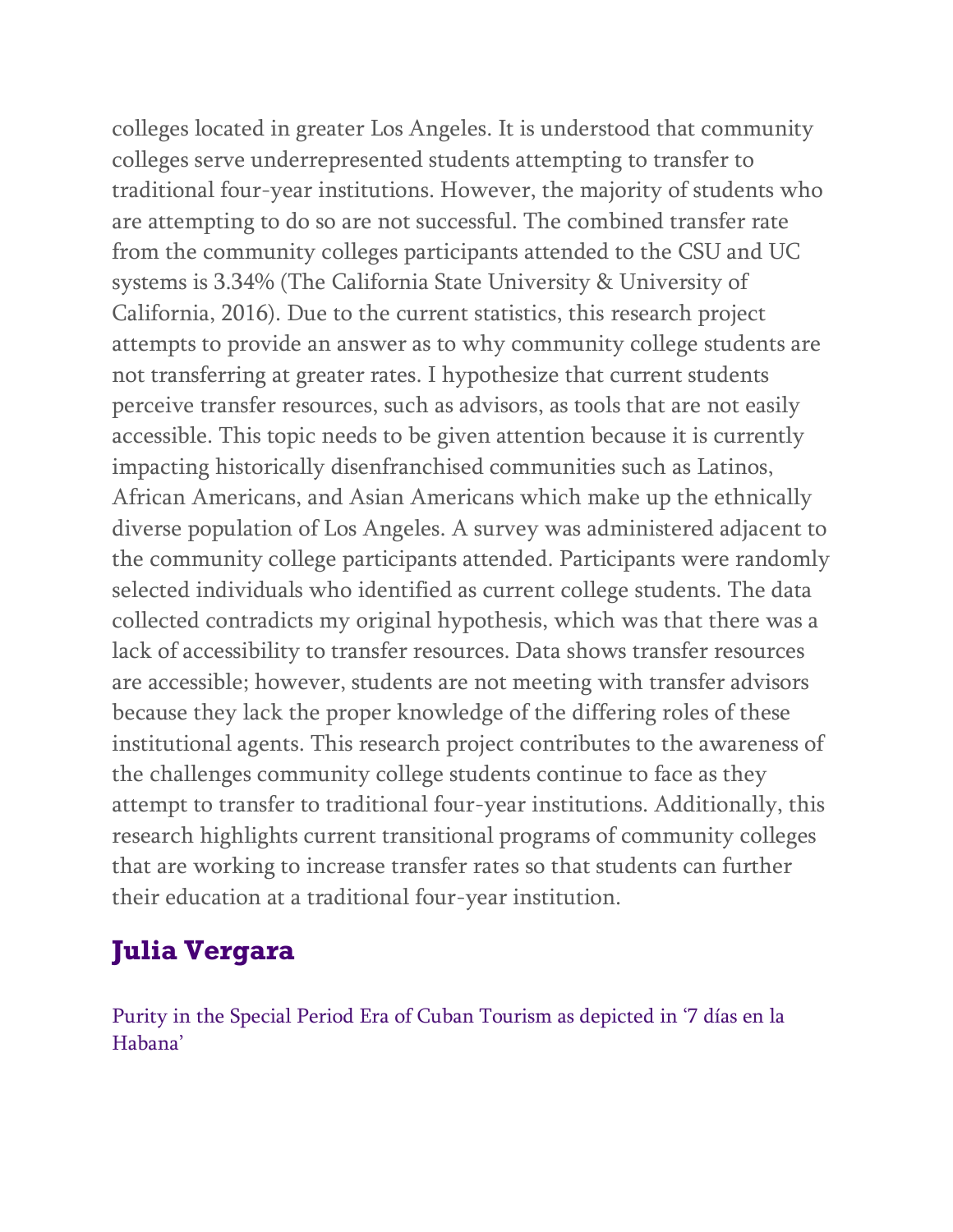colleges located in greater Los Angeles. It is understood that community colleges serve underrepresented students attempting to transfer to traditional four-year institutions. However, the majority of students who are attempting to do so are not successful. The combined transfer rate from the community colleges participants attended to the CSU and UC systems is 3.34% (The California State University & University of California, 2016). Due to the current statistics, this research project attempts to provide an answer as to why community college students are not transferring at greater rates. I hypothesize that current students perceive transfer resources, such as advisors, as tools that are not easily accessible. This topic needs to be given attention because it is currently impacting historically disenfranchised communities such as Latinos, African Americans, and Asian Americans which make up the ethnically diverse population of Los Angeles. A survey was administered adjacent to the community college participants attended. Participants were randomly selected individuals who identified as current college students. The data collected contradicts my original hypothesis, which was that there was a lack of accessibility to transfer resources. Data shows transfer resources are accessible; however, students are not meeting with transfer advisors because they lack the proper knowledge of the differing roles of these institutional agents. This research project contributes to the awareness of the challenges community college students continue to face as they attempt to transfer to traditional four-year institutions. Additionally, this research highlights current transitional programs of community colleges that are working to increase transfer rates so that students can further their education at a traditional four-year institution.

# **Julia Vergara**

Purity in the Special Period Era of Cuban Tourism as depicted in '7 días en la Habana'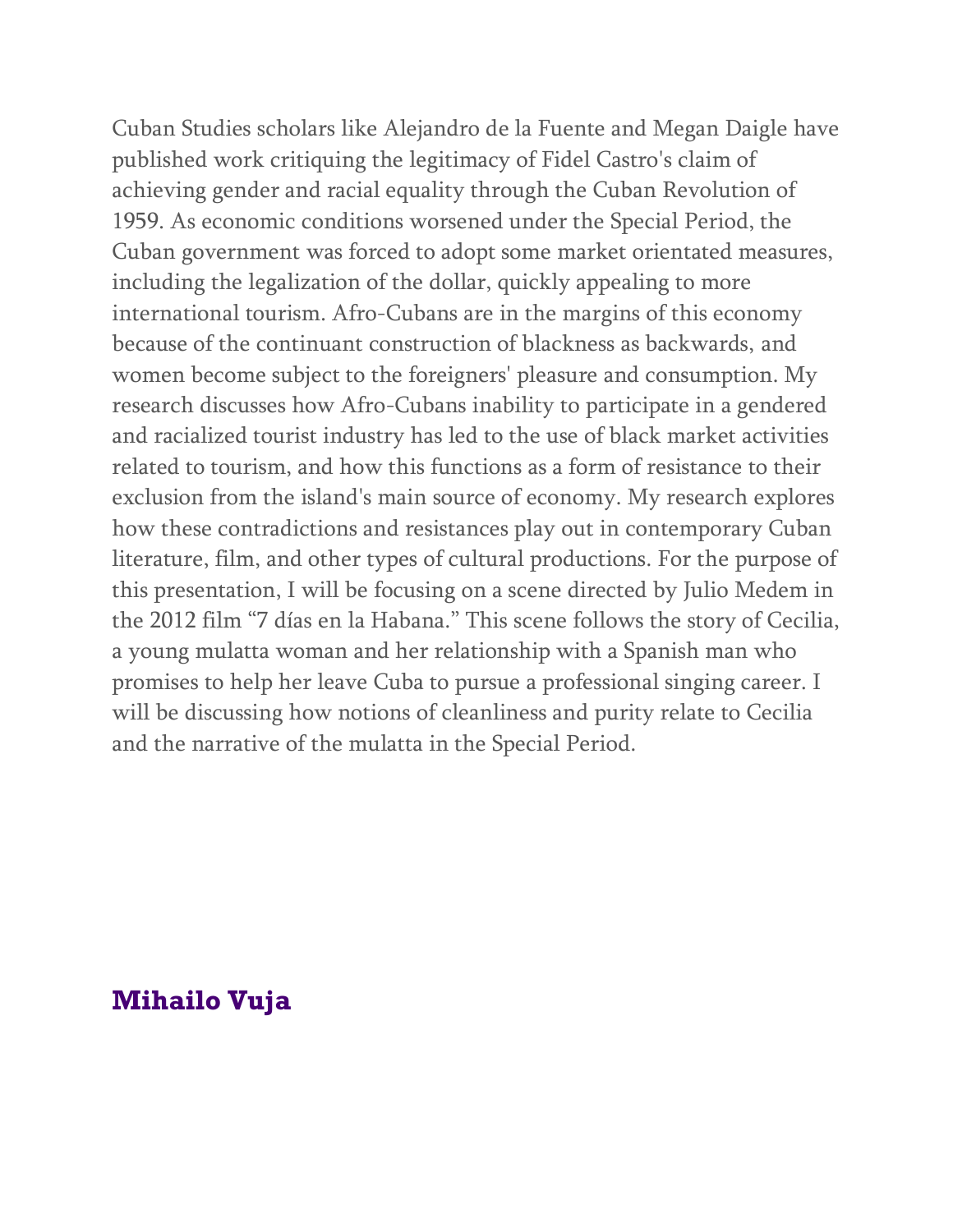Cuban Studies scholars like Alejandro de la Fuente and Megan Daigle have published work critiquing the legitimacy of Fidel Castro's claim of achieving gender and racial equality through the Cuban Revolution of 1959. As economic conditions worsened under the Special Period, the Cuban government was forced to adopt some market orientated measures, including the legalization of the dollar, quickly appealing to more international tourism. Afro-Cubans are in the margins of this economy because of the continuant construction of blackness as backwards, and women become subject to the foreigners' pleasure and consumption. My research discusses how Afro-Cubans inability to participate in a gendered and racialized tourist industry has led to the use of black market activities related to tourism, and how this functions as a form of resistance to their exclusion from the island's main source of economy. My research explores how these contradictions and resistances play out in contemporary Cuban literature, film, and other types of cultural productions. For the purpose of this presentation, I will be focusing on a scene directed by Julio Medem in the 2012 film "7 días en la Habana." This scene follows the story of Cecilia, a young mulatta woman and her relationship with a Spanish man who promises to help her leave Cuba to pursue a professional singing career. I will be discussing how notions of cleanliness and purity relate to Cecilia and the narrative of the mulatta in the Special Period.

## **Mihailo Vuja**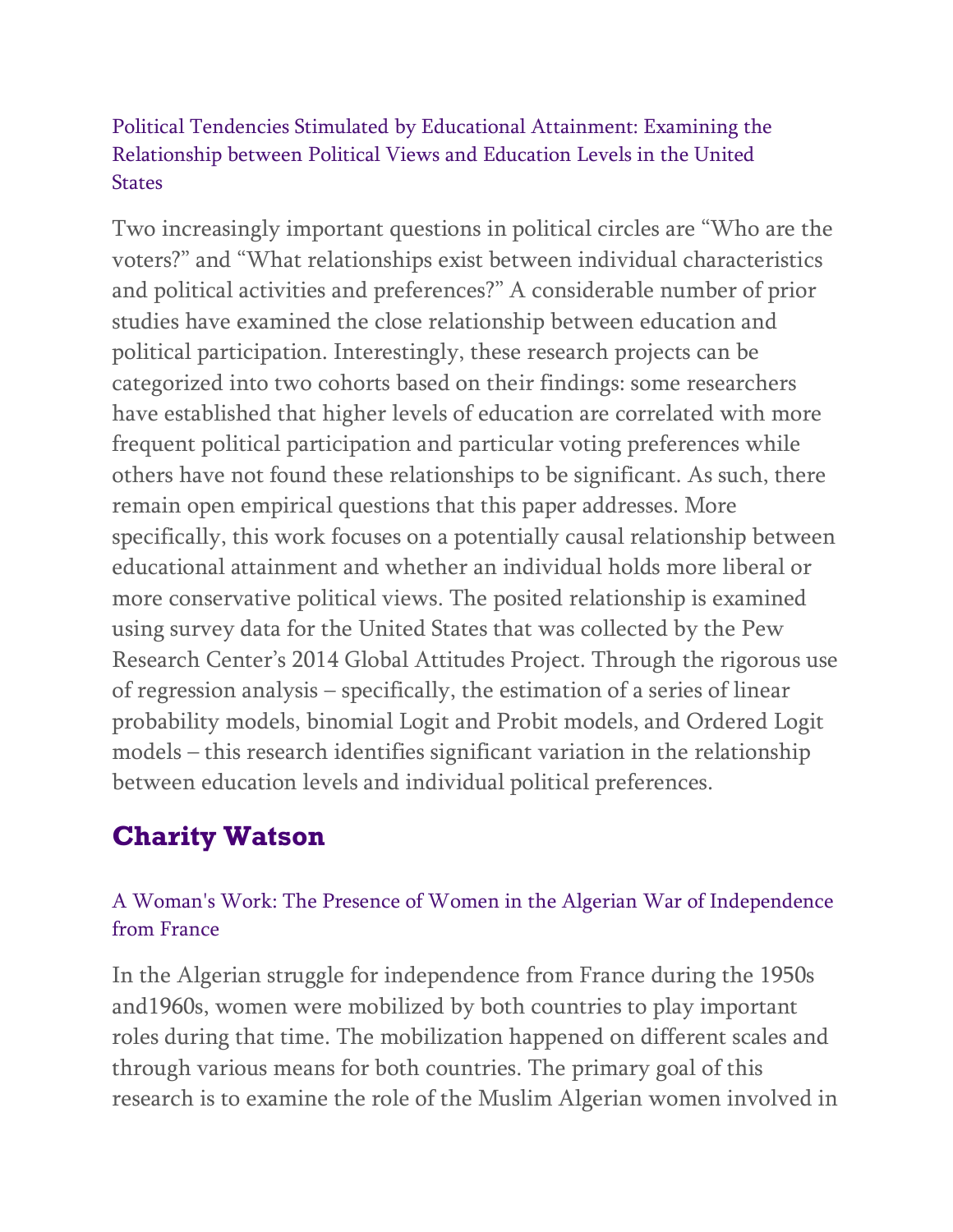### Political Tendencies Stimulated by Educational Attainment: Examining the Relationship between Political Views and Education Levels in the United **States**

Two increasingly important questions in political circles are "Who are the voters?" and "What relationships exist between individual characteristics and political activities and preferences?" A considerable number of prior studies have examined the close relationship between education and political participation. Interestingly, these research projects can be categorized into two cohorts based on their findings: some researchers have established that higher levels of education are correlated with more frequent political participation and particular voting preferences while others have not found these relationships to be significant. As such, there remain open empirical questions that this paper addresses. More specifically, this work focuses on a potentially causal relationship between educational attainment and whether an individual holds more liberal or more conservative political views. The posited relationship is examined using survey data for the United States that was collected by the Pew Research Center's 2014 Global Attitudes Project. Through the rigorous use of regression analysis – specifically, the estimation of a series of linear probability models, binomial Logit and Probit models, and Ordered Logit models – this research identifies significant variation in the relationship between education levels and individual political preferences.

# **Charity Watson**

### A Woman's Work: The Presence of Women in the Algerian War of Independence from France

In the Algerian struggle for independence from France during the 1950s and1960s, women were mobilized by both countries to play important roles during that time. The mobilization happened on different scales and through various means for both countries. The primary goal of this research is to examine the role of the Muslim Algerian women involved in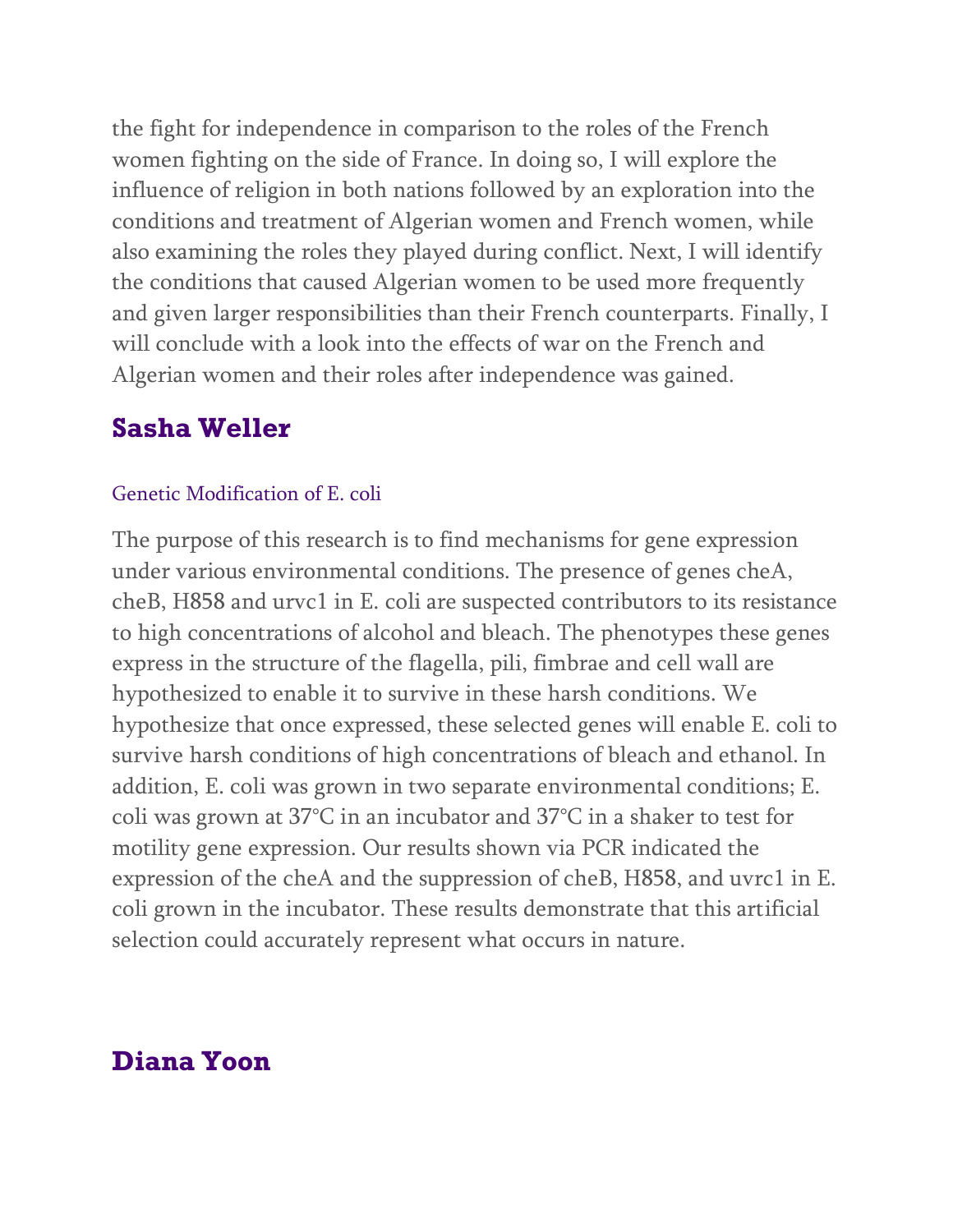the fight for independence in comparison to the roles of the French women fighting on the side of France. In doing so, I will explore the influence of religion in both nations followed by an exploration into the conditions and treatment of Algerian women and French women, while also examining the roles they played during conflict. Next, I will identify the conditions that caused Algerian women to be used more frequently and given larger responsibilities than their French counterparts. Finally, I will conclude with a look into the effects of war on the French and Algerian women and their roles after independence was gained.

## **Sasha Weller**

#### Genetic Modification of E. coli

The purpose of this research is to find mechanisms for gene expression under various environmental conditions. The presence of genes cheA, cheB, H858 and urvc1 in E. coli are suspected contributors to its resistance to high concentrations of alcohol and bleach. The phenotypes these genes express in the structure of the flagella, pili, fimbrae and cell wall are hypothesized to enable it to survive in these harsh conditions. We hypothesize that once expressed, these selected genes will enable E. coli to survive harsh conditions of high concentrations of bleach and ethanol. In addition, E. coli was grown in two separate environmental conditions; E. coli was grown at 37°C in an incubator and 37°C in a shaker to test for motility gene expression. Our results shown via PCR indicated the expression of the cheA and the suppression of cheB, H858, and uvrc1 in E. coli grown in the incubator. These results demonstrate that this artificial selection could accurately represent what occurs in nature.

### **Diana Yoon**